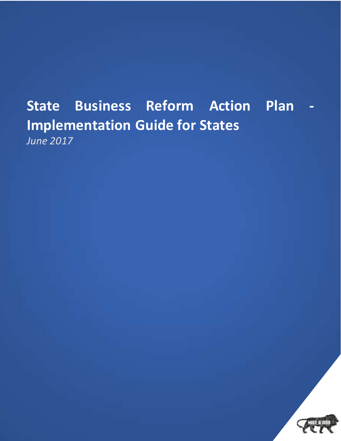# **State Business Reform Action Plan Implementation Guide for States** *June 2017*

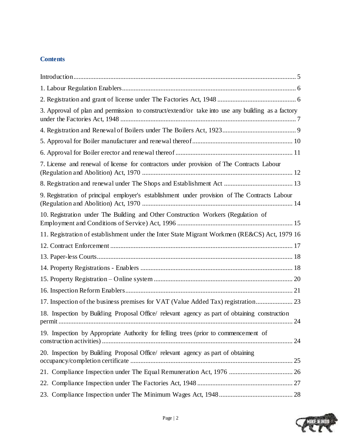# **Contents**

| 3. Approval of plan and permission to construct/extend/or take into use any building as a factory |  |
|---------------------------------------------------------------------------------------------------|--|
|                                                                                                   |  |
|                                                                                                   |  |
|                                                                                                   |  |
| 7. License and renewal of license for contractors under provision of The Contracts Labour         |  |
|                                                                                                   |  |
| 9. Registration of principal employer's establishment under provision of The Contracts Labour     |  |
| 10. Registration under The Building and Other Construction Workers (Regulation of                 |  |
| 11. Registration of establishment under the Inter State Migrant Workmen (RE&CS) Act, 1979 16      |  |
|                                                                                                   |  |
|                                                                                                   |  |
|                                                                                                   |  |
|                                                                                                   |  |
|                                                                                                   |  |
|                                                                                                   |  |
| 18. Inspection by Building Proposal Office/ relevant agency as part of obtaining construction     |  |
| 19. Inspection by Appropriate Authority for felling trees (prior to commencement of               |  |
| 20. Inspection by Building Proposal Office/ relevant agency as part of obtaining                  |  |
| 21. Compliance Inspection under The Equal Remuneration Act, 1976  26                              |  |
|                                                                                                   |  |
|                                                                                                   |  |

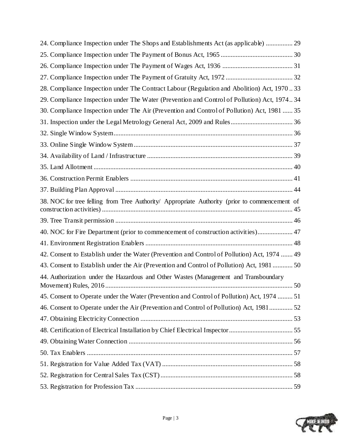| 24. Compliance Inspection under The Shops and Establishments Act (as applicable)  29          |  |
|-----------------------------------------------------------------------------------------------|--|
|                                                                                               |  |
|                                                                                               |  |
|                                                                                               |  |
| 28. Compliance Inspection under The Contract Labour (Regulation and Abolition) Act, 197033    |  |
| 29. Compliance Inspection under The Water (Prevention and Control of Pollution) Act, 197434   |  |
| 30. Compliance Inspection under The Air (Prevention and Control of Pollution) Act, 1981  35   |  |
|                                                                                               |  |
|                                                                                               |  |
|                                                                                               |  |
|                                                                                               |  |
|                                                                                               |  |
|                                                                                               |  |
|                                                                                               |  |
| 38. NOC for tree felling from Tree Authority/ Appropriate Authority (prior to commencement of |  |
|                                                                                               |  |
| 40. NOC for Fire Department (prior to commencement of construction activities) 47             |  |
|                                                                                               |  |
| 42. Consent to Establish under the Water (Prevention and Control of Pollution) Act, 1974  49  |  |
| 43. Consent to Establish under the Air (Prevention and Control of Pollution) Act, 1981  50    |  |
| 44. Authorization under the Hazardous and Other Wastes (Management and Transboundary          |  |
| 45. Consent to Operate under the Water (Prevention and Control of Pollution) Act, 1974  51    |  |
| 46. Consent to Operate under the Air (Prevention and Control of Pollution) Act, 1981 52       |  |
|                                                                                               |  |
|                                                                                               |  |
|                                                                                               |  |
|                                                                                               |  |
|                                                                                               |  |
|                                                                                               |  |
|                                                                                               |  |

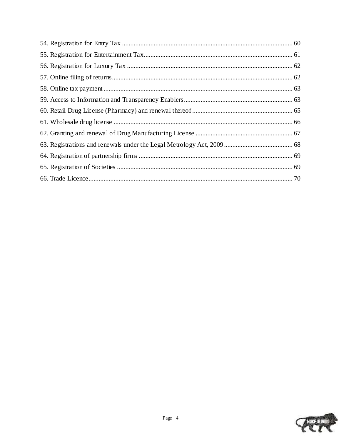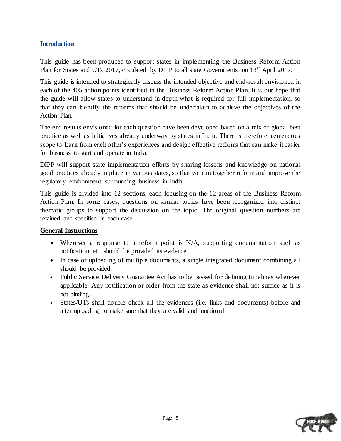### <span id="page-4-0"></span>**Introduction**

This guide has been produced to support states in implementing the Business Reform Action Plan for States and UTs 2017, circulated by DIPP to all state Governments on 13<sup>th</sup> April 2017.

This guide is intended to strategically discuss the intended objective and end-result envisioned in each of the 405 action points identified in the Business Reform Action Plan. It is our hope that the guide will allow states to understand in depth what is required for full implementation, so that they can identify the reforms that should be undertaken to achieve the objectives of the Action Plan.

The end results envisioned for each question have been developed based on a mix of global best practice as well as initiatives already underway by states in India. There is therefore tremendous scope to learn from each other"s experiences and design effective reforms that can make it easier for business to start and operate in India.

DIPP will support state implementation efforts by sharing lessons and knowledge on national good practices already in place in various states, so that we can together reform and improve the regulatory environment surrounding business in India.

This guide is divided into 12 sections, each focusing on the 12 areas of the Business Reform Action Plan. In some cases, questions on similar topics have been reorganized into distinct thematic groups to support the discussion on the topic. The original question numbers are retained and specified in each case.

### **General Instructions**

- Wherever a response to a reform point is N/A, supporting documentation such as notification etc. should be provided as evidence.
- In case of uploading of multiple documents, a single integrated document combining all should be provided.
- Public Service Delivery Guarantee Act has to be passed for defining timelines wherever applicable. Any notification or order from the state as evidence shall not suffice as it is not binding.
- States/UTs shall double check all the evidences (i.e. links and documents) before and after uploading to make sure that they are valid and functional.

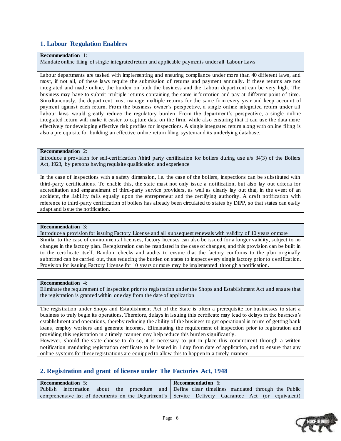### <span id="page-5-0"></span>**1. Labour Regulation Enablers**

#### **Recommendation** 1:

Mandate online filing of single integrated return and applicable payments under all Labour Laws

Labour departments are tasked with implementing and ensuring compliance under more than 40 different laws, and most, if not all, of these laws require the submission of returns and payment annually. If these returns are not integrated and made online, the burden on both the business and the Labour department can be very high. The business may have to submit multiple returns containing the same information and pay at different point of time. Simultaneously, the department must manage multiple returns for the same firm every year and keep account of payment against each return. From the business owner"s perspective, a single online integrated return under all Labour laws would greatly reduce the regulatory burden. From the department's perspective, a single online integrated return will make it easier to capture data on the firm, while also ensuring that it can use the data more effectively for developing effective risk profiles for inspections. A single integrated return along with online filing is also a prerequisite for building an effective online return filing system and its underlying database.

#### **Recommendation** 2:

Introduce a provision for self-certification /third party certification for boilers during use u/s 34(3) of the Boilers Act, 1923, by persons having requisite qualification and experience

In the case of inspections with a safety dimension, i.e. the case of the boilers, inspections can be substituted with third-party certifications. To enable this, the state must not only issue a notification, but also lay out criteria for accreditation and empanelment of third-party service providers, as well as clearly lay out that, in the event of an accident, the liability falls equally upon the entrepreneur and the certifying authority. A draft notification with reference to third-party certification of boilers has already been circulated to states by DIPP, so that states can easily adapt and issue the notification.

#### **Recommendation** 3:

Introduce a provision for issuing Factory License and all subsequent renewals with validity of 10 years or more Similar to the case of environmental licenses, factory licenses can also be issued for a longer validity, subject to no changes in the factory plan. Reregistration can be mandated in the case of changes, and this provision can be built in to the certificate itself. Random checks and audits to ensure that the factory conforms to the plan originally submitted can be carried out, thus reducing the burden on states to inspect every single factory prior to certification. Provision for issuing Factory License for 10 years or more may be implemented through a notification.

#### **Recommendation** 4:

Eliminate the requirement of inspection prior to registration under the Shops and Establishment Act and ensure that the registration is granted within one day from the date of application

The registration under Shops and Establishment Act of the State is often a prerequisite for businesses to start a business to truly begin its operations. Therefore, delays in issuing this certificate may lead to delays in the business"s establishment and operations, thereby reducing the ability of the business to get operational in terms of getting bank loans, employ workers and generate incomes. Eliminating the requirement of inspection prior to registration and providing this registration in a timely manner may help reduce this burden significantly.

However, should the state choose to do so, it is necessary to put in place this commitment through a written notification mandating registration certificate to be issued in 1 day from date of application, and to ensure that any online systems for these registrations are equipped to allow this to happen in a timely manner.

### <span id="page-5-1"></span>**2. Registration and grant of license under The Factories Act, 1948**

| <b>Recommendation</b> 5: |  |  | <b>Recommendation</b> 6:                                                                           |
|--------------------------|--|--|----------------------------------------------------------------------------------------------------|
|                          |  |  | Publish information about the procedure and Define clear timelines mandated through the Public     |
|                          |  |  | comprehensive list of documents on the Department's Service Delivery Guarantee Act (or equivalent) |

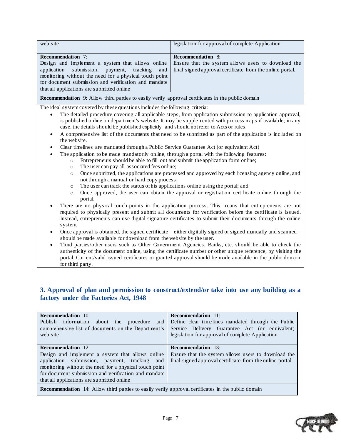| web site<br>legislation for approval of complete Application                                               |  |
|------------------------------------------------------------------------------------------------------------|--|
| <b>Recommendation</b> 7:<br><b>Recommendation</b> 8:                                                       |  |
| Design and implement a system that allows online<br>Ensure that the system allows users to download the    |  |
| application submission, payment, tracking and<br>final signed approval certificate from the online portal. |  |
| monitoring without the need for a physical touch point                                                     |  |
| for document submission and verification and mandate                                                       |  |
| that all applications are submitted online                                                                 |  |

**Recommendation** 9: Allow third parties to easily verify approval certificates in the public domain

The ideal system covered by these questions includes the following criteria:

- The detailed procedure covering all applicable steps, from application submission to application approval, is published online on department's website. It may be supplemented with process maps if available; in any case, the details should be published explicitly and should not refer to Acts or rules.
- A comprehensive list of the documents that need to be submitted as part of the application is inc luded on the website.
- Clear timelines are mandated through a Public Service Guarantee Act (or equivalent Act)
	- The application to be made mandatorily online, through a portal with the following features:
		- o Entrepreneurs should be able to fill out and submit the application form online;
		- o The user can pay all associated fees online;
		- o Once submitted, the applications are processed and approved by each licensing agency online, and not through a manual or hard copy process;
		- o The user can track the status of his applications online using the portal; and
		- $\circ$  Once approved, the user can obtain the approval or registration certificate online through the portal.
- There are no physical touch-points in the application process. This means that entrepreneurs are not required to physically present and submit all documents for verification before the certificate is issued. Instead, entrepreneurs can use digital signature certificates to submit their documents through the online system.
- Once approval is obtained, the signed certificate either digitally signed or signed manually and scanned should be made available for download from the website by the user.
- Third parties/other users such as Other Government Agencies, Banks, etc. should be able to check the authenticity of the document online, using the certificate number or other unique reference, by visiting the portal. Current/valid issued certificates or granted approval should be made available in the public domain for third party.

### <span id="page-6-0"></span>**3. Approval of plan and permission to construct/extend/or take into use any building as a factory under the Factories Act, 1948**

| <b>Recommendation</b> 10:<br>Publish information<br>about<br>the procedure<br>and<br>comprehensive list of documents on the Department's<br>web site                                                                                                                                           | <b>Recommendation</b> 11:<br>Define clear timelines mandated through the Public<br>Service Delivery Guarantee Act (or equivalent)<br>legislation for approval of complete Application |  |
|------------------------------------------------------------------------------------------------------------------------------------------------------------------------------------------------------------------------------------------------------------------------------------------------|---------------------------------------------------------------------------------------------------------------------------------------------------------------------------------------|--|
| <b>Recommendation</b> 12:<br>Design and implement a system that allows online<br>application submission, payment, tracking and<br>monitoring without the need for a physical touch point<br>for document submission and verification and mandate<br>that all applications are submitted online | <b>Recommendation</b> 13:<br>Ensure that the system allows users to download the<br>final signed approval certificate from the online portal.                                         |  |
| <b>Recommendation</b> 14: Allow third parties to easily verify approval certificates in the public domain                                                                                                                                                                                      |                                                                                                                                                                                       |  |

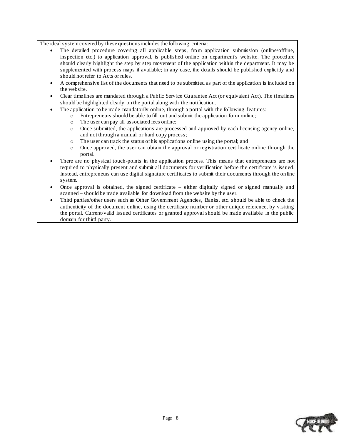- The detailed procedure covering all applicable steps, from application submission (online/offline, inspection etc.) to application approval, is published online on department's website. The procedure should clearly highlight the step by step movement of the application within the department. It may be supplemented with process maps if available; in any case, the details should be published explicitly and should not refer to Acts or rules.
- A comprehensive list of the documents that need to be submitted as part of the application is included on the website.
- Clear timelines are mandated through a Public Service Guarantee Act (or equivalent Act). The timelines should be highlighted clearly on the portal along with the notification.
- The application to be made mandatorily online, through a portal with the following features:
	- o Entrepreneurs should be able to fill out and submit the application form online;
		- o The user can pay all associated fees online;
		- o Once submitted, the applications are processed and approved by each licensing agency online, and not through a manual or hard copy process;
		- o The user can track the status of his applications online using the portal; and
		- o Once approved, the user can obtain the approval or registration certificate online through the portal.
- There are no physical touch-points in the application process. This means that entrepreneurs are not required to physically present and submit all documents for verification before the certificate is issued. Instead, entrepreneurs can use digital signature certificates to submit their documents through the on line system.
- Once approval is obtained, the signed certificate either digitally signed or signed manually and scanned – should be made available for download from the website by the user.
- Third parties/other users such as Other Government Agencies, Banks, etc. should be able to check the authenticity of the document online, using the certificate number or other unique reference, by visiting the portal. Current/valid issued certificates or granted approval should be made available in the public domain for third party.

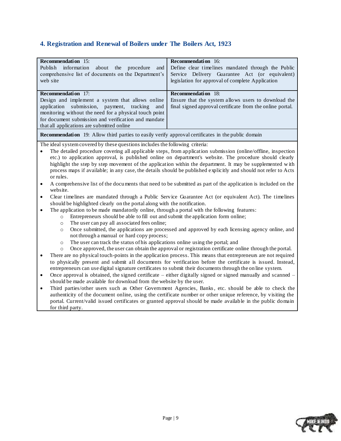# <span id="page-8-0"></span>**4. Registration and Renewal of Boilers under The Boilers Act, 1923**

| <b>Recommendation</b> 15:<br>Publish information<br>about<br>the<br>procedure<br>and<br>comprehensive list of documents on the Department's<br>web site                                                                                                                                                                                                                                                                                                                                                                                                                                                                                                                                                                                                                                                                                                                                                                                                                                                                                                                                                                                                                                                                                                                                                                                                                                                                                                                                                                                                                                                                                                                                                                                                                                                                                                                                                                                                                                                                                                                                                                                                                                                                                                                                                                                                                                                                                                                                                                                                                   | <b>Recommendation</b> 16:<br>Define clear timelines mandated through the Public<br>Service Delivery Guarantee Act (or equivalent)<br>legislation for approval of complete Application |  |
|---------------------------------------------------------------------------------------------------------------------------------------------------------------------------------------------------------------------------------------------------------------------------------------------------------------------------------------------------------------------------------------------------------------------------------------------------------------------------------------------------------------------------------------------------------------------------------------------------------------------------------------------------------------------------------------------------------------------------------------------------------------------------------------------------------------------------------------------------------------------------------------------------------------------------------------------------------------------------------------------------------------------------------------------------------------------------------------------------------------------------------------------------------------------------------------------------------------------------------------------------------------------------------------------------------------------------------------------------------------------------------------------------------------------------------------------------------------------------------------------------------------------------------------------------------------------------------------------------------------------------------------------------------------------------------------------------------------------------------------------------------------------------------------------------------------------------------------------------------------------------------------------------------------------------------------------------------------------------------------------------------------------------------------------------------------------------------------------------------------------------------------------------------------------------------------------------------------------------------------------------------------------------------------------------------------------------------------------------------------------------------------------------------------------------------------------------------------------------------------------------------------------------------------------------------------------------|---------------------------------------------------------------------------------------------------------------------------------------------------------------------------------------|--|
| Recommendation 17:<br>Design and implement a system that allows online<br>submission, payment, tracking<br>application<br>and<br>monitoring without the need for a physical touch point<br>for document submission and verification and mandate<br>that all applications are submitted online                                                                                                                                                                                                                                                                                                                                                                                                                                                                                                                                                                                                                                                                                                                                                                                                                                                                                                                                                                                                                                                                                                                                                                                                                                                                                                                                                                                                                                                                                                                                                                                                                                                                                                                                                                                                                                                                                                                                                                                                                                                                                                                                                                                                                                                                             | Recommendation 18:<br>Ensure that the system allows users to download the<br>final signed approval certificate from the online portal.                                                |  |
|                                                                                                                                                                                                                                                                                                                                                                                                                                                                                                                                                                                                                                                                                                                                                                                                                                                                                                                                                                                                                                                                                                                                                                                                                                                                                                                                                                                                                                                                                                                                                                                                                                                                                                                                                                                                                                                                                                                                                                                                                                                                                                                                                                                                                                                                                                                                                                                                                                                                                                                                                                           |                                                                                                                                                                                       |  |
| <b>Recommendation</b> 19: Allow third parties to easily verify approval certificates in the public domain<br>The ideal system covered by these questions includes the following criteria:<br>The detailed procedure covering all applicable steps, from application submission (online/offline, inspection<br>etc.) to application approval, is published online on department's website. The procedure should clearly<br>highlight the step by step movement of the application within the department. It may be supplemented with<br>process maps if available; in any case, the details should be published explicitly and should not refer to Acts<br>or rules.<br>A comprehensive list of the documents that need to be submitted as part of the application is included on the<br>$\bullet$<br>website.<br>Clear timelines are mandated through a Public Service Guarantee Act (or equivalent Act). The timelines<br>٠<br>should be highlighted clearly on the portal along with the notification.<br>The application to be made mandatorily online, through a portal with the following features:<br>Entrepreneurs should be able to fill out and submit the application form online;<br>$\circ$<br>The user can pay all associated fees online;<br>$\circ$<br>Once submitted, the applications are processed and approved by each licensing agency online, and<br>$\circ$<br>not through a manual or hard copy process;<br>The user can track the status of his applications online using the portal; and<br>$\circ$<br>Once approved, the user can obtain the approval or registration certificate online through the portal.<br>$\circ$<br>There are no physical touch-points in the application process. This means that entrepreneurs are not required<br>to physically present and submit all documents for verification before the certificate is issued. Instead,<br>entrepreneurs can use digital signature certificates to submit their documents through the online system.<br>Once approval is obtained, the signed certificate – either digitally signed or signed manually and scanned –<br>$\bullet$<br>should be made available for download from the website by the user.<br>Third parties/other users such as Other Government Agencies, Banks, etc. should be able to check the<br>$\bullet$<br>authenticity of the document online, using the certificate number or other unique reference, by visiting the<br>portal. Current/valid issued certificates or granted approval should be made available in the public domain<br>for third party. |                                                                                                                                                                                       |  |
|                                                                                                                                                                                                                                                                                                                                                                                                                                                                                                                                                                                                                                                                                                                                                                                                                                                                                                                                                                                                                                                                                                                                                                                                                                                                                                                                                                                                                                                                                                                                                                                                                                                                                                                                                                                                                                                                                                                                                                                                                                                                                                                                                                                                                                                                                                                                                                                                                                                                                                                                                                           |                                                                                                                                                                                       |  |

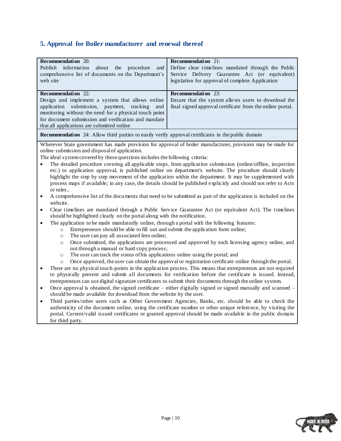# <span id="page-9-0"></span>**5. Approval for Boiler manufacturer and renewal thereof**

for third party.

| <b>Recommendation</b> 20:<br>Publish<br>information<br>about<br>the<br>procedure<br>and<br>comprehensive list of documents on the Department's<br>web site                                                                                                                                                                                                                                                                                                            | <b>Recommendation</b> 21:<br>Define clear timelines mandated through the Public<br>Service Delivery Guarantee Act (or equivalent)<br>legislation for approval of complete Application |  |  |
|-----------------------------------------------------------------------------------------------------------------------------------------------------------------------------------------------------------------------------------------------------------------------------------------------------------------------------------------------------------------------------------------------------------------------------------------------------------------------|---------------------------------------------------------------------------------------------------------------------------------------------------------------------------------------|--|--|
| Recommendation 22:                                                                                                                                                                                                                                                                                                                                                                                                                                                    | Recommendation 23:                                                                                                                                                                    |  |  |
| Design and implement a system that allows online<br>application submission, payment,<br>tracking<br>and<br>monitoring without the need for a physical touch point<br>for document submission and verification and mandate<br>that all applications are submitted online                                                                                                                                                                                               | Ensure that the system allows users to download the<br>final signed approval certificate from the online portal.                                                                      |  |  |
| <b>Recommendation</b> 24: Allow third parties to easily verify approval certificates in the public domain                                                                                                                                                                                                                                                                                                                                                             |                                                                                                                                                                                       |  |  |
|                                                                                                                                                                                                                                                                                                                                                                                                                                                                       | Wherever State government has made provision for approval of boiler manufacturer, provision may be made for                                                                           |  |  |
| online submission and disposal of application.                                                                                                                                                                                                                                                                                                                                                                                                                        |                                                                                                                                                                                       |  |  |
| The ideal system covered by these questions includes the following criteria:                                                                                                                                                                                                                                                                                                                                                                                          |                                                                                                                                                                                       |  |  |
| The detailed procedure covering all applicable steps, from application submission (online/offline, inspection<br>etc.) to application approval, is published online on department's website. The procedure should clearly<br>highlight the step by step movement of the application within the department. It may be supplemented with<br>process maps if available; in any case, the details should be published explicitly and should not refer to Acts<br>or rules |                                                                                                                                                                                       |  |  |
| A comprehensive list of the documents that need to be submitted as part of the application is included on the<br>$\bullet$<br>website.                                                                                                                                                                                                                                                                                                                                |                                                                                                                                                                                       |  |  |
| Clear timelines are mandated through a Public Service Guarantee Act (or equivalent Act). The timelines<br>$\bullet$<br>should be highlighted clearly on the portal along with the notification.                                                                                                                                                                                                                                                                       |                                                                                                                                                                                       |  |  |
| The application to be made mandatorily online, through a portal with the following features:<br>$\bullet$                                                                                                                                                                                                                                                                                                                                                             |                                                                                                                                                                                       |  |  |
| Entrepreneurs should be able to fill out and submit the application form online;<br>$\circ$                                                                                                                                                                                                                                                                                                                                                                           |                                                                                                                                                                                       |  |  |
| The user can pay all associated fees online;<br>$\circ$                                                                                                                                                                                                                                                                                                                                                                                                               |                                                                                                                                                                                       |  |  |
| Once submitted, the applications are processed and approved by each licensing agency online, and<br>$\circ$<br>not through a manual or hard copy process;                                                                                                                                                                                                                                                                                                             |                                                                                                                                                                                       |  |  |
| The user can track the status of his applications online using the portal; and<br>$\circ$                                                                                                                                                                                                                                                                                                                                                                             |                                                                                                                                                                                       |  |  |
| Once approved, the user can obtain the approval or registration certificate online through the portal.<br>$\circ$                                                                                                                                                                                                                                                                                                                                                     |                                                                                                                                                                                       |  |  |
| There are no physical touch-points in the application process. This means that entrepreneurs are not required<br>$\bullet$<br>to physically present and submit all documents for verification before the certificate is issued. Instead,                                                                                                                                                                                                                              |                                                                                                                                                                                       |  |  |
| entrepreneurs can use digital signature certificates to submit their documents through the online system.                                                                                                                                                                                                                                                                                                                                                             |                                                                                                                                                                                       |  |  |
| Once approval is obtained, the signed certificate – either digitally signed or signed manually and scanned –<br>$\bullet$<br>should be made available for download from the website by the user.                                                                                                                                                                                                                                                                      |                                                                                                                                                                                       |  |  |
| Third parties/other users such as Other Government Agencies, Banks, etc. should be able to check the<br>$\bullet$<br>authenticity of the document online, using the certificate number or other unique reference, by visiting the<br>portal. Current/valid issued certificates or granted approval should be made available in the public domain                                                                                                                      |                                                                                                                                                                                       |  |  |

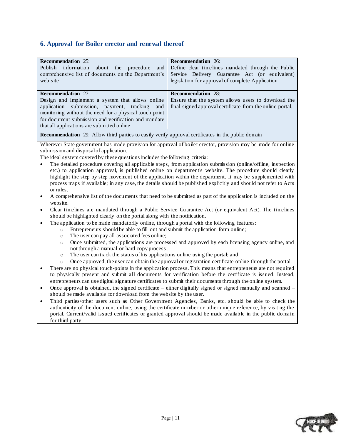# <span id="page-10-0"></span>**6. Approval for Boiler erector and renewal thereof**

| Recommendation 25:<br>Publish information<br>about<br>the<br>procedure<br>and<br>comprehensive list of documents on the Department's                                                                                                                                    | <b>Recommendation</b> 26:<br>Define clear timelines mandated through the Public<br>Service Delivery Guarantee Act (or equivalent) |  |  |
|-------------------------------------------------------------------------------------------------------------------------------------------------------------------------------------------------------------------------------------------------------------------------|-----------------------------------------------------------------------------------------------------------------------------------|--|--|
| web site                                                                                                                                                                                                                                                                | legislation for approval of complete Application                                                                                  |  |  |
| <b>Recommendation</b> 27:                                                                                                                                                                                                                                               | Recommendation 28:                                                                                                                |  |  |
| Design and implement a system that allows online<br>application<br>submission, payment, tracking<br>and<br>monitoring without the need for a physical touch point<br>for document submission and verification and mandate<br>that all applications are submitted online | Ensure that the system allows users to download the<br>final signed approval certificate from the online portal.                  |  |  |
| <b>Recommendation</b> 29: Allow third parties to easily verify approval certificates in the public domain                                                                                                                                                               |                                                                                                                                   |  |  |
|                                                                                                                                                                                                                                                                         | Wherever State government has made provision for approval of boiler erector, provision may be made for online                     |  |  |
| submission and disposal of application.                                                                                                                                                                                                                                 |                                                                                                                                   |  |  |
| The ideal system covered by these questions includes the following criteria:                                                                                                                                                                                            |                                                                                                                                   |  |  |
| $\bullet$                                                                                                                                                                                                                                                               | The detailed procedure covering all applicable steps, from application submission (online/offline, inspection                     |  |  |
|                                                                                                                                                                                                                                                                         | etc.) to application approval, is published online on department's website. The procedure should clearly                          |  |  |
|                                                                                                                                                                                                                                                                         | highlight the step by step movement of the application within the department. It may be supplemented with                         |  |  |
|                                                                                                                                                                                                                                                                         | process maps if available; in any case, the details should be published explicitly and should not refer to Acts                   |  |  |
| or rules.                                                                                                                                                                                                                                                               |                                                                                                                                   |  |  |
| A comprehensive list of the documents that need to be submitted as part of the application is included on the<br>$\bullet$<br>website.                                                                                                                                  |                                                                                                                                   |  |  |
| $\bullet$                                                                                                                                                                                                                                                               | Clear timelines are mandated through a Public Service Guarantee Act (or equivalent Act). The timelines                            |  |  |
| should be highlighted clearly on the portal along with the notification.                                                                                                                                                                                                |                                                                                                                                   |  |  |
| The application to be made mandatorily online, through a portal with the following features:                                                                                                                                                                            |                                                                                                                                   |  |  |
| Entrepreneurs should be able to fill out and submit the application form online;<br>$\circ$                                                                                                                                                                             |                                                                                                                                   |  |  |
| The user can pay all associated fees online;<br>$\circ$                                                                                                                                                                                                                 |                                                                                                                                   |  |  |
| Once submitted, the applications are processed and approved by each licensing agency online, and<br>$\circ$                                                                                                                                                             |                                                                                                                                   |  |  |
| not through a manual or hard copy process;                                                                                                                                                                                                                              |                                                                                                                                   |  |  |
| The user can track the status of his applications online using the portal; and<br>$\circ$                                                                                                                                                                               |                                                                                                                                   |  |  |
| Once approved, the user can obtain the approval or registration certificate online through the portal.<br>$\circ$                                                                                                                                                       |                                                                                                                                   |  |  |
| There are no physical touch-points in the application process. This means that entrepreneurs are not required<br>$\bullet$                                                                                                                                              |                                                                                                                                   |  |  |
| to physically present and submit all documents for verification before the certificate is issued. Instead,<br>entrepreneurs can use digital signature certificates to submit their documents through the online system.                                                 |                                                                                                                                   |  |  |
|                                                                                                                                                                                                                                                                         |                                                                                                                                   |  |  |
| Once approval is obtained, the signed certificate – either digitally signed or signed manually and scanned –<br>$\bullet$<br>should be made available for download from the website by the user.                                                                        |                                                                                                                                   |  |  |
| Third parties/other users such as Other Government Agencies, Banks, etc. should be able to check the<br>$\bullet$                                                                                                                                                       |                                                                                                                                   |  |  |
| authenticity of the document online, using the certificate number or other unique reference, by visiting the                                                                                                                                                            |                                                                                                                                   |  |  |
| portal. Current/valid issued certificates or granted approval should be made available in the public domain                                                                                                                                                             |                                                                                                                                   |  |  |
| for third party.                                                                                                                                                                                                                                                        |                                                                                                                                   |  |  |

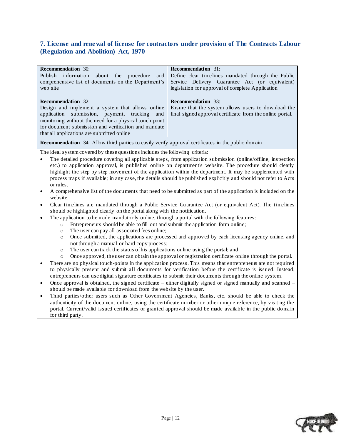### <span id="page-11-0"></span>**7. License and renewal of license for contractors under provision of The Contracts Labour (Regulation and Abolition) Act, 1970**

| <b>Recommendation</b> 30:                                                                                                                                                                            | <b>Recommendation</b> 31:                                                                                       |  |  |
|------------------------------------------------------------------------------------------------------------------------------------------------------------------------------------------------------|-----------------------------------------------------------------------------------------------------------------|--|--|
| Publish<br>information<br>about<br>procedure<br>the<br>and                                                                                                                                           | Define clear timelines mandated through the Public                                                              |  |  |
| comprehensive list of documents on the Department's                                                                                                                                                  | Service Delivery Guarantee Act (or equivalent)                                                                  |  |  |
| web site                                                                                                                                                                                             | legislation for approval of complete Application                                                                |  |  |
| <b>Recommendation</b> 32:                                                                                                                                                                            | <b>Recommendation</b> 33:                                                                                       |  |  |
| Design and implement a system that allows online                                                                                                                                                     | Ensure that the system allows users to download the                                                             |  |  |
| submission, payment, tracking<br>application<br>and                                                                                                                                                  | final signed approval certificate from the online portal.                                                       |  |  |
| monitoring without the need for a physical touch point                                                                                                                                               |                                                                                                                 |  |  |
| for document submission and verification and mandate                                                                                                                                                 |                                                                                                                 |  |  |
| that all applications are submitted online                                                                                                                                                           |                                                                                                                 |  |  |
| <b>Recommendation</b> 34: Allow third parties to easily verify approval certificates in the public domain                                                                                            |                                                                                                                 |  |  |
| The ideal system covered by these questions includes the following criteria:                                                                                                                         |                                                                                                                 |  |  |
|                                                                                                                                                                                                      | The detailed procedure covering all applicable steps, from application submission (online/offline, inspection   |  |  |
|                                                                                                                                                                                                      | etc.) to application approval, is published online on department's website. The procedure should clearly        |  |  |
|                                                                                                                                                                                                      | highlight the step by step movement of the application within the department. It may be supplemented with       |  |  |
|                                                                                                                                                                                                      | process maps if available; in any case, the details should be published explicitly and should not refer to Acts |  |  |
| or rules.                                                                                                                                                                                            |                                                                                                                 |  |  |
| A comprehensive list of the documents that need to be submitted as part of the application is included on the<br>$\bullet$<br>website.                                                               |                                                                                                                 |  |  |
| Clear timelines are mandated through a Public Service Guarantee Act (or equivalent Act). The timelines<br>$\bullet$                                                                                  |                                                                                                                 |  |  |
| should be highlighted clearly on the portal along with the notification.                                                                                                                             |                                                                                                                 |  |  |
| The application to be made mandatorily online, through a portal with the following features:<br>$\bullet$                                                                                            |                                                                                                                 |  |  |
| Entrepreneurs should be able to fill out and submit the application form online;<br>$\circ$                                                                                                          |                                                                                                                 |  |  |
| The user can pay all associated fees online;<br>$\circ$                                                                                                                                              |                                                                                                                 |  |  |
| $\circ$                                                                                                                                                                                              | Once submitted, the applications are processed and approved by each licensing agency online, and                |  |  |
| not through a manual or hard copy process;                                                                                                                                                           |                                                                                                                 |  |  |
| The user can track the status of his applications online using the portal; and<br>$\circ$                                                                                                            |                                                                                                                 |  |  |
| $\circ$                                                                                                                                                                                              | Once approved, the user can obtain the approval or registration certificate online through the portal.          |  |  |
| There are no physical touch-points in the application process. This means that entrepreneurs are not required<br>$\bullet$                                                                           |                                                                                                                 |  |  |
| to physically present and submit all documents for verification before the certificate is issued. Instead,                                                                                           |                                                                                                                 |  |  |
| entrepreneurs can use digital signature certificates to submit their documents through the online system.                                                                                            |                                                                                                                 |  |  |
| Once approval is obtained, the signed certificate $-$ either digitally signed or signed manually and scanned $-$<br>$\bullet$<br>should be made available for download from the website by the user. |                                                                                                                 |  |  |
| $\bullet$                                                                                                                                                                                            | Third parties/other users such as Other Government Agencies, Banks, etc. should be able to check the            |  |  |
|                                                                                                                                                                                                      | authenticity of the document online, using the certificate number or other unique reference, by visiting the    |  |  |
| portal. Current/valid issued certificates or granted approval should be made available in the public domain                                                                                          |                                                                                                                 |  |  |

for third party.

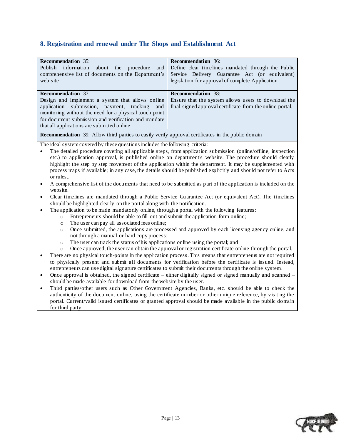# <span id="page-12-0"></span>**8. Registration and renewal under The Shops and Establishment Act**

| <b>Recommendation</b> 35:<br>information<br>Publish<br>about<br>the<br>procedure<br>and<br>comprehensive list of documents on the Department's<br>web site                                                                                                                                                                                                                                                                                                                                                                                                                                                                                                                                                                                                                                                                                                                                                                                                                                                                                                                                                                                                                                                                                                                                                                                                                                                                                                                                                                                                                                                                                                                                                                                                                                                                                                                                                                                                                                                                                                                                                                                                                                                                                                                                                                                                                                                                                                                                                                                                                                                                     | <b>Recommendation</b> 36:<br>Define clear timelines mandated through the Public<br>Service Delivery Guarantee Act (or equivalent)<br>legislation for approval of complete Application |  |
|--------------------------------------------------------------------------------------------------------------------------------------------------------------------------------------------------------------------------------------------------------------------------------------------------------------------------------------------------------------------------------------------------------------------------------------------------------------------------------------------------------------------------------------------------------------------------------------------------------------------------------------------------------------------------------------------------------------------------------------------------------------------------------------------------------------------------------------------------------------------------------------------------------------------------------------------------------------------------------------------------------------------------------------------------------------------------------------------------------------------------------------------------------------------------------------------------------------------------------------------------------------------------------------------------------------------------------------------------------------------------------------------------------------------------------------------------------------------------------------------------------------------------------------------------------------------------------------------------------------------------------------------------------------------------------------------------------------------------------------------------------------------------------------------------------------------------------------------------------------------------------------------------------------------------------------------------------------------------------------------------------------------------------------------------------------------------------------------------------------------------------------------------------------------------------------------------------------------------------------------------------------------------------------------------------------------------------------------------------------------------------------------------------------------------------------------------------------------------------------------------------------------------------------------------------------------------------------------------------------------------------|---------------------------------------------------------------------------------------------------------------------------------------------------------------------------------------|--|
|                                                                                                                                                                                                                                                                                                                                                                                                                                                                                                                                                                                                                                                                                                                                                                                                                                                                                                                                                                                                                                                                                                                                                                                                                                                                                                                                                                                                                                                                                                                                                                                                                                                                                                                                                                                                                                                                                                                                                                                                                                                                                                                                                                                                                                                                                                                                                                                                                                                                                                                                                                                                                                |                                                                                                                                                                                       |  |
| Recommendation 37:<br>Design and implement a system that allows online<br>submission, payment, tracking<br>application<br>and<br>monitoring without the need for a physical touch point<br>for document submission and verification and mandate                                                                                                                                                                                                                                                                                                                                                                                                                                                                                                                                                                                                                                                                                                                                                                                                                                                                                                                                                                                                                                                                                                                                                                                                                                                                                                                                                                                                                                                                                                                                                                                                                                                                                                                                                                                                                                                                                                                                                                                                                                                                                                                                                                                                                                                                                                                                                                                | <b>Recommendation</b> 38:<br>Ensure that the system allows users to download the<br>final signed approval certificate from the online portal.                                         |  |
|                                                                                                                                                                                                                                                                                                                                                                                                                                                                                                                                                                                                                                                                                                                                                                                                                                                                                                                                                                                                                                                                                                                                                                                                                                                                                                                                                                                                                                                                                                                                                                                                                                                                                                                                                                                                                                                                                                                                                                                                                                                                                                                                                                                                                                                                                                                                                                                                                                                                                                                                                                                                                                |                                                                                                                                                                                       |  |
|                                                                                                                                                                                                                                                                                                                                                                                                                                                                                                                                                                                                                                                                                                                                                                                                                                                                                                                                                                                                                                                                                                                                                                                                                                                                                                                                                                                                                                                                                                                                                                                                                                                                                                                                                                                                                                                                                                                                                                                                                                                                                                                                                                                                                                                                                                                                                                                                                                                                                                                                                                                                                                |                                                                                                                                                                                       |  |
| that all applications are submitted online<br><b>Recommendation</b> 39: Allow third parties to easily verify approval certificates in the public domain<br>The ideal system covered by these questions includes the following criteria:<br>The detailed procedure covering all applicable steps, from application submission (online/offline, inspection<br>etc.) to application approval, is published online on department's website. The procedure should clearly<br>highlight the step by step movement of the application within the department. It may be supplemented with<br>process maps if available; in any case, the details should be published explicitly and should not refer to Acts<br>or rules<br>A comprehensive list of the documents that need to be submitted as part of the application is included on the<br>$\bullet$<br>website.<br>Clear timelines are mandated through a Public Service Guarantee Act (or equivalent Act). The timelines<br>$\bullet$<br>should be highlighted clearly on the portal along with the notification.<br>The application to be made mandatorily online, through a portal with the following features:<br>Entrepreneurs should be able to fill out and submit the application form online;<br>$\circ$<br>The user can pay all associated fees online;<br>$\circ$<br>Once submitted, the applications are processed and approved by each licensing agency online, and<br>$\circ$<br>not through a manual or hard copy process;<br>The user can track the status of his applications online using the portal; and<br>$\circ$<br>Once approved, the user can obtain the approval or registration certificate online through the portal.<br>$\circ$<br>There are no physical touch-points in the application process. This means that entrepreneurs are not required<br>to physically present and submit all documents for verification before the certificate is issued. Instead,<br>entrepreneurs can use digital signature certificates to submit their documents through the online system.<br>Once approval is obtained, the signed certificate – either digitally signed or signed manually and scanned –<br>$\bullet$<br>should be made available for download from the website by the user.<br>Third parties/other users such as Other Government Agencies, Banks, etc. should be able to check the<br>$\bullet$<br>authenticity of the document online, using the certificate number or other unique reference, by visiting the<br>portal. Current/valid issued certificates or granted approval should be made available in the public domain<br>for third party. |                                                                                                                                                                                       |  |

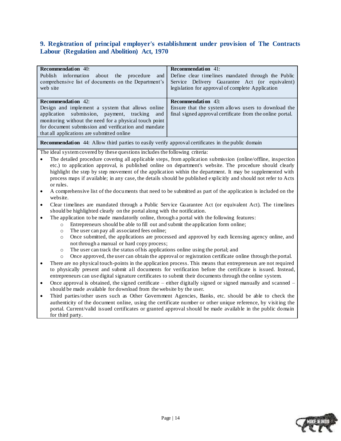### <span id="page-13-0"></span>**9. Registration of principal employer's establishment under provision of The Contracts Labour (Regulation and Abolition) Act, 1970**

| <b>Recommendation</b> 40:                                                                                                     | <b>Recommendation</b> 41:                                                                                       |  |  |
|-------------------------------------------------------------------------------------------------------------------------------|-----------------------------------------------------------------------------------------------------------------|--|--|
| Publish<br>information<br>about<br>procedure<br>the<br>and                                                                    | Define clear timelines mandated through the Public                                                              |  |  |
| comprehensive list of documents on the Department's                                                                           | Service Delivery Guarantee Act (or equivalent)                                                                  |  |  |
| web site                                                                                                                      | legislation for approval of complete Application                                                                |  |  |
|                                                                                                                               |                                                                                                                 |  |  |
| <b>Recommendation</b> 42:                                                                                                     | Recommendation 43:                                                                                              |  |  |
| Design and implement a system that allows online                                                                              | Ensure that the system allows users to download the                                                             |  |  |
| submission,<br>payment,<br>application<br>tracking<br>and                                                                     | final signed approval certificate from the online portal.                                                       |  |  |
| monitoring without the need for a physical touch point                                                                        |                                                                                                                 |  |  |
| for document submission and verification and mandate                                                                          |                                                                                                                 |  |  |
| that all applications are submitted online                                                                                    |                                                                                                                 |  |  |
| <b>Recommendation</b> 44: Allow third parties to easily verify approval certificates in the public domain                     |                                                                                                                 |  |  |
| The ideal system covered by these questions includes the following criteria:                                                  |                                                                                                                 |  |  |
| $\bullet$                                                                                                                     | The detailed procedure covering all applicable steps, from application submission (online/offline, inspection   |  |  |
|                                                                                                                               | etc.) to application approval, is published online on department's website. The procedure should clearly        |  |  |
|                                                                                                                               | highlight the step by step movement of the application within the department. It may be supplemented with       |  |  |
|                                                                                                                               | process maps if available; in any case, the details should be published explicitly and should not refer to Acts |  |  |
| or rules.                                                                                                                     |                                                                                                                 |  |  |
| $\bullet$                                                                                                                     | A comprehensive list of the documents that need to be submitted as part of the application is included on the   |  |  |
| website.                                                                                                                      |                                                                                                                 |  |  |
| Clear timelines are mandated through a Public Service Guarantee Act (or equivalent Act). The timelines<br>$\bullet$           |                                                                                                                 |  |  |
| should be highlighted clearly on the portal along with the notification.                                                      |                                                                                                                 |  |  |
| The application to be made mandatorily online, through a portal with the following features:<br>$\bullet$                     |                                                                                                                 |  |  |
| Entrepreneurs should be able to fill out and submit the application form online;<br>$\circ$                                   |                                                                                                                 |  |  |
| The user can pay all associated fees online;<br>$\circ$                                                                       |                                                                                                                 |  |  |
| $\circ$                                                                                                                       | Once submitted, the applications are processed and approved by each licensing agency online, and                |  |  |
| not through a manual or hard copy process;                                                                                    |                                                                                                                 |  |  |
| The user can track the status of his applications online using the portal; and<br>$\circ$                                     |                                                                                                                 |  |  |
| $\circ$                                                                                                                       | Once approved, the user can obtain the approval or registration certificate online through the portal.          |  |  |
| $\bullet$                                                                                                                     | There are no physical touch-points in the application process. This means that entrepreneurs are not required   |  |  |
| to physically present and submit all documents for verification before the certificate is issued. Instead,                    |                                                                                                                 |  |  |
| entrepreneurs can use digital signature certificates to submit their documents through the online system.                     |                                                                                                                 |  |  |
| Once approval is obtained, the signed certificate $-$ either digitally signed or signed manually and scanned $-$<br>$\bullet$ |                                                                                                                 |  |  |
| should be made available for download from the website by the user.                                                           |                                                                                                                 |  |  |
| Third parties/other users such as Other Government Agencies, Banks, etc. should be able to check the<br>$\bullet$             |                                                                                                                 |  |  |
| authenticity of the document online, using the certificate number or other unique reference, by visiting the                  |                                                                                                                 |  |  |

authenticity of the document online, using the certificate number or other unique reference, by visit ing the portal. Current/valid issued certificates or granted approval should be made available in the public domain for third party.

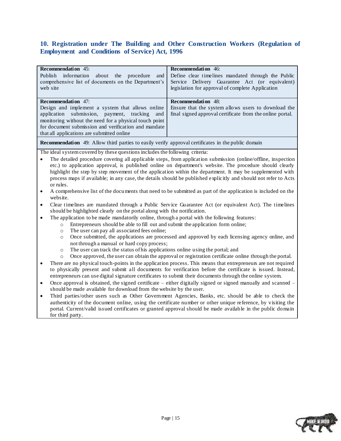### <span id="page-14-0"></span>**10. Registration under The Building and Other Construction Workers (Regulation of Employment and Conditions of Service) Act, 1996**

| <b>Recommendation</b> 45:                                                                                                                                                                                                            | <b>Recommendation</b> 46:                                                                                       |  |
|--------------------------------------------------------------------------------------------------------------------------------------------------------------------------------------------------------------------------------------|-----------------------------------------------------------------------------------------------------------------|--|
| Publish<br>information<br>about<br>procedure<br>the<br>and                                                                                                                                                                           | Define clear timelines mandated through the Public                                                              |  |
| comprehensive list of documents on the Department's                                                                                                                                                                                  | Service Delivery Guarantee Act (or equivalent)                                                                  |  |
| web site                                                                                                                                                                                                                             | legislation for approval of complete Application                                                                |  |
|                                                                                                                                                                                                                                      |                                                                                                                 |  |
| <b>Recommendation</b> 47:                                                                                                                                                                                                            | Recommendation 48:                                                                                              |  |
| Design and implement a system that allows online                                                                                                                                                                                     | Ensure that the system allows users to download the                                                             |  |
| application submission, payment, tracking<br>and                                                                                                                                                                                     | final signed approval certificate from the online portal.                                                       |  |
| monitoring without the need for a physical touch point                                                                                                                                                                               |                                                                                                                 |  |
| for document submission and verification and mandate                                                                                                                                                                                 |                                                                                                                 |  |
| that all applications are submitted online                                                                                                                                                                                           |                                                                                                                 |  |
| <b>Recommendation</b> 49: Allow third parties to easily verify approval certificates in the public domain                                                                                                                            |                                                                                                                 |  |
| The ideal system covered by these questions includes the following criteria:                                                                                                                                                         |                                                                                                                 |  |
| $\bullet$                                                                                                                                                                                                                            | The detailed procedure covering all applicable steps, from application submission (online/offline, inspection   |  |
|                                                                                                                                                                                                                                      | etc.) to application approval, is published online on department's website. The procedure should clearly        |  |
|                                                                                                                                                                                                                                      | highlight the step by step movement of the application within the department. It may be supplemented with       |  |
|                                                                                                                                                                                                                                      | process maps if available; in any case, the details should be published explicitly and should not refer to Acts |  |
| or rules.                                                                                                                                                                                                                            |                                                                                                                 |  |
| $\bullet$<br>website.                                                                                                                                                                                                                | A comprehensive list of the documents that need to be submitted as part of the application is included on the   |  |
| Clear timelines are mandated through a Public Service Guarantee Act (or equivalent Act). The timelines<br>$\bullet$<br>should be highlighted clearly on the portal along with the notification.                                      |                                                                                                                 |  |
| The application to be made mandatorily online, through a portal with the following features:<br>$\bullet$                                                                                                                            |                                                                                                                 |  |
| Entrepreneurs should be able to fill out and submit the application form online;                                                                                                                                                     |                                                                                                                 |  |
| $\circ$<br>The user can pay all associated fees online;                                                                                                                                                                              |                                                                                                                 |  |
| $\circ$<br>$\circ$                                                                                                                                                                                                                   | Once submitted, the applications are processed and approved by each licensing agency online, and                |  |
| not through a manual or hard copy process;                                                                                                                                                                                           |                                                                                                                 |  |
| The user can track the status of his applications online using the portal; and<br>$\circ$                                                                                                                                            |                                                                                                                 |  |
| $\circ$                                                                                                                                                                                                                              |                                                                                                                 |  |
| Once approved, the user can obtain the approval or registration certificate online through the portal.<br>There are no physical touch-points in the application process. This means that entrepreneurs are not required<br>$\bullet$ |                                                                                                                 |  |
| to physically present and submit all documents for verification before the certificate is issued. Instead,                                                                                                                           |                                                                                                                 |  |
| entrepreneurs can use digital signature certificates to submit their documents through the online system.                                                                                                                            |                                                                                                                 |  |
| Once approval is obtained, the signed certificate - either digitally signed or signed manually and scanned -<br>$\bullet$                                                                                                            |                                                                                                                 |  |
| should be made available for download from the website by the user.                                                                                                                                                                  |                                                                                                                 |  |
| $\bullet$                                                                                                                                                                                                                            | Third parties/other users such as Other Government Agencies, Banks, etc. should be able to check the            |  |
|                                                                                                                                                                                                                                      | authenticity of the document online, using the certificate number or other unique reference, by visiting the    |  |
|                                                                                                                                                                                                                                      | portal. Current/valid issued certificates or granted approval should be made available in the public domain     |  |

for third party.

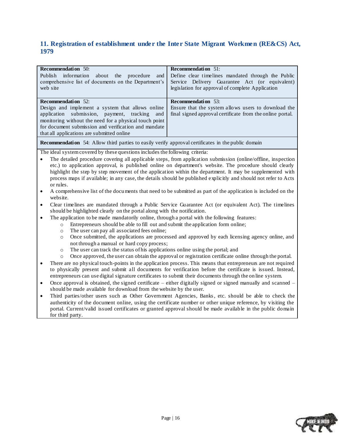### <span id="page-15-0"></span>**11. Registration of establishment under the Inter State Migrant Workmen (RE&CS) Act, 1979**

| <b>Recommendation</b> 50:                                                                                                  | <b>Recommendation</b> 51:                                                                                       |  |  |
|----------------------------------------------------------------------------------------------------------------------------|-----------------------------------------------------------------------------------------------------------------|--|--|
| Publish<br>information<br>about<br>the<br>procedure<br>and                                                                 | Define clear timelines mandated through the Public                                                              |  |  |
| comprehensive list of documents on the Department's                                                                        | Service Delivery Guarantee Act (or equivalent)                                                                  |  |  |
| web site                                                                                                                   | legislation for approval of complete Application                                                                |  |  |
|                                                                                                                            |                                                                                                                 |  |  |
| <b>Recommendation</b> 52:                                                                                                  | Recommendation 53:                                                                                              |  |  |
| Design and implement a system that allows online                                                                           | Ensure that the system allows users to download the                                                             |  |  |
| submission, payment,<br>application<br>tracking<br>and                                                                     | final signed approval certificate from the online portal.                                                       |  |  |
| monitoring without the need for a physical touch point                                                                     |                                                                                                                 |  |  |
| for document submission and verification and mandate                                                                       |                                                                                                                 |  |  |
| that all applications are submitted online                                                                                 |                                                                                                                 |  |  |
| <b>Recommendation</b> 54: Allow third parties to easily verify approval certificates in the public domain                  |                                                                                                                 |  |  |
| The ideal system covered by these questions includes the following criteria:                                               |                                                                                                                 |  |  |
|                                                                                                                            | The detailed procedure covering all applicable steps, from application submission (online/offline, inspection   |  |  |
|                                                                                                                            | etc.) to application approval, is published online on department's website. The procedure should clearly        |  |  |
|                                                                                                                            | highlight the step by step movement of the application within the department. It may be supplemented with       |  |  |
|                                                                                                                            | process maps if available; in any case, the details should be published explicitly and should not refer to Acts |  |  |
| or rules.                                                                                                                  |                                                                                                                 |  |  |
| $\bullet$                                                                                                                  | A comprehensive list of the documents that need to be submitted as part of the application is included on the   |  |  |
| website.                                                                                                                   |                                                                                                                 |  |  |
| Clear timelines are mandated through a Public Service Guarantee Act (or equivalent Act). The timelines<br>$\bullet$        |                                                                                                                 |  |  |
| should be highlighted clearly on the portal along with the notification.                                                   |                                                                                                                 |  |  |
| The application to be made mandatorily online, through a portal with the following features:<br>$\bullet$                  |                                                                                                                 |  |  |
| Entrepreneurs should be able to fill out and submit the application form online;<br>$\circ$                                |                                                                                                                 |  |  |
| The user can pay all associated fees online;<br>$\circ$                                                                    |                                                                                                                 |  |  |
| Once submitted, the applications are processed and approved by each licensing agency online, and<br>$\circ$                |                                                                                                                 |  |  |
| not through a manual or hard copy process;                                                                                 |                                                                                                                 |  |  |
| The user can track the status of his applications online using the portal; and<br>$\circ$                                  |                                                                                                                 |  |  |
| Once approved, the user can obtain the approval or registration certificate online through the portal.<br>$\circ$          |                                                                                                                 |  |  |
| There are no physical touch-points in the application process. This means that entrepreneurs are not required<br>$\bullet$ |                                                                                                                 |  |  |
|                                                                                                                            | to physically present and submit all documents for verification before the certificate is issued. Instead,      |  |  |
| entrepreneurs can use digital signature certificates to submit their documents through the on line system.                 |                                                                                                                 |  |  |
| $\bullet$                                                                                                                  | Once approval is obtained, the signed certificate - either digitally signed or signed manually and scanned -    |  |  |
| should be made available for download from the website by the user.                                                        |                                                                                                                 |  |  |
| $\bullet$                                                                                                                  | Third parties/other users such as Other Government Agencies, Banks, etc. should be able to check the            |  |  |
|                                                                                                                            | authenticity of the document online, using the certificate number or other unique reference, by visiting the    |  |  |
|                                                                                                                            | portal. Current/valid issued certificates or granted approval should be made available in the public domain     |  |  |

for third party.

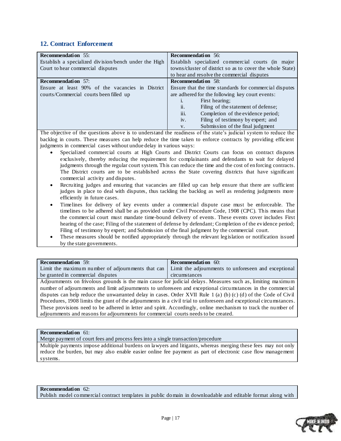### <span id="page-16-0"></span>**12. Contract Enforcement**

| <b>Recommendation</b> 55:                             | <b>Recommendation</b> 56:                                    |
|-------------------------------------------------------|--------------------------------------------------------------|
| Establish a specialized division/bench under the High | Establish specialized commercial courts (in major            |
| Court to hear commercial disputes                     | towns/cluster of district so as to cover the whole State)    |
|                                                       | to hear and resolve the commercial disputes                  |
| <b>Recommendation</b> 57:                             | <b>Recommendation</b> 58:                                    |
| Ensure at least 90% of the vacancies in District      | Ensure that the time standards for commercial disputes       |
| courts/Commercial courts been filled up               | are adhered for the following key court events:              |
|                                                       | First hearing;                                               |
|                                                       | $\ddot{\mathbf{u}}$ .<br>Filing of the statement of defense; |
|                                                       | iii.<br>Completion of the evidence period;                   |
|                                                       | iv.<br>Filing of testimony by expert; and                    |
|                                                       | Submission of the final judgment<br>V.                       |
| $\sim$ $\sim$                                         | $\sim$ $\sim$                                                |

The objective of the questions above is to understand the readiness of the state's judicial system to reduce the backlog in courts. These measures can help reduce the time taken to enforce contracts by providing efficient judgments in commercial cases without undue delay in various ways:

- Specialized commercial courts at High Courts and District Courts can focus on contract disputes exclusively, thereby reducing the requirement for complainants and defendants to wait for delayed judgments through the regular court system. This can reduce the time and the cost of en forcing contracts. The District courts are to be established across the State covering districts that have significant commercial activity and disputes.
- Recruiting judges and ensuring that vacancies are filled up can help ensure that there are sufficient judges in place to deal with disputes, thus tackling the backlog as well as rendering judgments more efficiently in future cases.
- Timelines for delivery of key events under a commercial dispute case must be enforceable. The timelines to be adhered shall be as provided under Civil Procedure Code, 1908 (CPC). This means that the commercial court must mandate time-bound delivery of events. These events cover includes First hearing of the case; Filing of the statement of defense by defendant; Completion of the evidence period; Filing of testimony by expert; and Submission of the final judgment by the commercial court.
- These measures should be notified appropriately through the relevant legislation or notification issued by the state governments.

| <b>Recommendation</b> 59:                                                                                           | <b>Recommendation</b> 60:                                                                                   |  |
|---------------------------------------------------------------------------------------------------------------------|-------------------------------------------------------------------------------------------------------------|--|
| Limit the maximum number of adjournments that can                                                                   | Limit the adjournments to unforeseen and exceptional                                                        |  |
| be granted in commercial disputes                                                                                   | circumstances                                                                                               |  |
|                                                                                                                     | Adjournments on frivolous grounds is the main cause for judicial delays. Measures such as, limiting maximum |  |
| number of adjournments and limit adjournments to unforeseen and exceptional circumstances in the commercial         |                                                                                                             |  |
| disputes can help reduce the unwarranted delay in cases. Order XVII Rule 1 (a) (b) (c) (d) of the Code of Civil     |                                                                                                             |  |
| Procedures, 1908 limits the grant of the adjournments in a civil trial to unforeseen and exceptional circumstances. |                                                                                                             |  |
| These provisions need to be adhered in letter and spirit. Accordingly, online mechanism to track the number of      |                                                                                                             |  |

#### **Recommendation** 61:

Merge payment of court fees and process fees into a single transaction/procedure

adjournments and reasons for adjournments for commercial courts needs to be created.

Multiple payments impose additional burdens on lawyers and litigants, whereas merging these fees may not only reduce the burden, but may also enable easier online fee payment as part of electronic case flow management systems.

#### **Recommendation** 62: Publish model commercial contract templates in public domain in downloadable and editable format along with

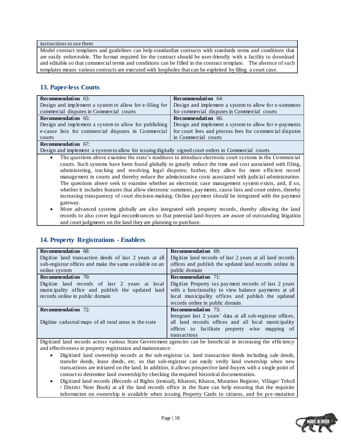#### instructions to use them

Model contract templates and guidelines can help standardize contracts with standards terms and conditions that are easily enforceable. The format required for the contract should be user-friendly with a facility to download and editable so that commercial terms and conditions can be filled in the contract template. The absence of such templates means various contracts are executed with loopholes that can be exploited by filing a court case.

### <span id="page-17-0"></span>**13. Paper-less Courts**

| <b>Recommendation</b> 63:                               | <b>Recommendation</b> 64:                               |
|---------------------------------------------------------|---------------------------------------------------------|
| Design and implement a system to allow for e-filing for | Design and implement a system to allow for e-summons    |
| commercial disputes in Commercial courts                | for commercial disputes in Commercial courts            |
| <b>Recommendation</b> 65:                               | <b>Recommendation</b> 66:                               |
| Design and implement a system to allow for publishing   | Design and implement a system to allow for e-payments   |
| e-cause lists for commercial disputes in Commercial     | for court fees and process fees for commercial disputes |
| courts                                                  | in Commercial courts                                    |
| <b>Recommendation</b> 67:                               |                                                         |

Design and implement a system to allow for issuing digitally signed court orders in Commercial courts

- The questions above examine the state"s readiness to introduce electronic court systems in the Commercial courts. Such systems have been found globally to greatly reduce the time and cost associated with filing, administering, tracking and resolving legal disputes; further, they allow for more efficient record management in courts and thereby reduce the administrative costs associated with judicial administration. The questions above seek to examine whether an electronic case management system exists, and, if so, whether it includes features that allow electronic summons, payments, cause lists and court orders, thereby increasing transparency of court decision-making. Online payment should be integrated with the payment gateway.
- More advanced systems globally are also integrated with property records, thereby allowing the land records to also cover legal encumbrances so that potential land-buyers are aware of outstanding litigation and court judgments on the land they are planning to purchase.

### <span id="page-17-1"></span>**14. Property Registrations - Enablers**

| <b>Recommendation</b> 68:                               | <b>Recommendation</b> 69:                                  |
|---------------------------------------------------------|------------------------------------------------------------|
| Digitize land transaction deeds of last 2 years at all  | Digitize land records of last 2 years at all land records  |
| sub-registrar offices and make the same available on an | offices and publish the updated land records online in     |
| online system                                           | public domain                                              |
| <b>Recommendation</b> 70:                               | <b>Recommendation</b> 71:                                  |
| Digitize land records of last 2 years at local          | Digitize Property tax payment records of last 2 years      |
| municipality office and publish the updated land        | with a functionality to view balance payments at all       |
| records online in public domain                         | local municipality offices and publish the updated         |
|                                                         | records online in public domain                            |
| <b>Recommendation</b> 72:                               | <b>Recommendation</b> 73:                                  |
|                                                         | Integrate last 2 years' data at all sub-registrar offices, |
| Digitize cadastral maps of all rural areas in the state | all land records offices and all local municipality        |
|                                                         | offices to facilitate property wise mapping<br>-of         |
|                                                         | transactions                                               |

Digitized land records across various State Government agencies can be beneficial in increasing the efficiency and effectiveness in property registration and maintenance:

- Digitized land ownership records at the sub-registrar i.e. land transaction deeds including sale deeds, transfer deeds, lease deeds, etc. so that sub-registrar can easily verify land ownership when new transactions are initiated on the land. In addition, it allows prospective land-buyers with a single point of contact to determine land ownership by checking the required historical documentation.
- Digitized land records (Records of Rights (textual), Khatoni, Khasra, Mutation Register, Village/ Tehsil / District Note Book) at all the land records office in the State can help ensuring that the requisite information on ownership is available when issuing Property Cards to citizens, and for pre-mutation

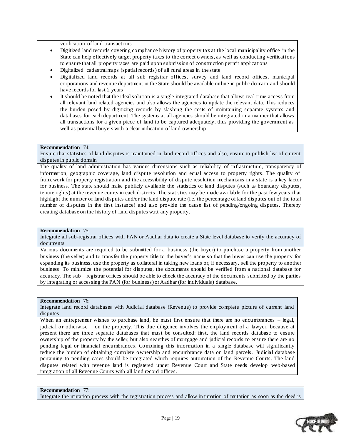verification of land transactions

- Digitized land records covering compliance history of property tax at the local municipality office in the State can help effectively target property taxes to the correct owners, as well as conducting verifications to ensure that all property taxes are paid upon submission of construction permit applications
- Digitalized cadastral maps (spatial records) of all rural areas in the state
- Digitalized land records at all sub registrar offices, survey and land record offices, municipal corporations and revenue department in the State should be available online in public domain and should have records for last 2 years
- It should be noted that the ideal solution is a single integrated database that allows real-time access from all relevant land related agencies and also allows the agencies to update the relevant data. This reduces the burden posed by digitizing records by slashing the costs of maintaining separate systems and databases for each department. The systems at all agencies should be integrated in a manner that allows all transactions for a given piece of land to be captured adequately, thus providing the government as well as potential buyers with a clear indication of land ownership.

#### **Recommendation** 74:

Ensure that statistics of land disputes is maintained in land record offices and also, ensure to publish list of current disputes in public domain

The quality of land administration has various dimensions such as reliability of infrastructure, transparency of information, geographic coverage, land dispute resolution and equal access to property rights. The quality of framework for property registration and the accessibility of dispute resolution mechanisms in a state is a key factor for business. The state should make publicly available the statistics of land disputes (such as boundary disputes , tenure rights) at the revenue courts in each districts. The statistics may be made available for the past few years that highlight the number of land disputes and/or the land dispute rate (i.e. the percentage of land disputes out of the total number of disputes in the first instance) and also provide the cause list of pending/ongoing disputes. Thereby creating database on the history of land disputes w.r.t any property.

#### **Recommendation** 75:

Integrate all sub-registrar offices with PAN or Aadhar data to create a State level database to verify the accuracy of documents

Various documents are required to be submitted for a business (the buyer) to purchase a property from another business (the seller) and to transfer the property title to the buyer"s name so that the buyer can use the property for expanding its business, use the property as collateral in taking new loans or, if necessary, sell the property to another business. To minimize the potential for disputes, the documents should be verified from a national database for accuracy. The sub – registrar offices should be able to check the accuracy of the documents submitted by the parties by integrating or accessing the PAN (for business) or Aadhar (for individuals) database.

#### **Recommendation** 76:

Integrate land record databases with Judicial database (Revenue) to provide complete picture of current land disputes

When an entrepreneur wishes to purchase land, he must first ensure that there are no encumbrances – legal, judicial or otherwise – on the property. This due diligence involves the employment of a lawyer, because at present there are three separate databases that must be consulted: first, the land records database to ensure ownership of the property by the seller, but also searches of mortgage and judicial records to ensure there are no pending legal or financial encumbrances. Combining this information in a single database will significantly reduce the burden of obtaining complete ownership and encumbrance data on land parcels. Judicial database pertaining to pending cases should be integrated which requires automation of the Revenue Courts. The land disputes related with revenue land is registered under Revenue Court and State needs develop web-based integration of all Revenue Courts with all land record offices.

#### **Recommendation** 77:

Integrate the mutation process with the registration process and allow intimation of mutation as soon as the deed is

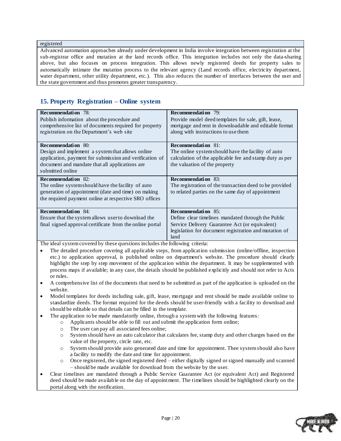registered

Advanced automation approaches already under development in India involve integration between registration at the sub-registrar office and mutation at the land records office. This integration includes not only the data-sharing above, but also focuses on process integration. This allows newly registered deeds for property sales to automatically intimate the mutation process to the relevant agency (Land records office, electricity department, water department, other utility department, etc.). This also reduces the number of interfaces between the user and the state government and thus promotes greater transparency.

### <span id="page-19-0"></span>**15. Property Registration – Online system**

| <b>Recommendation</b> 78:<br>Publish information about the procedure and<br>comprehensive list of documents required for property<br>registration on the Department's web site                                 | <b>Recommendation</b> 79:<br>Provide model deed templates for sale, gift, lease,<br>mortgage and rent in downloadable and editable format<br>along with instructions to use them                   |
|----------------------------------------------------------------------------------------------------------------------------------------------------------------------------------------------------------------|----------------------------------------------------------------------------------------------------------------------------------------------------------------------------------------------------|
| <b>Recommendation</b> 80:<br>Design and implement a system that allows online<br>application, payment for submission and verification of<br>document and mandate that all applications are<br>submitted online | <b>Recommendation</b> 81:<br>The online systemshould have the facility of auto<br>calculation of the applicable fee and stamp duty as per<br>the valuation of the property                         |
| <b>Recommendation</b> 82:<br>The online systemshould have the facility of auto<br>generation of appointment (date and time) on making<br>the required payment online at respective SRO offices                 | <b>Recommendation</b> 83:<br>The registration of the transaction deed to be provided<br>to related parties on the same day of appointment                                                          |
| <b>Recommendation</b> 84:<br>Ensure that the system allows user to download the<br>final signed approval certificate from the online portal                                                                    | <b>Recommendation</b> 85:<br>Define clear timelines mandated through the Public<br>Service Delivery Guarantee Act (or equivalent)<br>legislation for document registration and mutation of<br>land |

- The detailed procedure covering all applicable steps, from application submission (online/offline, inspection etc.) to application approval, is published online on department's website. The procedure should clearly highlight the step by step movement of the application within the department. It may be supplemented with process maps if available; in any case, the details should be published explicitly and should not refer to Acts or rules.
- A comprehensive list of the documents that need to be submitted as part of the application is uploaded on the website.
- Model templates for deeds including sale, gift, lease, mortgage and rent should be made available online to standardize deeds. The format required for the deeds should be user-friendly with a facility to download and should be editable so that details can be filled in the template.
- The application to be made mandatorily online, through a system with the following features:
	- o Applicants should be able to fill out and submit the application form online;
	- o The user can pay all associated fees online;
	- o System should have an auto calculator that calculates fee, stamp duty and other charges based on the value of the property, circle rate, etc.
	- o System should provide auto generated date and time for appointment. Thee system should also have a facility to modify the date and time for appointment.
	- o Once registered, the signed registered deed either digitally signed or signed manually and scanned – should be made available for download from the website by the user.
- Clear timelines are mandated through a Public Service Guarantee Act (or equivalent Act) and Registered deed should be made available on the day of appointment. The timelines should be highlighted clearly on the portal along with the notification.

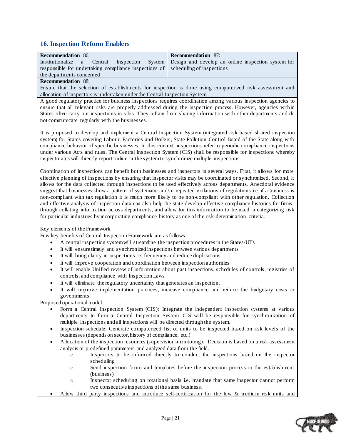### <span id="page-20-0"></span>**16. Inspection Reform Enablers**

| <b>Recommendation</b> 86:                                                                       | <b>Recommendation</b> 87: |
|-------------------------------------------------------------------------------------------------|---------------------------|
| Institutionalize a Central Inspection System Design and develop an online inspection system for |                           |
| responsible for undertaking compliance inspections of scheduling of inspections                 |                           |
| the departments concerned                                                                       |                           |
|                                                                                                 |                           |

#### **Recommendation** 88:

Ensure that the selection of establishments for inspection is done using computerized risk assessment and allocation of inspectors is undertaken under the Central Inspection System

A good regulatory practice for business inspections requires coordination among various inspection agencies to ensure that all relevant risks are properly addressed during the inspection process. However, agencies within States often carry out inspections in silos. They refrain from sharing information with other departments and do not communicate regularly with the businesses.

It is proposed to develop and implement a Central Inspection System (integrated risk based sh ared inspection system) for States covering Labour, Factories and Boilers, State Pollution Control Board of the State along with compliance behavior of specific businesses. In this context, inspections refer to periodic compliance inspections under various Acts and rules. The Central Inspection System (CIS) shall be responsible for inspections whereby inspectorates will directly report online in the system to synchronize multiple inspections.

Coordination of inspections can benefit both businesses and inspectors in several ways. First, it allows for more effective planning of inspections by ensuring that inspector visits may be coordinated or synchronized. Second, it allows for the data collected through inspections to be used effectively across departments. Anecdotal evidence suggest that businesses show a pattern of systematic and/or repeated violations of regulations i.e. if a business is non-compliant with tax regulation it is much more like ly to be non-compliant with other regulation. Collection and effective analysis of inspection data can also help the state develop effective compliance histories for firms, through collating information across departments, and allow for this information to be used in categorizing risk for particular industries by incorporating compliance history as one of the risk-determination criteria.

Key elements of the Framework

Few key benefits of Central Inspection Framework are as follows:

- A central inspection system will streamline the inspection procedures in the States/UTs
- It will ensure timely and synchronized inspections between various departments
- It will bring clarity in inspections, its frequency and reduce duplications
- It will improve cooperation and coordination between inspection authorities
- It will enable Unified review of information about past inspections, schedules of controls, registries of controls, and compliance with Inspection Laws
- It will eliminate the regulatory uncertainty that generates an inspection.
- It will improve implementation practices, increase compliance and reduce the budgetary costs to governments.

Proposed operational model

- Form a Central Inspection System (CIS): Integrate the independent inspection systems at various departments to form a Central Inspection System. CIS will be responsible for synchronization of multiple inspections and all inspections will be directed through the system.
- Inspection schedule: Generate computerized list of units to be inspected based on risk levels of the businesses (depends on sector, history of compliance, etc.)
- Allocation of the inspection resources (supervision-monitoring): Decision is based on a risk assessment analysis or predefined parameters and analyzed data from the field.
	- o Inspectors to be informed directly to conduct the inspections based on the inspector scheduling
	- o Send inspection forms and templates before the inspection process to the establishment (business)
	- o Inspector scheduling on rotational basis i.e. mandate that same inspector cannot perform two consecutive inspections of the same business.
- Allow third party inspections and introduce self-certification for the low & medium risk units and

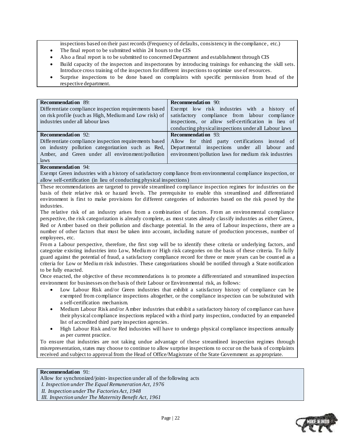inspections based on their past records (Frequency of defaults, consistency in the compliance , etc.)

- The final report to be submitted within 24 hours to the CIS
- Also a final report is to be submitted to concerned Department and establishment through CIS
- Build capacity of the inspectors and inspectorates by introducing trainings for enhancing the skill sets. Introduce cross training of the inspectors for different inspections to optimize use of resources.
- Surprise inspections to be done based on complaints with specific permission from head of the respective department.

| <b>Recommendation</b> 89:                              | <b>Recommendation</b> 90:                             |
|--------------------------------------------------------|-------------------------------------------------------|
| Differentiate compliance inspection requirements based | Exempt low risk industries with a history of          |
| on risk profile (such as High, Medium and Low risk) of | satisfactory compliance from labour compliance        |
| industries under all labour laws                       | inspections, or allow self-certification in lieu of   |
|                                                        | conducting physical inspections under all Labour laws |
| <b>Recommendation</b> 92:                              | <b>Recommendation</b> 93:                             |
| Differentiate compliance inspection requirements based | Allow for third party certifications instead of       |
| on industry pollution categorization such as Red,      | Departmental inspections under all labour and         |
|                                                        |                                                       |
| Amber, and Green under all environment/pollution       | environment/pollution laws for medium risk industries |
| laws                                                   |                                                       |

#### **Recommendation** 94:

Exempt Green industries with a history of satisfactory compliance from environmental compliance inspection, or allow self-certification (in lieu of conducting physical inspections)

These recommendations are targeted to provide streamlined compliance inspection regimes for industries on the basis of their relative risk or hazard levels. The prerequisite to enable this streamlined and differentiated environment is first to make provisions for different categories of industries based on the risk posed by the industries.

The relative risk of an industry arises from a combination of factors. From an environmental compliance perspective, the risk categorization is already complete, as most states already classify industries as either Green, Red or Amber based on their pollution and discharge potential. In the area of Labour inspections, there are a number of other factors that must be taken into account, including nature of production processes, number of employees, etc.

From a Labour perspective, therefore, the first step will be to identify these criteria or underlying factors, and categorize existing industries into Low, Medium or High risk categories on the basis of these criteria. To fully guard against the potential of fraud, a satisfactory compliance record for three or more years can be count ed as a criteria for Low or Medium risk industries. These categorizations should be notified through a State notification to be fully enacted.

Once enacted, the objective of these recommendations is to promote a differentiated and streamlined inspection environment for businesses on the basis of their Labour or Environmental risk, as follows:

- Low Labour Risk and/or Green industries that exhibit a satisfactory history of compliance can be exempted from compliance inspections altogether, or the compliance inspection can be substituted with a self-certification mechanism.
- Medium Labour Risk and/or Amber industries that exhibit a satisfactory history of compliance can have their physical compliance inspections replaced with a third party inspection, conducted by an empaneled list of accredited third party inspection agencies.
- High Labour Risk and/or Red industries will have to undergo physical compliance inspections annually as per current practice.

To ensure that industries are not taking undue advantage of these streamlined inspection regimes through misrepresentation, states may choose to continue to allow surprise inspections to occur on the basis of complaints received and subject to approval from the Head of Office/Magistrate of the State Government as ap propriate.

#### **Recommendation** 91:

Allow for synchronized/joint- inspection under all of the following acts *I. Inspection under The Equal Remuneration Act, 1976 II. Inspection under The Factories Act, 1948 III. Inspection under The Maternity Benefit Act, 1961*

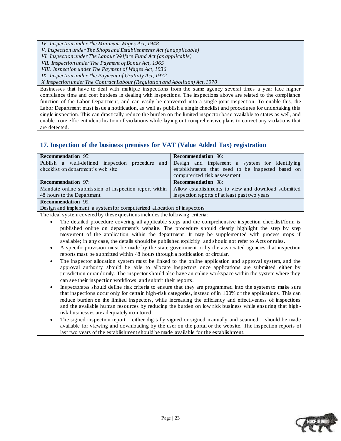*IV. Inspection under The Minimum Wages Act, 1948*

*V. Inspection under The Shops and Establishments Act (as applicable)*

*VI. Inspection under The Labour Welfare Fund Act (as applicable)*

*VII. Inspection under The Payment of Bonus Act, 1965*

*VIII. Inspection under The Payment of Wages Act, 1936*

*IX. Inspection under The Payment of Gratuity Act, 1972*

*X Inspection under The Contract Labour (Regulation and Abolition) Act, 1970*

Businesses that have to deal with multiple inspections from the same agency several times a year face higher compliance time and cost burdens in dealing with inspections. The inspections above are related to the compliance function of the Labor Department, and can easily be converted into a single joint inspection. To enable this, the Labor Department must issue a notification, as well as publish a single checklist and procedures for undertaking this single inspection. This can drastically reduce the burden on the limited inspector base available to states as well, and enable more efficient identification of violations while laying out comprehensive plans to correct any violations that are detected.

### <span id="page-22-0"></span>**17. Inspection of the business premises for VAT (Value Added Tax) registration**

| <b>Recommendation</b> 95:                                                                     | <b>Recommendation</b> 96:                           |
|-----------------------------------------------------------------------------------------------|-----------------------------------------------------|
| Publish a well-defined inspection procedure and Design and implement a system for identifying |                                                     |
| checklist on department's web site                                                            | establishments that need to be inspected based on   |
|                                                                                               | computerized risk assessment                        |
| <b>Recommendation</b> 97:                                                                     | <b>Recommendation</b> 98:                           |
| Mandate online submission of inspection report within                                         | Allow establishments to view and download submitted |
| 48 hours to the Department                                                                    | inspection reports of at least past two years       |
| <b>Recommendation</b> 99:                                                                     |                                                     |
| Decian and implement a quotam for computarized ellecation of increasions                      |                                                     |

Design and implement a system for computerized allocation of inspectors

- The detailed procedure covering all applicable steps and the comprehensive inspection checklist/form is published online on department's website. The procedure should clearly highlight the step by step movement of the application within the department. It may be supplemented with process maps if available; in any case, the details should be published explicitly and should not refer to Acts or rules.
- A specific provision must be made by the state government or by the associated agencies that inspection reports must be submitted within 48 hours through a notification or circular.
- The inspector allocation system must be linked to the online application and approval system, and the approval authority should be able to allocate inspectors once applications are submitted either by jurisdiction or randomly. The inspector should also have an online workspace within the system where they can see their inspection workflows and submit their reports.
- Inspectorates should define risk criteria to ensure that they are programmed into the system to make sure that inspections occur only for certain high-risk categories, instead of in 100% of the applications. This can reduce burden on the limited inspectors, while increasing the efficiency and effectiveness of inspections and the available human resources by reducing the burden on low risk business while ensuring that high risk businesses are adequately monitored.
- The signed inspection report either digitally signed or signed manually and scanned should be made available for viewing and downloading by the user on the portal or the website. The inspection reports of last two years of the establishment should be made available for the establishment.

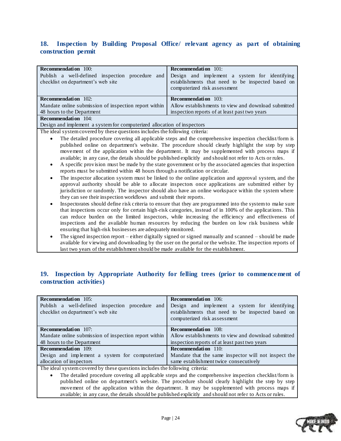### <span id="page-23-0"></span>**18. Inspection by Building Proposal Office/ relevant agency as part of obtaining construction permit**

| <b>Recommendation</b> 100:                                                               | <b>Recommendation</b> 101:                                                                                                         |
|------------------------------------------------------------------------------------------|------------------------------------------------------------------------------------------------------------------------------------|
| Publish a well-defined inspection procedure<br>and<br>checklist on department's web site | Design and implement a system for identifying<br>establishments that need to be inspected based on<br>computerized risk assessment |
| <b>Recommendation</b> 102:                                                               | <b>Recommendation</b> 103:                                                                                                         |
| Mandate online submission of inspection report within                                    | Allow establishments to view and download submitted                                                                                |
| 48 hours to the Department                                                               | inspection reports of at least past two years                                                                                      |
| <b>Recommendation</b> 104:                                                               |                                                                                                                                    |

Design and implement a system for computerized allocation of inspectors

The ideal system covered by these questions includes the following criteria:

- The detailed procedure covering all applicable steps and the comprehensive inspection checklist/form is published online on department's website. The procedure should clearly highlight the step by step movement of the application within the department. It may be supplemented with process maps if available; in any case, the details should be published explicitly and should not refer to Acts or rules.
- A specific provision must be made by the state government or by the associated agencies that inspection reports must be submitted within 48 hours through a notification or circular.
- The inspector allocation system must be linked to the online application and approval system, and the approval authority should be able to allocate inspectors once applications are submitted either by jurisdiction or randomly. The inspector should also have an online workspace within the system where they can see their inspection workflows and submit their reports.
- Inspectorates should define risk criteria to ensure that they are programmed into the system to make sure that inspections occur only for certain high-risk categories, instead of in 100% of the applications. This can reduce burden on the limited inspectors, while increasing the efficiency and effectiveness of inspections and the available human resources by reducing the burden on low risk business while ensuring that high-risk businesses are adequately monitored.
- The signed inspection report either digitally signed or signed manually and scanned should be made available for viewing and downloading by the user on the portal or the website. The inspection reports of last two years of the establishment should be made available for the establishment.

### <span id="page-23-1"></span>**19. Inspection by Appropriate Authority for felling trees (prior to commencement of construction activities)**

| <b>Recommendation</b> 105:<br>Publish a well-defined inspection procedure and<br>checklist on department's web site | <b>Recommendation</b> 106:<br>Design and implement a system for identifying<br>establishments that need to be inspected based on<br>computerized risk assessment |
|---------------------------------------------------------------------------------------------------------------------|------------------------------------------------------------------------------------------------------------------------------------------------------------------|
| <b>Recommendation</b> 107:                                                                                          | <b>Recommendation</b> 108:                                                                                                                                       |
| Mandate online submission of inspection report within                                                               | Allow establishments to view and download submitted                                                                                                              |
| 48 hours to the Department                                                                                          | inspection reports of at least past two years                                                                                                                    |
| <b>Recommendation</b> 109:                                                                                          | <b>Recommendation</b> 110:                                                                                                                                       |
| Design and implement a system for computerized                                                                      | Mandate that the same inspector will not inspect the                                                                                                             |
| allocation of inspectors                                                                                            | same establishment twice consecutively                                                                                                                           |

The ideal system covered by these questions includes the following criteria:

 The detailed procedure covering all applicable steps and the comprehensive inspection checklist/form is published online on department's website. The procedure should clearly highlight the step by step movement of the application within the department. It may be supplemented with process maps if available; in any case, the details should be published explicitly and should not refer to Acts or rules.

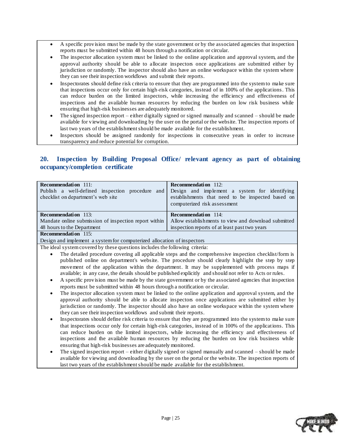- A specific provision must be made by the state government or by the associated agencies that inspection reports must be submitted within 48 hours through a notification or circular.
- The inspector allocation system must be linked to the online application and approval system, and the approval authority should be able to allocate inspectors once applications are submitted either by jurisdiction or randomly. The inspector should also have an online workspace within the system where they can see their inspection workflows and submit their reports.
- Inspectorates should define risk criteria to ensure that they are programmed into the system to make sure that inspections occur only for certain high-risk categories, instead of in 100% of the applications. This can reduce burden on the limited inspectors, while increasing the efficiency and effectiveness of inspections and the available human resources by reducing the burden on low risk business while ensuring that high-risk businesses are adequately monitored.
- The signed inspection report either digitally signed or signed manually and scanned should be made available for viewing and downloading by the user on the portal or the website. The inspection reports of last two years of the establishment should be made available for the establishment.
- Inspectors should be assigned randomly for inspections in consecutive years in order to increase transparency and reduce potential for corruption.

### <span id="page-24-0"></span>**20. Inspection by Building Proposal Office/ relevant agency as part of obtaining occupancy/completion certificate**

| <b>Recommendation</b> 111:                                                                    | <b>Recommendation</b> 112:                          |
|-----------------------------------------------------------------------------------------------|-----------------------------------------------------|
| Publish a well-defined inspection procedure and Design and implement a system for identifying |                                                     |
| checklist on department's web site                                                            | establishments that need to be inspected based on   |
|                                                                                               | computerized risk assessment                        |
|                                                                                               |                                                     |
| <b>Recommendation</b> 113:                                                                    | <b>Recommendation</b> 114:                          |
| Mandate online submission of inspection report within                                         | Allow establishments to view and download submitted |
| 48 hours to the Department                                                                    | inspection reports of at least past two years       |
| $\mathbf{D}_{\alpha\alpha\gamma\gamma\gamma\gamma\gamma\gamma\gamma\gamma\gamma\gamma\gamma}$ |                                                     |

**Recommendation** 115:

Design and implement a system for computerized allocation of inspectors

- The detailed procedure covering all applicable steps and the comprehensive inspection checklist/form is published online on department's website. The procedure should clearly highlight the step by step movement of the application within the department. It may be supplemented with process maps if available; in any case, the details should be published explicitly and should not refer to Acts or rules.
- A specific provision must be made by the state government or by the associated agencies that inspection reports must be submitted within 48 hours through a notification or circular.
- The inspector allocation system must be linked to the online application and approval system, and the approval authority should be able to allocate inspectors once applications are submitted either by jurisdiction or randomly. The inspector should also have an online workspace within the system where they can see their inspection workflows and submit their reports.
- Inspectorates should define risk criteria to ensure that they are programmed into the system to make sure that inspections occur only for certain high-risk categories, instead of in 100% of the applications. This can reduce burden on the limited inspectors, while increasing the efficiency and effectiveness of inspections and the available human resources by reducing the burden on low risk business while ensuring that high-risk businesses are adequately monitored.
- The signed inspection report either digitally signed or signed manually and scanned should be made available for viewing and downloading by the user on the portal or the website. The inspection reports of last two years of the establishment should be made available for the establishment.

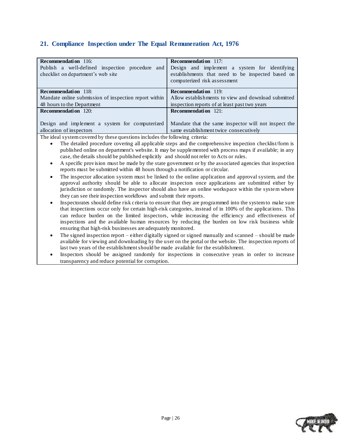### <span id="page-25-0"></span>**21. Compliance Inspection under The Equal Remuneration Act, 1976**

| <b>Recommendation</b> 116:                                                                                      | <b>Recommendation</b> 117:                           |
|-----------------------------------------------------------------------------------------------------------------|------------------------------------------------------|
| Publish a well-defined inspection procedure and                                                                 | Design and implement a system for identifying        |
| checklist on department's web site                                                                              | establishments that need to be inspected based on    |
|                                                                                                                 | computerized risk assessment                         |
|                                                                                                                 |                                                      |
| <b>Recommendation</b> 118:                                                                                      | <b>Recommendation</b> 119:                           |
| Mandate online submission of inspection report within                                                           | Allow establishments to view and download submitted  |
| 48 hours to the Department                                                                                      | inspection reports of at least past two years        |
| <b>Recommendation</b> 120:                                                                                      | <b>Recommendation</b> 121:                           |
|                                                                                                                 |                                                      |
| Design and implement a system for computerized                                                                  | Mandate that the same inspector will not inspect the |
| allocation of inspectors                                                                                        | same establishment twice consecutively               |
| the contract of the contract of the contract of the contract of the contract of the contract of the contract of | $\sim$ 11 $\sim$ $\sim$ $\sim$                       |

- The detailed procedure covering all applicable steps and the comprehensive inspection checklist/form is published online on department's website. It may be supplemented with process maps if available; in any case, the details should be published explicitly and should not refer to Acts or rules.
- A specific provision must be made by the state government or by the associated agencies that inspection reports must be submitted within 48 hours through a notification or circular.
- The inspector allocation system must be linked to the online application and approval system, and the approval authority should be able to allocate inspectors once applications are submitted either by jurisdiction or randomly. The inspector should also have an online workspace within the system where they can see their inspection workflows and submit their reports.
- Inspectorates should define risk criteria to ensure that they are programmed into the system to make sure that inspections occur only for certain high-risk categories, instead of in 100% of the applications. This can reduce burden on the limited inspectors, while increasing the efficiency and effectiveness of inspections and the available human resources by reducing the burden on low risk business while ensuring that high-risk businesses are adequately monitored.
- The signed inspection report either digitally signed or signed manually and scanned should be made available for viewing and downloading by the user on the portal or the website. The inspection reports of last two years of the establishment should be made available for the establishment.
- Inspectors should be assigned randomly for inspections in consecutive years in order to increase transparency and reduce potential for corruption.

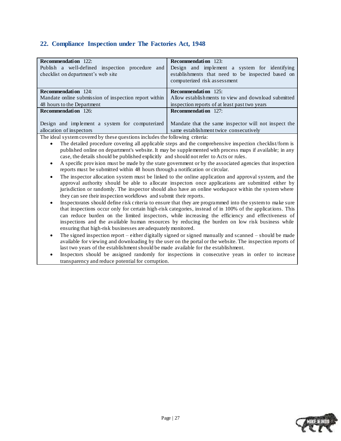### <span id="page-26-0"></span>**22. Compliance Inspection under The Factories Act, 1948**

| <b>Recommendation</b> 122:                                                                                      | <b>Recommendation</b> 123:                           |
|-----------------------------------------------------------------------------------------------------------------|------------------------------------------------------|
| Publish a well-defined inspection procedure<br>and                                                              | Design and implement a system for identifying        |
| checklist on department's web site                                                                              | establishments that need to be inspected based on    |
|                                                                                                                 | computerized risk assessment                         |
|                                                                                                                 |                                                      |
| <b>Recommendation</b> 124:                                                                                      | <b>Recommendation</b> 125:                           |
| Mandate online submission of inspection report within                                                           | Allow establishments to view and download submitted  |
| 48 hours to the Department                                                                                      | inspection reports of at least past two years        |
| <b>Recommendation</b> 126:                                                                                      | <b>Recommendation</b> 127:                           |
|                                                                                                                 |                                                      |
| Design and implement a system for computerized                                                                  | Mandate that the same inspector will not inspect the |
| allocation of inspectors                                                                                        | same establishment twice consecutively               |
| the contract of the contract of the contract of the contract of the contract of the contract of the contract of | $\sim$ 11 $\sim$ $\sim$ $\sim$                       |

- The detailed procedure covering all applicable steps and the comprehensive inspection checklist/form is published online on department's website. It may be supplemented with process maps if available; in any case, the details should be published explicitly and should not refer to Acts or rules.
- A specific provision must be made by the state government or by the associated agencies that inspection reports must be submitted within 48 hours through a notification or circular.
- The inspector allocation system must be linked to the online application and approval system, and the approval authority should be able to allocate inspectors once applications are submitted either by jurisdiction or randomly. The inspector should also have an online workspace within the system where they can see their inspection workflows and submit their reports.
- Inspectorates should define risk criteria to ensure that they are programmed into the system to make sure that inspections occur only for certain high-risk categories, instead of in 100% of the applications. This can reduce burden on the limited inspectors, while increasing the efficiency and effectiveness of inspections and the available human resources by reducing the burden on low risk business while ensuring that high-risk businesses are adequately monitored.
- The signed inspection report either digitally signed or signed manually and scanned should be made available for viewing and downloading by the user on the portal or the website. The inspection reports of last two years of the establishment should be made available for the establishment.
- Inspectors should be assigned randomly for inspections in consecutive years in order to increase transparency and reduce potential for corruption.

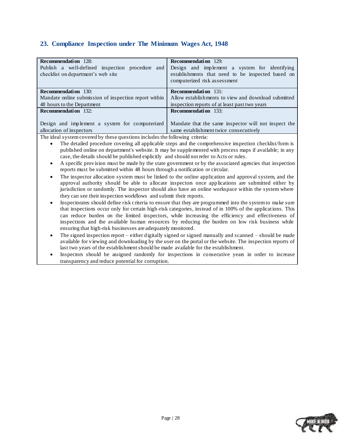### <span id="page-27-0"></span>**23. Compliance Inspection under The Minimum Wages Act, 1948**

| <b>Recommendation</b> 128:                            | <b>Recommendation</b> 129:                           |
|-------------------------------------------------------|------------------------------------------------------|
| Publish a well-defined inspection procedure<br>and    | Design and implement a system for identifying        |
| checklist on department's web site                    | establishments that need to be inspected based on    |
|                                                       | computerized risk assessment                         |
|                                                       |                                                      |
| <b>Recommendation</b> 130:                            | <b>Recommendation</b> 131:                           |
| Mandate online submission of inspection report within | Allow establishments to view and download submitted  |
| 48 hours to the Department                            | inspection reports of at least past two years        |
| <b>Recommendation</b> 132:                            | <b>Recommendation</b> 133:                           |
|                                                       |                                                      |
| Design and implement a system for computerized        | Mandate that the same inspector will not inspect the |
| allocation of inspectors                              | same establishment twice consecutively               |
| .                                                     |                                                      |

- The detailed procedure covering all applicable steps and the comprehensive inspection checklist/form is published online on department's website. It may be supplemented with process maps if available; in any case, the details should be published explicitly and should not refer to Acts or rules.
- A specific provision must be made by the state government or by the associated agencies that inspection reports must be submitted within 48 hours through a notification or circular.
- The inspector allocation system must be linked to the online application and approval system, and the approval authority should be able to allocate inspectors once applications are submitted either by jurisdiction or randomly. The inspector should also have an online workspace within the system where they can see their inspection workflows and submit their reports.
- Inspectorates should define risk criteria to ensure that they are programmed into the system to make sure that inspections occur only for certain high-risk categories, instead of in 100% of the applications. This can reduce burden on the limited inspectors, while increasing the efficiency and effectiveness of inspections and the available human resources by reducing the burden on low risk business while ensuring that high-risk businesses are adequately monitored.
- The signed inspection report either digitally signed or signed manually and scanned should be made available for viewing and downloading by the user on the portal or the website. The inspection reports of last two years of the establishment should be made available for the establishment.
- Inspectors should be assigned randomly for inspections in consecutive years in order to increase transparency and reduce potential for corruption.

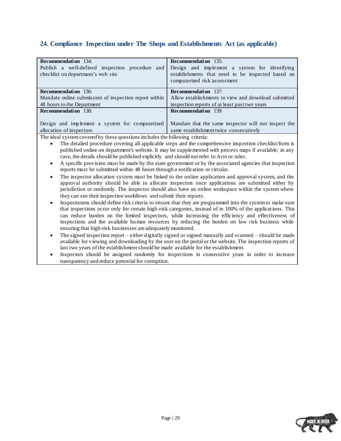### <span id="page-28-0"></span>**24. Compliance Inspection under The Shops and Establishments Act (as applicable)**

| <b>Recommendation</b> 134:                            | <b>Recommendation</b> 135:                           |
|-------------------------------------------------------|------------------------------------------------------|
| Publish a well-defined inspection procedure and       | Design and implement a system for identifying        |
| checklist on department's web site                    | establishments that need to be inspected based on    |
|                                                       | computerized risk assessment                         |
|                                                       |                                                      |
| <b>Recommendation</b> 136:                            | <b>Recommendation</b> 137:                           |
| Mandate online submission of inspection report within | Allow establishments to view and download submitted  |
| 48 hours to the Department                            | inspection reports of at least past two years        |
| <b>Recommendation</b> 138:                            | <b>Recommendation</b> 139:                           |
|                                                       |                                                      |
| Design and implement a system for computerized        | Mandate that the same inspector will not inspect the |
| allocation of inspectors                              | same establishment twice consecutively               |
|                                                       |                                                      |

- The detailed procedure covering all applicable steps and the comprehensive insp ection checklist/form is published online on department's website. It may be supplemented with process maps if available; in any case, the details should be published explicitly and should not refer to Acts or rules.
- A specific provision must be made by the state government or by the associated agencies that inspection reports must be submitted within 48 hours through a notification or circular.
- The inspector allocation system must be linked to the online application and approval system, and the approval authority should be able to allocate inspectors once applications are submitted either by jurisdiction or randomly. The inspector should also have an online workspace within the system where they can see their inspection workflows and submit their reports.
- Inspectorates should define risk criteria to ensure that they are programmed into the system to make sure that inspections occur only for certain high-risk categories, instead of in 100% of the applications. This can reduce burden on the limited inspectors, while increasing the efficiency and effectiveness of inspections and the available human resources by reducing the burden on low risk business while ensuring that high-risk businesses are adequately monitored.
- The signed inspection report either digitally signed or signed manually and scanned should be made available for viewing and downloading by the user on the portal or the website. The inspection reports of last two years of the establishment should be made available for the establishment.
- Inspectors should be assigned randomly for inspections in consecutive years in order to increase transparency and reduce potential for corruption.

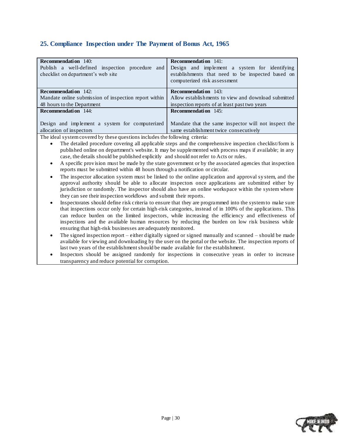### <span id="page-29-0"></span>**25. Compliance Inspection under The Payment of Bonus Act, 1965**

| <b>Recommendation</b> 140:                            | <b>Recommendation</b> 141:                           |
|-------------------------------------------------------|------------------------------------------------------|
| Publish a well-defined inspection procedure<br>and    | Design and implement a system for identifying        |
| checklist on department's web site                    | establishments that need to be inspected based on    |
|                                                       | computerized risk assessment                         |
|                                                       |                                                      |
| <b>Recommendation</b> 142:                            | <b>Recommendation</b> 143:                           |
| Mandate online submission of inspection report within | Allow establishments to view and download submitted  |
| 48 hours to the Department                            | inspection reports of at least past two years        |
| <b>Recommendation</b> 144:                            | <b>Recommendation</b> 145:                           |
|                                                       |                                                      |
| Design and implement a system for computerized        | Mandate that the same inspector will not inspect the |
| allocation of inspectors                              | same establishment twice consecutively               |
| .                                                     |                                                      |

- The detailed procedure covering all applicable steps and the comprehensive inspection checklist/form is published online on department's website. It may be supplemented with process maps if available; in any case, the details should be published explicitly and should not refer to Acts or rules.
- A specific provision must be made by the state government or by the associated agencies that inspection reports must be submitted within 48 hours through a notification or circular.
- The inspector allocation system must be linked to the online application and approval sy stem, and the approval authority should be able to allocate inspectors once applications are submitted either by jurisdiction or randomly. The inspector should also have an online workspace within the system where they can see their inspection workflows and submit their reports.
- Inspectorates should define risk criteria to ensure that they are programmed into the system to make sure that inspections occur only for certain high-risk categories, instead of in 100% of the applications. This can reduce burden on the limited inspectors, while increasing the efficiency and effectiveness of inspections and the available human resources by reducing the burden on low risk business while ensuring that high-risk businesses are adequately monitored.
- The signed inspection report either digitally signed or signed manually and scanned should be made available for viewing and downloading by the user on the portal or the website. The inspection reports of last two years of the establishment should be made available for the establishment.
- Inspectors should be assigned randomly for inspections in consecutive years in order to increase transparency and reduce potential for corruption.

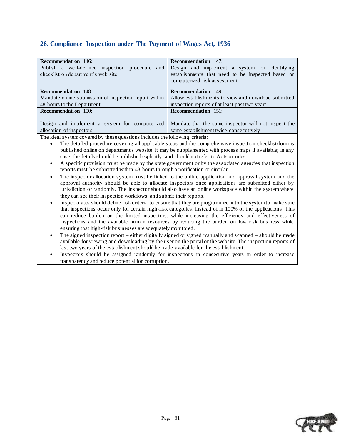### <span id="page-30-0"></span>**26. Compliance Inspection under The Payment of Wages Act, 1936**

| <b>Recommendation</b> 146:                                                                                      | <b>Recommendation</b> 147:                           |
|-----------------------------------------------------------------------------------------------------------------|------------------------------------------------------|
| Publish a well-defined inspection procedure<br>and                                                              | Design and implement a system for identifying        |
| checklist on department's web site                                                                              | establishments that need to be inspected based on    |
|                                                                                                                 | computerized risk assessment                         |
|                                                                                                                 |                                                      |
| <b>Recommendation</b> 148:                                                                                      | <b>Recommendation</b> 149:                           |
| Mandate online submission of inspection report within                                                           | Allow establishments to view and download submitted  |
| 48 hours to the Department                                                                                      | inspection reports of at least past two years        |
| <b>Recommendation</b> 150:                                                                                      | <b>Recommendation</b> 151:                           |
|                                                                                                                 |                                                      |
| Design and implement a system for computerized                                                                  | Mandate that the same inspector will not inspect the |
| allocation of inspectors                                                                                        | same establishment twice consecutively               |
| the contract of the contract of the contract of the contract of the contract of the contract of the contract of | $\sim$ 11 $\sim$ $\sim$ $\sim$                       |

- The detailed procedure covering all applicable steps and the comprehensive inspection checklist/form is published online on department's website. It may be supplemented with process maps if available; in any case, the details should be published explicitly and should not refer to Acts or rules.
- A specific provision must be made by the state government or by the associated agencies that inspection reports must be submitted within 48 hours through a notification or circular.
- The inspector allocation system must be linked to the online application and approval system, and the approval authority should be able to allocate inspectors once applications are submitted either by jurisdiction or randomly. The inspector should also have an online workspace within the system where they can see their inspection workflows and submit their reports.
- Inspectorates should define risk criteria to ensure that they are programmed into the system to make sure that inspections occur only for certain high-risk categories, instead of in 100% of the applications. This can reduce burden on the limited inspectors, while increasing the efficiency and effectiveness of inspections and the available human resources by reducing the burden on low risk business while ensuring that high-risk businesses are adequately monitored.
- The signed inspection report either digitally signed or signed manually and scanned should be made available for viewing and downloading by the user on the portal or the website. The inspection reports of last two years of the establishment should be made available for the establishment.
- Inspectors should be assigned randomly for inspections in consecutive years in order to increase transparency and reduce potential for corruption.

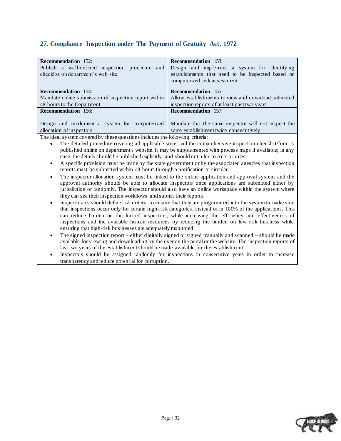### <span id="page-31-0"></span>**27. Compliance Inspection under The Payment of Gratuity Act, 1972**

| <b>Recommendation</b> 152:                            | <b>Recommendation</b> 153:                           |
|-------------------------------------------------------|------------------------------------------------------|
| Publish a well-defined inspection procedure and       | Design and implement a system for identifying        |
| checklist on department's web site                    | establishments that need to be inspected based on    |
|                                                       | computerized risk assessment                         |
|                                                       |                                                      |
| <b>Recommendation</b> 154:                            | <b>Recommendation</b> 155:                           |
| Mandate online submission of inspection report within | Allow establishments to view and download submitted  |
| 48 hours to the Department                            | inspection reports of at least past two years        |
| <b>Recommendation</b> 156:                            | <b>Recommendation</b> 157:                           |
|                                                       |                                                      |
| Design and implement a system for computerized        | Mandate that the same inspector will not inspect the |
| allocation of inspectors                              | same establishment twice consecutively               |
|                                                       |                                                      |

- The detailed procedure covering all applicable steps and the comprehensive inspection checklist/form is published online on department's website. It may be supplemented with process maps if available; in any case, the details should be published explicitly and should not refer to Acts or rules.
- A specific provision must be made by the state government or by the associated agencies that inspection reports must be submitted within 48 hours through a notification or circular.
- The inspector allocation system must be linked to the online application and approval system, and the approval authority should be able to allocate inspectors once applications are submitted either by jurisdiction or randomly. The inspector should also have an online workspace within the system where they can see their inspection workflows and submit their reports.
- Inspectorates should define risk criteria to ensure that they are programmed into the system to make sure that inspections occur only for certain high-risk categories, instead of in 100% of the applications. This can reduce burden on the limited inspectors, while increasing the efficiency and effectiveness of inspections and the available human resources by reducing the burden on low risk business while ensuring that high-risk businesses are adequately monitored.
- The signed inspection report either digitally signed or signed manually and scanned should be made available for viewing and downloading by the user on the portal or the website. The inspection reports of last two years of the establishment should be made available for the establishment.
- Inspectors should be assigned randomly for inspections in consecutive years in order to increase transparency and reduce potential for corruption.

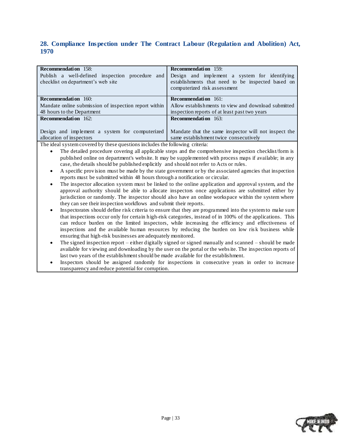### <span id="page-32-0"></span>**28. Compliance Inspection under The Contract Labour (Regulation and Abolition) Act, 1970**

| <b>Recommendation</b> 158:                                                            | <b>Recommendation</b> 159:                                                                                                         |
|---------------------------------------------------------------------------------------|------------------------------------------------------------------------------------------------------------------------------------|
| Publish a well-defined inspection procedure and<br>checklist on department's web site | Design and implement a system for identifying<br>establishments that need to be inspected based on<br>computerized risk assessment |
| <b>Recommendation</b> 160:                                                            | <b>Recommendation</b> 161:                                                                                                         |
| Mandate online submission of inspection report within                                 | Allow establishments to view and download submitted                                                                                |
| 48 hours to the Department                                                            | inspection reports of at least past two years                                                                                      |
| <b>Recommendation</b> 162:                                                            | <b>Recommendation</b> 163:                                                                                                         |
|                                                                                       |                                                                                                                                    |
| Design and implement a system for computerized                                        | Mandate that the same inspector will not inspect the                                                                               |
| allocation of inspectors                                                              | same establishment twice consecutively                                                                                             |

- The detailed procedure covering all applicable steps and the comprehensive inspection checklist/form is published online on department's website. It may be supplemented with process maps if available; in any case, the details should be published explicitly and should not refer to Acts or rules.
- A specific provision must be made by the state government or by the associated agencies that inspection reports must be submitted within 48 hours through a notification or circular.
- The inspector allocation system must be linked to the online application and approval system, and the approval authority should be able to allocate inspectors once applications are submitted either by jurisdiction or randomly. The inspector should also have an online workspace within the system where they can see their inspection workflows and submit their reports.
- Inspectorates should define risk criteria to ensure that they are programmed into the system to make sure that inspections occur only for certain high-risk categories, instead of in 100% of the applications. This can reduce burden on the limited inspectors, while increasing the efficiency and effectiveness of inspections and the available human resources by reducing the burden on low ris k business while ensuring that high-risk businesses are adequately monitored.
- The signed inspection report either digitally signed or signed manually and scanned should be made available for viewing and downloading by the user on the portal or the website. The inspection reports of last two years of the establishment should be made available for the establishment.
- Inspectors should be assigned randomly for inspections in consecutive years in order to increase transparency and reduce potential for corruption.

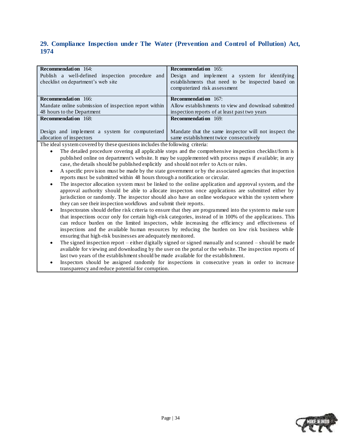### <span id="page-33-0"></span>**29. Compliance Inspection under The Water (Prevention and Control of Pollution) Act, 1974**

| <b>Recommendation</b> 164:                                                            | <b>Recommendation</b> 165:                                                                                                         |
|---------------------------------------------------------------------------------------|------------------------------------------------------------------------------------------------------------------------------------|
| Publish a well-defined inspection procedure and<br>checklist on department's web site | Design and implement a system for identifying<br>establishments that need to be inspected based on<br>computerized risk assessment |
| <b>Recommendation</b> 166:                                                            | <b>Recommendation</b> 167:                                                                                                         |
| Mandate online submission of inspection report within                                 | Allow establishments to view and download submitted                                                                                |
| 48 hours to the Department                                                            | inspection reports of at least past two years                                                                                      |
| <b>Recommendation</b> 168:                                                            | <b>Recommendation</b> 169:                                                                                                         |
|                                                                                       |                                                                                                                                    |
| Design and implement a system for computerized                                        | Mandate that the same inspector will not inspect the                                                                               |
| allocation of inspectors                                                              | same establishment twice consecutively                                                                                             |

- The detailed procedure covering all applicable steps and the comprehensive inspection checklist/form is published online on department's website. It may be supplemented with process maps if available; in any case, the details should be published explicitly and should not refer to Acts or rules.
- A specific provision must be made by the state government or by the associated agencies that inspection reports must be submitted within 48 hours through a notification or circular.
- The inspector allocation system must be linked to the online application and approval system, and the approval authority should be able to allocate inspectors once applications are submitted either by jurisdiction or randomly. The inspector should also have an online workspace within the system where they can see their inspection workflows and submit their reports.
- Inspectorates should define risk criteria to ensure that they are programmed into the system to make sure that inspections occur only for certain high-risk categories, instead of in 100% of the applications. This can reduce burden on the limited inspectors, while increasing the efficiency and effectiveness of inspections and the available human resources by reducing the burden on low risk business while ensuring that high-risk businesses are adequately monitored.
- The signed inspection report either digitally signed or signed manually and scanned should be made available for viewing and downloading by the user on the portal or the website. The inspection reports of last two years of the establishment should be made available for the establishment.
- Inspectors should be assigned randomly for inspections in consecutive years in order to increase transparency and reduce potential for corruption.

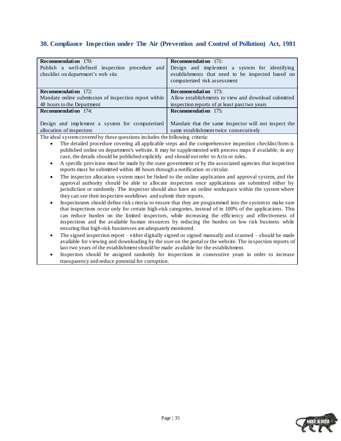### <span id="page-34-0"></span>**30. Compliance Inspection under The Air (Prevention and Control of Pollution) Act, 1981**

| <b>Recommendation</b> 170:                            | <b>Recommendation</b> 171:                           |
|-------------------------------------------------------|------------------------------------------------------|
| Publish a well-defined inspection procedure<br>and    | Design and implement a system for identifying        |
| checklist on department's web site                    | establishments that need to be inspected based on    |
|                                                       | computerized risk assessment                         |
|                                                       |                                                      |
| <b>Recommendation</b> 172:                            | <b>Recommendation</b> 173:                           |
| Mandate online submission of inspection report within | Allow establishments to view and download submitted  |
| 48 hours to the Department                            | inspection reports of at least past two years        |
| <b>Recommendation</b> 174:                            | <b>Recommendation</b> 175:                           |
|                                                       |                                                      |
| Design and implement a system for computerized        | Mandate that the same inspector will not inspect the |
| allocation of inspectors                              | same establishment twice consecutively               |
| .                                                     | $\sim$ $\sim$ $\sim$ $\sim$ $\sim$ $\sim$            |

- The detailed procedure covering all applicable steps and the comprehensive inspection checklist/form is published online on department's website. It may be supplemented with process maps if available; in any case, the details should be published explicitly and should not refer to Acts or rules.
- A specific provision must be made by the state government or by the associated agencies that inspection reports must be submitted within 48 hours through a notification or circular.
- The inspector allocation system must be linked to the online application and approval system, and the approval authority should be able to allocate inspectors once applications are submitted either by jurisdiction or randomly. The inspector should also have an online workspace within the system where they can see their inspection workflows and submit their reports.
- Inspectorates should define risk criteria to ensure that they are programmed into the system to make sure that inspections occur only for certain high-risk categories, instead of in 100% of the applications. This can reduce burden on the limited inspectors, while increasing the efficiency and effectiveness of inspections and the available human resources by reducing the burden on low risk business while ensuring that high-risk businesses are adequately monitored.
- The signed inspection report either digitally signed or signed manually and scanned should be made available for viewing and downloading by the user on the portal or the website. The in spection reports of last two years of the establishment should be made available for the establishment.
- Inspectors should be assigned randomly for inspections in consecutive years in order to increase transparency and reduce potential for corruption.

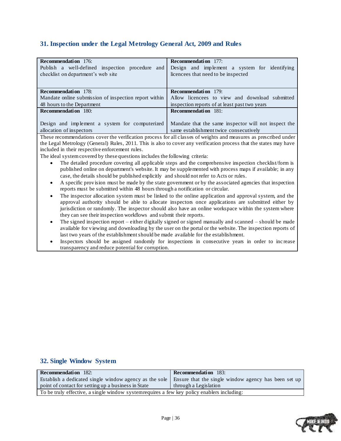### <span id="page-35-0"></span>**31. Inspection under the Legal Metrology General Act, 2009 and Rules**

| <b>Recommendation</b> 176:<br>Publish a well-defined inspection procedure and<br>checklist on department's web site | <b>Recommendation</b> 177:<br>Design and implement a system for identifying<br>licencees that need to be inspected |
|---------------------------------------------------------------------------------------------------------------------|--------------------------------------------------------------------------------------------------------------------|
| <b>Recommendation</b> 178:                                                                                          | <b>Recommendation</b> 179:                                                                                         |
| Mandate online submission of inspection report within                                                               | Allow licencees to view and download submitted                                                                     |
| 48 hours to the Department                                                                                          | inspection reports of at least past two years                                                                      |
| <b>Recommendation</b> 180:                                                                                          | <b>Recommendation</b> 181:                                                                                         |
|                                                                                                                     |                                                                                                                    |
| Design and implement a system for computerized                                                                      | Mandate that the same inspector will not inspect the                                                               |
| allocation of inspectors                                                                                            | same establishment twice consecutively                                                                             |

These recommendations cover the verification process for all classes of weights and measures as prescribed under the Legal Metrology (General) Rules, 2011. This is also to cover any verification process that the states may have included in their respective enforcement rules.

The ideal system covered by these questions includes the following criteria:

- The detailed procedure covering all applicable steps and the comprehensive inspection checklist/form is published online on department's website. It may be supplemented with process maps if available; in any case, the details should be published explicitly and should not refer to Acts or rules.
- A specific provision must be made by the state government or by the associated agencies that inspection reports must be submitted within 48 hours through a notification or circular.
- The inspector allocation system must be linked to the online application and approval system, and the approval authority should be able to allocate inspectors once applications are submitted either by jurisdiction or randomly. The inspector should also have an online workspace within the system where they can see their inspection workflows and submit their reports.
- The signed inspection report either digitally signed or signed manually and scanned should be made available for viewing and downloading by the user on the portal or the website. The inspection reports of last two years of the establishment should be made available for the establishment.
- Inspectors should be assigned randomly for inspections in consecutive years in order to inc rease transparency and reduce potential for corruption.

### <span id="page-35-1"></span>**32. Single Window System**

| Ensure that the single window agency has been set up                                        |  |  |  |
|---------------------------------------------------------------------------------------------|--|--|--|
| through a Legislation                                                                       |  |  |  |
| To be truly effective, a single window system requires a few key policy enablers including: |  |  |  |
|                                                                                             |  |  |  |

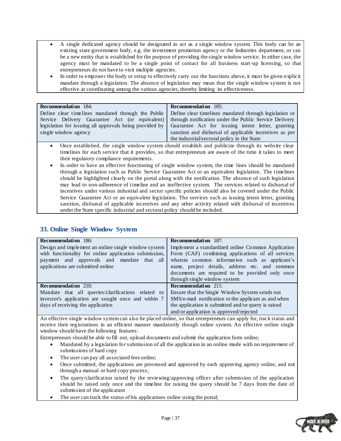- A single dedicated agency should be designated to act as a single window system. This body can be an existing state government body, e.g. the investment promotion agency or the Industries department, or can be a new entity that is established for the purpose of providing the single window service. In either case, the agency must be mandated to be a single point of contact for all business start-up licensing, so that entrepreneurs do not have to visit multiple agencies.
- In order to empower the body or setup to effectively carry out the functions above, it must be given explicit mandate through a legislation. The absence of legislation may mean that the single window system is not effective at coordinating among the various agencies, thereby limiting its effectiveness.

| <b>Recommendation</b> 184:                                                                          | <b>Recommendation</b> 185:                             |  |  |
|-----------------------------------------------------------------------------------------------------|--------------------------------------------------------|--|--|
| Define clear timelines mandated through the Public                                                  | Define clear timelines mandated through legislation or |  |  |
| Service Delivery Guarantee Act (or equivalent)                                                      | through notification under the Public Service Delivery |  |  |
| legislation for issuing all approvals being provided by                                             | Guarantee Act for issuing intent letter, granting      |  |  |
| single window agency                                                                                | sanction and disbursal of applicable incentives as per |  |  |
|                                                                                                     | the industrial/sectoral policy in the State            |  |  |
| Once established, the single window system should establish and publicize through its website clear |                                                        |  |  |

- window system should establish and publicize timelines for each service that it provides, so that entrepreneurs are aware of the time it takes to meet their regulatory compliance requirements.
- In order to have an effective functioning of single window system, the time lines should be mandated through a legislation such as Public Service Guarantee Act or an equivalent legislation. The timelines should be highlighted clearly on the portal along with the notification. The absence of such legislation may lead to non-adherence of timeline and an ineffective system. The services related to disbursal of incentives under various industrial and sector specific policies should also be covered under the Public Service Guarantee Act or an equivalent legislation. The services such as issuing intent letter, granting sanction, disbursal of applicable incentives and any other activity related with disbursal of incentives under the State specific industrial and sectoral policy should be included.

### <span id="page-36-0"></span>**33. Online Single Window System**

| <b>Recommendation</b> 186:                                                                                                                                                                      | <b>Recommendation</b> 187:                                                                                                                                                                                                                                                                     |
|-------------------------------------------------------------------------------------------------------------------------------------------------------------------------------------------------|------------------------------------------------------------------------------------------------------------------------------------------------------------------------------------------------------------------------------------------------------------------------------------------------|
| Design and implement an online single window system<br>with functionality for online application submission,<br>payment and approvals and mandate that all<br>applications are submitted online | Implement a standardized online Common Application<br>Form (CAF) combining applications of all services<br>wherein common information such as applicant's<br>name, project details, address etc. and common<br>documents are required to be provided only once<br>through single window system |
| <b>Recommendation</b> 210:                                                                                                                                                                      | <b>Recommendation</b> 211:                                                                                                                                                                                                                                                                     |
| Mandate that all queries/clarifications related to<br>investor's application are sought once and within 7<br>days of receiving the application                                                  | Ensure that the Single Window System sends out<br>SMS/e-mail notification to the applicant as and when<br>the application is submitted and/or query is raised<br>and/or application is approved/rejected                                                                                       |

An effective single window system can also be placed online, so that entrepreneurs can apply for, track status and receive their registrations in an efficient manner mandatorily though online system. An effective online single window should have the following features:

Entrepreneurs should be able to fill out, upload documents and submit the application form online;

- Mandated by a legislation for submission of all the application in an online mode with no requirement of submissions of hard copy
- The user can pay all associated fees online;
- Once submitted, the applications are processed and approved by each approving agency online, and not through a manual or hard copy process;
- The query/clarification raised by the reviewing/approving officer after submission of the application should be raised only once and the timeline for raising the query should be 7 days from the date of submission of the application
- The user can track the status of his applications online using the portal;

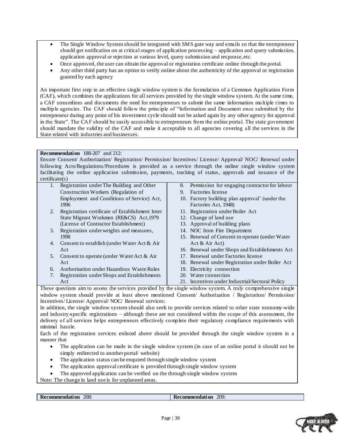- The Single Window System should be integrated with SMS gate way and emails so that the entrepreneur should get notification on at critical stages of application processing – application and query submission, application approval or rejection at various level, query submission and response, etc.
- Once approved, the user can obtain the approval or registration certificate online through the portal.
- Any other third party has an option to verify online about the authenticity of the approval or registration granted by each agency

An important first step in an effective single window system is the formulation of a Common Application Form (CAF), which combines the applications for all services provided by the single window system. At the same time, a CAF streamlines and documents the need for entrepreneurs to submit the same information multiple times to multiple agencies. The CAF should follow the principle of "Information and Document once submitted by the entrepreneur during any point of his investment cycle should not be asked again by any other agency for approval in the State". The CAF should be easily accessible to entrepreneurs from the online portal. The state government should mandate the validity of the CAF and make it acceptable to all agencies covering all the services in the State related with industries and businesses.

#### **Recommendation** 188-207 and 212:

Ensure Consent/ Authorization/ Registration/ Permission/ Incentives/ License/ Approval/ NOC/ Renewal under following Acts/Regulations/Procedures is provided as a service through the online single window system facilitating the online application submission, payments, tracking of status, approvals and issuance of the certificate(s)

| 1.               | Registration under The Building and Other                                                                     | 8. | Permission for engaging contractor for labour   |
|------------------|---------------------------------------------------------------------------------------------------------------|----|-------------------------------------------------|
|                  | Construction Workers (Regulation of                                                                           | 9. | Factories license                               |
|                  | Employment and Conditions of Service) Act,                                                                    |    | 10. Factory building plan approval' (under the  |
|                  | 1996                                                                                                          |    | Factories Act, 1948)                            |
| 2.               | Registration certificate of Establishment Inter                                                               |    | 11. Registration under Boiler Act               |
|                  | State Migrant Workmen (RE&CS) Act, 1979                                                                       |    | 12. Change of land use                          |
|                  | (License of Contractor Establishment)                                                                         |    | 13. Approval of building plans                  |
| $\mathfrak{Z}$ . | Registration under weights and measures,                                                                      |    | 14. NOC from Fire Department                    |
|                  | 1998                                                                                                          |    | 15. Renewal of Consent to operate (under Water) |
| 4.               | Consent to establish (under Water Act $\&$ Air                                                                |    | Act & Air Act)                                  |
|                  | Act                                                                                                           |    | 16. Renewal under Shops and Establishments Act  |
| 5.               | Consent to operate (under Water Act $\&$ Air                                                                  |    | 17. Renewal under Factories license             |
|                  | Act                                                                                                           |    | 18. Renewal under Registration under Boiler Act |
| 6.               | Authorization under Hazardous Waste Rules                                                                     |    | 19. Electricity connection                      |
| 7.               | Registration under Shops and Establishments                                                                   |    | 20. Water connection                            |
|                  | Act                                                                                                           |    | 21. Incentives under Industrial/Sectoral Policy |
|                  | These questions aim to assess the services provided by the single window system. A truly comprehensive single |    |                                                 |
|                  |                                                                                                               |    |                                                 |

window system should provide at least above mentioned Consent/ Authorization / Registration/ Permission/ Incentives/ License/ Approval/ NOC/ Renewal services:

In addition, the single window system should also seek to provide services related to other state economy-wide and industry-specific registrations – although these are not considered within the scope of this assessment, the delivery of all services helps entrepreneurs effectively complete their regulatory compliance requirements with minimal hassle.

Each of the registration services enlisted above should be provided through the single window system in a manner that

- The application can be made in the single window system (in case of an online portal it should not be simply redirected to another portal/ website)
- The application status can be enquired through single window system
- The application approval certificate is provided through single window system
- The approved application can be verified on the through single window system

Note: The change in land use is for unplanned areas.

```
Recommendation 208: Recommendation 209:
```
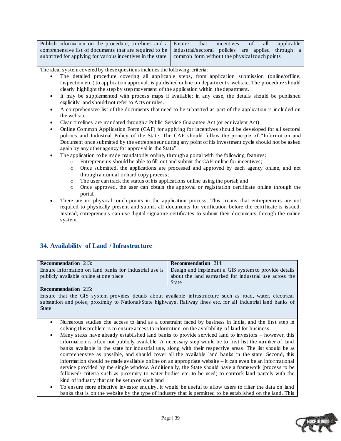| Publish information on the procedure, timelines and a Ensure that incentives of all applicable                     |  |  |  |  |
|--------------------------------------------------------------------------------------------------------------------|--|--|--|--|
| comprehensive list of documents that are required to be $\vert$ industrial/sectoral policies are applied through a |  |  |  |  |
| submitted for applying for various incentives in the state common form without the physical touch points           |  |  |  |  |

The ideal system covered by these questions includes the following criteria:

- The detailed procedure covering all applicable steps, from application submission (online/offline, inspection etc.) to application approval, is published online on department's website. The procedure should clearly highlight the step by step movement of the application within the department.
- It may be supplemented with process maps if available; in any case, the details should be published explicitly and should not refer to Acts or rules.
- A comprehensive list of the documents that need to be submitted as part of the application is included on the website.
- Clear timelines are mandated through a Public Service Guarantee Act (or equivalent Act)
- Online Common Application Form (CAF) for applying for incentives should be developed for all sectoral policies and Industrial Policy of the State. The CAF should follow the principle of "Information and Document once submitted by the entrepreneur during any point of his investment cycle should not be asked again by any other agency for approval in the State".
- The application to be made mandatorily online, through a portal with the following features:
	- o Entrepreneurs should be able to fill out and submit the CAF online for incentives;
		- o Once submitted, the applications are processed and approved by each agency online, and not through a manual or hard copy process;
		- o The user can track the status of his applications online using the portal; and
		- o Once approved, the user can obtain the approval or registration certificate online through the portal.
- There are no physical touch-points in the application process. This means that entrepreneurs are not required to physically present and submit all documents for verification before the certificate is issued. Instead, entrepreneurs can use digital signature certificates to submit their documents through the online system.

### <span id="page-38-0"></span>**34. Availability of Land / Infrastructure**

| <b>Recommendation</b> 213:                                                                                  | <b>Recommendation</b> 214:                             |
|-------------------------------------------------------------------------------------------------------------|--------------------------------------------------------|
| Ensure information on land banks for industrial use is Design and implement a GIS system to provide details |                                                        |
| publicly available online at one place                                                                      | about the land earmarked for industrial use across the |
|                                                                                                             | State                                                  |

**Recommendation** 215:

Ensure that the GIS system provides details about available infrastructure such as road, water, electrical substation and poles, proximity to National/State highways, Railway lines etc. for all industrial land banks of State

- Numerous studies cite access to land as a constraint faced by business in India, and the first step in solving this problem is to ensure access to information on the availability of land for business.
- Many states have already established land banks to provide serviced land to investors however, this information is often not publicly available. A necessary step would be to first list the number of land banks available in the state for industrial use, along with their respective areas. The list should be as comprehensive as possible, and should cover all the available land banks in the state. Second, this information should be made available online on an appropriate website – it can even be an informational service provided by the single window. Additionally, the State should have a framework (process to be followed/ criteria such as proximity to water bodies etc. to be used) to earmark land parcels with the kind of industry that can be setup on such land
- To ensure more effective investor enquiry, it would be useful to allow users to filter the data on land banks that is on the website by the type of industry that is permitted to be established on the land. This

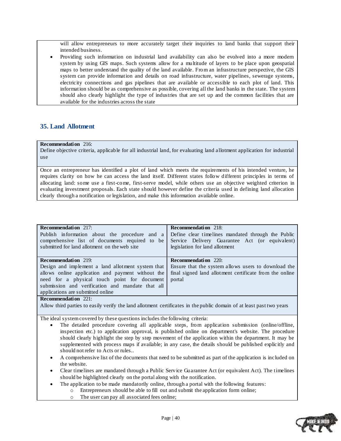will allow entrepreneurs to more accurately target their inquiries to land banks that support their intended business.

 Providing such information on industrial land availability can also be evolved into a more modern system by using GIS maps. Such systems allow for a multitude of layers to be place upon geospatial maps to better understand the quality of the land available. From an infrastructure perspective, the GIS system can provide information and details on road infrastructure, water pipelines, sewerage systems, electricity connections and gas pipelines that are available or accessible to each plot of land. This information should be as comprehensive as possible, covering all the land banks in the state. The system should also clearly highlight the type of industries that are set up and the common facilities that are available for the industries across the state

### <span id="page-39-0"></span>**35. Land Allotment**

#### **Recommendation** 216:

Define objective criteria, applicable for all industrial land, for evaluating land allotment application for industrial use

Once an entrepreneur has identified a plot of land which meets the requirements of his intended venture, he requires clarity on how he can access the land itself. Different states follow different principles in terms of allocating land: some use a first-come, first-serve model, while others use an objective weighted criterion in evaluating investment proposals. Each state should however define the criteria used in defining land allocation clearly through a notification or legislation, and make this information available online.

| <b>Recommendation</b> 217:                                                                                                                                                                                                                                                    | <b>Recommendation</b> 218:                                                                                                                             |
|-------------------------------------------------------------------------------------------------------------------------------------------------------------------------------------------------------------------------------------------------------------------------------|--------------------------------------------------------------------------------------------------------------------------------------------------------|
| Publish information about the procedure and a                                                                                                                                                                                                                                 | Define clear timelines mandated through the Public                                                                                                     |
| comprehensive list of documents required to be                                                                                                                                                                                                                                | Service Delivery Guarantee Act (or equivalent)                                                                                                         |
| submitted for land allotment on the web site                                                                                                                                                                                                                                  | legislation for land allotment                                                                                                                         |
| <b>Recommendation</b> 219:<br>Design and implement a land allotment system that<br>allows online application and payment without the<br>need for a physical touch point for document<br>submission and verification and mandate that all<br>applications are submitted online | <b>Recommendation</b> 220:<br>Ensure that the system allows users to download the<br>final signed land allotment certificate from the online<br>portal |

**Recommendation** 221:

Allow third parties to easily verify the land allotment certificates in the public domain of at least past two years

- The detailed procedure covering all applicable steps, from application submission (online/offline, inspection etc.) to application approval, is published online on department's website. The procedure should clearly highlight the step by step movement of the application within the department. It may be supplemented with process maps if available; in any case, the details should be published explicitly and should not refer to Acts or rules..
- A comprehensive list of the documents that need to be submitted as part of the application is included on the website.
- Clear timelines are mandated through a Public Service Guarantee Act (or equivalent Act). The timelines should be highlighted clearly on the portal along with the notification.
	- The application to be made mandatorily online, through a portal with the following features:
		- o Entrepreneurs should be able to fill out and submit the application form online;
		- o The user can pay all associated fees online;

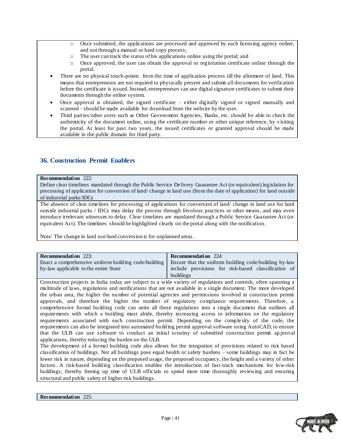- o Once submitted, the applications are processed and approved by each licensing agency online, and not through a manual or hard copy process;
- o The user can track the status of his applications online using the portal; and
- o Once approved, the user can obtain the approval or registration certificate online through the portal.
- There are no physical touch-points from the time of application process till the allotment of land. This means that entrepreneurs are not required to physically present and submit all documents for verification before the certificate is issued. Instead, entrepreneurs can use digital signature certificates to submit their documents through the online system.
- Once approval is obtained, the signed certificate either digitally signed or signed manually and scanned – should be made available for download from the website by the user.
- Third parties/other users such as Other Government Agencies, Banks, etc. should be able to check the authenticity of the document online, using the certificate number or other unique reference, by visiting the portal. At least for past two years, the issued certificates or granted approval should be made available in the public domain for third party.

### <span id="page-40-0"></span>**36. Construction Permit Enablers**

#### **Recommendation** 222:

Define clear timelines mandated through the Public Service Delivery Guarantee Act (or equivalent) legislation for processing of application for conversion of land/ change in land use (from the date of application) for land outside of industrial parks/IDCs

The absence of clear timelines for processing of applications for conversion of land/ change in land use for land outside industrial parks / IDCs may delay the process through frivolous practices or other means, and may even introduce irrelevant witnesses to delay. Clear timelines are mandated through a Public Service Guarantee Act (or equivalent Act). The timelines should be highlighted clearly on the portal along with the notification.

Note: The change in land use/land conversion is for unplanned areas.

| <b>Recommendation</b> 223:                           | <b>Recommendation</b> 224:                            |
|------------------------------------------------------|-------------------------------------------------------|
| Enact a comprehensive uniform building code/building | Ensure that the uniform building code/building by-law |
| by-law applicable to the entire State                | include provisions for risk-based classification of   |
|                                                      | buildings                                             |

Construction projects in India today are subject to a wide variety of regulations and controls, often spanning a multitude of laws, regulations and notifications that are not available in a single document. The more developed the urban area, the higher the number of potential agencies and permissions involved in construction permit approvals, and therefore the higher the number of regulatory compliance requirements. Therefore, a comprehensive formal building code can unite all these regulations into a single document that outlines all requirements with which a building must abide, thereby increasing access to information on the regulatory requirements associated with each construction permit. Depending on the complexity of the code, the requirements can also be integrated into automated building permit approval software using AutoCAD, to ensure that the ULB can use software to conduct an initial scrutiny of submitted construction permit ap proval applications, thereby reducing the burden on the ULB.

The development of a formal building code also allows for the integration of provisions related to risk based classification of buildings. Not all buildings pose equal health or safety burdens – some buildings may in fact be lower risk in nature, depending on the proposed usage, the proposed occupancy, the height and a variety of other factors. A risk-based building classification enables the introduction of fast-track mechanisms for low-risk buildings, thereby freeing up time of ULB officials to spend more time thoroughly reviewing and ensuring structural and public safety of higher risk buildings.

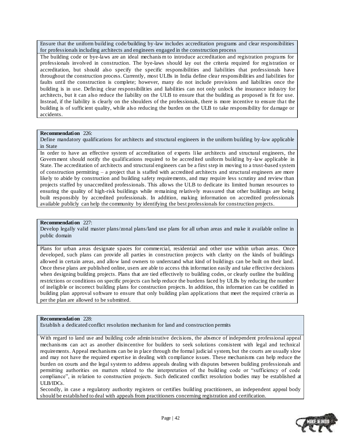Ensure that the uniform building code/building by-law includes accreditation programs and clear responsibilities for professionals including architects and engineers engaged in the construction process

The building code or bye-laws are an ideal mechanis m to introduce accreditation and registration programs for professionals involved in construction. The bye-laws should lay out the criteria required for registration or accreditation, but should also specify the specific responsibilities and liabilities that professionals have throughout the construction process. Currently, most ULBs in India define clear responsibilities and liabilities for faults until the construction is complete; however, many do not include provisions and liabilities once the building is in use. Defining clear responsibilities and liabilities can not only unlock the insurance industry for architects, but it can also reduce the liability on the ULB to ensure that the building as proposed is fit for use. Instead, if the liability is clearly on the shoulders of the professionals, there is more incentive to ensure tha t the building is of sufficient quality, while also reducing the burden on the ULB to take responsibility for damage or accidents.

#### **Recommendation** 226:

Define mandatory qualifications for architects and structural engineers in the uniform building by-law applicable in State

In order to have an effective system of accreditation of experts like architects and structural engineers, the Government should notify the qualifications required to be accredited uniform building by -law applicable in State. The accreditation of architects and structural engineers can be a first step in moving to a trust-based system of construction permitting – a project that is staffed with accredited architects and structural engineers are more likely to abide by construction and building safety requirements, and may require less scrutiny and review than projects staffed by unaccredited professionals. This allows the ULB to dedicate its limited human resources to ensuring the quality of high-risk buildings while remaining relatively reassured that other buildings are being built responsibly by accredited professionals. In addition, making information on accredited professionals available publicly can help the community by identifying the best professionals for construction projects.

#### **Recommendation** 227:

Develop legally valid master plans/zonal plans/land use plans for all urban areas and make it available online in public domain

Plans for urban areas designate spaces for commercial, residential and other use within urban areas. Once developed, such plans can provide all parties in construction projects with clarity on the kinds of buildings allowed in certain areas, and allow land owners to understand what kind of buildings can be built on their land. Once these plans are published online, users are able to access this information easily and take effective decisions when designing building projects. Plans that are tied effectively to building codes, or clearly outline the building restrictions or conditions on specific projects can help reduce the burdens faced by ULBs by reducing the number of ineligible or incorrect building plans for construction projects. In addition, this information can be codified in building plan approval software to ensure that only building plan applications that meet the required criteria as per the plan are allowed to be submitted.

#### **Recommendation** 228:

Establish a dedicated conflict resolution mechanism for land and construction permits

With regard to land use and building code administrative decisions, the absence of independent professional appeal mechanis ms can act as another disincentive for builders to seek solutions consistent with legal and technical requirements. Appeal mechanisms can be in place through the formal judicial system, but the courts are usually slow and may not have the required expertise in dealing with compliance issues. These mechanisms can help reduce the burden on courts and the legal system to address appeals dealing with disputes between building professionals and permitting authorities on matters related to the interpretation of the building code or "sufficiency of code compliance", in relation to construction projects. Such dedicated conflict resolution bodies may be established at ULB/IDCs.

Secondly, in case a regulatory authority registers or certifies building practitioners, an independent appeal body should be established to deal with appeals from practitioners concerning registration and certification.

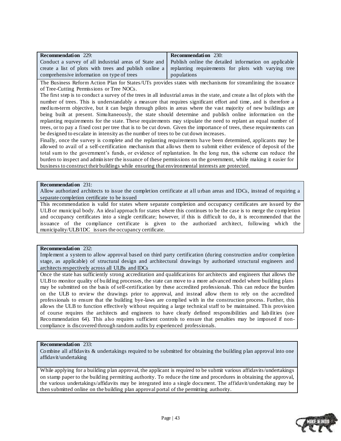| <b>Recommendation</b> 229:                                                                                    | <b>Recommendation</b> 230:                                                                                 |
|---------------------------------------------------------------------------------------------------------------|------------------------------------------------------------------------------------------------------------|
| Conduct a survey of all industrial areas of State and   Publish online the detailed information on applicable |                                                                                                            |
|                                                                                                               | create a list of plots with trees and publish online a replanting requirements for plots with varying tree |
| comprehensive information on type of trees                                                                    | populations                                                                                                |

The Business Reform Action Plan for States/UTs provides states with mechanisms for streamlining the issuance of Tree-Cutting Permissions or Tree NOCs.

The first step is to conduct a survey of the trees in all industrial areas in the state, and create a list of plots with the number of trees. This is understandably a measure that requires significant effort and time, and is therefore a medium-term objective, but it can begin through pilots in areas where the vast majority of new buildings are being built at present. Simultaneously, the state should determine and publish online information on the replanting requirements for the state. These requirements may stipulate the need to replant an equal number of trees, or to pay a fixed cost per tree that is to be cut down. Given the importance of trees, these requirements can be designed to escalate in intensity as the number of trees to be cut down increases.

Finally, once the survey is complete and the replanting requirements have been determined, applicants may be allowed to avail of a self-certification mechanism that allows them to submit either evidence of deposit of the total sum to the government"s funds, or evidence of replantation. In the long run, this scheme can reduce the burden to inspect and administer the issuance of these permissions on the government, while making it easier for business to construct their buildings while ensuring that environmental interests are protected.

#### **Recommendation** 231:

Allow authorized architects to issue the completion certificate at all urban areas and IDCs, instead of requiring a separate completion certificate to be issued

This recommendation is valid for states where separate completion and occupancy certificates are issued by the ULB or municipal body. An ideal approach for states where this continues to be the case is to merge the completion and occupancy certificates into a single certificate; however, if this is difficult to do, it is recommended that the issuance of the compliance certificate is given to the authorized architect, following which the municipality/ULB/IDC issues the occupancy certificate.

#### **Recommendation** 232:

Implement a system to allow approval based on third party certification (during construction and/or completion stage, as applicable) of structural design and architectural drawings by authorized structural engineers and architects respectively across all ULBs and IDCs

Once the state has sufficiently strong accreditation and qualifications for architects and engineers that allows the ULB to monitor quality of building processes, the state can move to a more advanced model where building plans may be submitted on the basis of self-certification by these accredited professionals. This can reduce the burden on the ULB to review the drawings prior to approval, and instead allow them to rely on the accredited professionals to ensure that the building bye-laws are complied with in the construction process. Further, this allows the ULB to function effectively without requiring a large technical staff to be maintained. This provision of course requires the architects and engineers to have clearly defined responsibilities and liabilities (see Recommendation 64). This also requires sufficient controls to ensure that penalties may be imposed if noncompliance is discovered through random audits by experienced professionals.

#### **Recommendation** 233:

Combine all affidavits & undertakings required to be submitted for obtaining the building plan approval into one affidavit/undertaking

While applying for a building plan approval, the applicant is required to be submit various affidavits/undertakings on stamp paper to the building permitting authority. To reduce the time and procedures in obtaining the approval, the various undertakings/affidavits may be integrated into a single document. The affidavit/undertaking may be then submitted online on the building plan approval portal of the permitting authority.

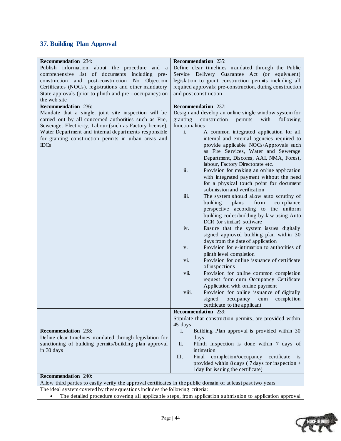# <span id="page-43-0"></span>**37. Building Plan Approval**

| <b>Recommendation</b> 234:                                                                                     | Recommendation 235:                                                                                       |
|----------------------------------------------------------------------------------------------------------------|-----------------------------------------------------------------------------------------------------------|
| Publish information about the procedure and a                                                                  | Define clear timelines mandated through the Public                                                        |
| comprehensive list of documents including pre-                                                                 | Service Delivery Guarantee Act (or equivalent)                                                            |
| construction and post-construction No Objection                                                                | legislation to grant construction permits including all                                                   |
| Certificates (NOCs), registrations and other mandatory                                                         | required approvals; pre-construction, during construction                                                 |
| State approvals (prior to plinth and pre - occupancy) on                                                       | and post construction                                                                                     |
| the web site                                                                                                   |                                                                                                           |
| Recommendation 236:                                                                                            | Recommendation 237:                                                                                       |
| Mandate that a single, joint site inspection will be                                                           | Design and develop an online single window system for                                                     |
| carried out by all concerned authorities such as Fire,                                                         | granting<br>construction<br>permits<br>with<br>following                                                  |
| Sewerage, Electricity, Labour (such as Factory license),                                                       | functionalities:                                                                                          |
| Water Department and internal departments responsible                                                          | $\mathbf{i}$ .<br>A common integrated application for all                                                 |
| for granting construction permits in urban areas and                                                           | internal and external agencies required to                                                                |
| <b>IDCs</b>                                                                                                    | provide applicable NOCs/Approvals such                                                                    |
|                                                                                                                | as Fire Services, Water and Sewerage                                                                      |
|                                                                                                                | Department, Discoms, AAI, NMA, Forest,                                                                    |
|                                                                                                                | labour, Factory Directorate etc.                                                                          |
|                                                                                                                | ii.<br>Provision for making an online application                                                         |
|                                                                                                                | with integrated payment without the need                                                                  |
|                                                                                                                | for a physical touch point for document                                                                   |
|                                                                                                                | submission and verification                                                                               |
|                                                                                                                | iii.<br>The system should allow auto scrutiny of                                                          |
|                                                                                                                | building<br>plans<br>from<br>compliance                                                                   |
|                                                                                                                | perspective according to the uniform                                                                      |
|                                                                                                                | building codes/building by-law using Auto                                                                 |
|                                                                                                                | DCR (or similar) software                                                                                 |
|                                                                                                                | Ensure that the system issues digitally<br>iv.                                                            |
|                                                                                                                | signed approved building plan within 30                                                                   |
|                                                                                                                | days from the date of application                                                                         |
|                                                                                                                | Provision for e-intimation to authorities of<br>V.                                                        |
|                                                                                                                | plinth level completion                                                                                   |
|                                                                                                                | Provision for online issuance of certificate<br>vi.                                                       |
|                                                                                                                | of inspections                                                                                            |
|                                                                                                                | Provision for online common completion<br>vii.                                                            |
|                                                                                                                | request form cum Occupancy Certificate                                                                    |
|                                                                                                                | Application with online payment                                                                           |
|                                                                                                                | Provision for online issuance of digitally<br>viii.                                                       |
|                                                                                                                | signed<br>occupancy<br>completion<br>cum                                                                  |
|                                                                                                                | certificate to the applicant                                                                              |
|                                                                                                                | Recommendation 239:                                                                                       |
|                                                                                                                | Stipulate that construction permits, are provided within                                                  |
|                                                                                                                | 45 days                                                                                                   |
| <b>Recommendation</b> 238:                                                                                     | I.<br>Building Plan approval is provided within 30                                                        |
| Define clear timelines mandated through legislation for                                                        | days                                                                                                      |
| sanctioning of building permits/building plan approval                                                         | Plinth Inspection is done within 7 days of<br>П.                                                          |
| in 30 days                                                                                                     | intimation                                                                                                |
|                                                                                                                | Ш.<br>Final<br>completion/occupancy<br>certificate<br><b>1S</b>                                           |
|                                                                                                                | provided within 8 days ( $7$ days for inspection +                                                        |
| <b>Recommendation</b> 240:                                                                                     | Iday for issuing the certificate)                                                                         |
|                                                                                                                |                                                                                                           |
| Allow third parties to easily verify the approval certificates in the public domain of at least past two years |                                                                                                           |
| The ideal system covered by these questions includes the following criteria:                                   |                                                                                                           |
|                                                                                                                | The detailed procedure covering all applicable steps, from application submission to application approval |

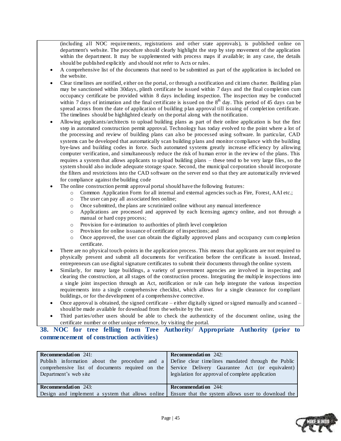(including all NOC requirements, registrations and other state approvals), is published online on department's website. The procedure should clearly highlight the step by step movement of the application within the department. It may be supplemented with process maps if available; in any case, the details should be published explicitly and should not refer to Acts or rules.

- A comprehensive list of the documents that need to be submitted as part of the application is included on the website.
- Clear timelines are notified, either on the portal, or through a notification and citizen cha rter. Building plan may be sanctioned within 30days, plinth certificate be issued within 7 days and the final completion cum occupancy certificate be provided within 8 days including inspection. The inspection may be conducted within 7 days of intimation and the final certificate is issued on the  $8<sup>th</sup>$  day. This period of 45 days can be spread across from the date of application of building plan approval till issuing of completion certificate. The timelines should be highlighted clearly on the portal along with the notification.
- Allowing applicants/architects to upload building plans as part of their online application is but the first step in automated construction permit approval. Technology has today evolved to the point where a lot of the processing and review of building plans can also be processed using software. In particular, CAD systems can be developed that automatically scan building plans and monitor compliance with the building bye-laws and building codes in force. Such automated systems greatly increase efficiency by allowing computer verification, and simultaneously reduce the risk of human error in the review of the plans. This requires a system that allows applicants to upload building plans – these tend to be very large files, so the system should also include adequate storage space. Second, the municipal corporation should incorporate the filters and restrictions into the CAD software on the server end so that they are automatically reviewed for compliance against the building code
- The online construction permit approval portal should have the following features:
	- o Common Application Form for all internal and external agencies such as Fire, Forest, AAI etc.;
	- o The user can pay all associated fees online;
	- o Once submitted, the plans are scrutinized online without any manual interference
	- o Applications are processed and approved by each licensing agency online, and not through a manual or hard copy process;
	- o Provision for e-intimation to authorities of plinth level completion
	- o Provision for online issuance of certificate of inspections; and
	- o Once approved, the user can obtain the digitally approved plans and occupancy cum completion certificate.
- There are no physical touch-points in the application process. This means that applicants are not required to physically present and submit all documents for verification before the certificate is issued. Instead, entrepreneurs can use digital signature certificates to submit their documents through the online system.
- Similarly, for many large buildings, a variety of government agencies are involved in inspecting and clearing the construction, at all stages of the construction process. Integrating the multiple inspections into a single joint inspection through an Act, notification or rule can help integrate the various inspection requirements into a single comprehensive checklist, which allows for a single clearance for compliant buildings, or for the development of a comprehensive corrective.
- Once approval is obtained, the signed certificate either digitally signed or signed manually and scanned should be made available for download from the website by the user.
- Third parties/other users should be able to check the authenticity of the document online, using the certificate number or other unique reference, by visiting the portal.

### <span id="page-44-0"></span>**38. NOC for tree felling from Tree Authority/ Appropriate Authority (prior to commencement of construction activities)**

| <b>Recommendation</b> 241:<br>Publish information about the procedure and a Define clear timelines mandated through the Public<br>Department's web site | <b>Recommendation</b> 242:<br>comprehensive list of documents required on the Service Delivery Guarantee Act (or equivalent)<br>legislation for approval of complete application |
|---------------------------------------------------------------------------------------------------------------------------------------------------------|----------------------------------------------------------------------------------------------------------------------------------------------------------------------------------|
| <b>Recommendation</b> 243:                                                                                                                              | <b>Recommendation</b> 244:                                                                                                                                                       |
|                                                                                                                                                         | Design and implement a system that allows online   Ensure that the system allows user to download the                                                                            |

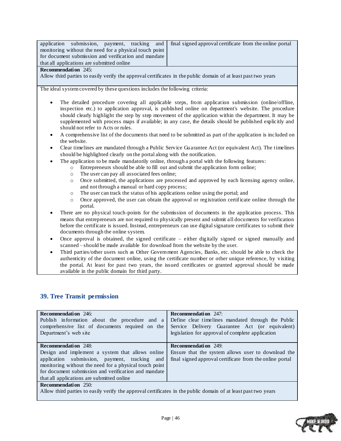|                                                        |  |  | application submission, payment, tracking and final signed approval certificate from the online portal |
|--------------------------------------------------------|--|--|--------------------------------------------------------------------------------------------------------|
| monitoring without the need for a physical touch point |  |  |                                                                                                        |
| for document submission and verification and mandate   |  |  |                                                                                                        |
| that all applications are submitted online             |  |  |                                                                                                        |
|                                                        |  |  |                                                                                                        |

#### **Recommendation** 245:

Allow third parties to easily verify the approval certificates in the public domain of at least past two years

The ideal system covered by these questions includes the following criteria:

- The detailed procedure covering all applicable steps, from application submission (online/offline, inspection etc.) to application approval, is published online on department's website. The procedure should clearly highlight the step by step movement of the application within the department. It may be supplemented with process maps if available; in any case, the details should be published explicitly and should not refer to Acts or rules.
- A comprehensive list of the documents that need to be submitted as part of the application is included on the website.
- Clear timelines are mandated through a Public Service Guarantee Act (or equivalent Act). The timelines should be highlighted clearly on the portal along with the notification.
- The application to be made mandatorily online, through a portal with the following features:
	- o Entrepreneurs should be able to fill out and submit the application form online;
	- o The user can pay all associated fees online;
	- o Once submitted, the applications are processed and approved by each licensing agency online, and not through a manual or hard copy process;
	- o The user can track the status of his applications online using the portal; and
	- $\circ$  Once approved, the user can obtain the approval or registration certificate online through the portal.
- There are no physical touch-points for the submission of documents in the application process. This means that entrepreneurs are not required to physically present and submit all documents for verification before the certificate is issued. Instead, entrepreneurs can use digital signature certificates to submit their documents through the online system.
- Once approval is obtained, the signed certificate either digitally signed or signed manually and scanned – should be made available for download from the website by the user.
- Third parties/other users such as Other Government Agencies, Banks, etc. should be able to check the authenticity of the document online, using the certificate number or other unique reference, by visiting the portal. At least for past two years, the issued certificates or granted approval should be made available in the public domain for third party.

### <span id="page-45-0"></span>**39. Tree Transit permission**

| <b>Recommendation</b> 246:<br>Publish information about the procedure and a<br>comprehensive list of documents required on the<br>Department's web site                                                                                                                                         | <b>Recommendation</b> 247:<br>Define clear timelines mandated through the Public<br>Service Delivery Guarantee Act (or equivalent)<br>legislation for approval of complete application |
|-------------------------------------------------------------------------------------------------------------------------------------------------------------------------------------------------------------------------------------------------------------------------------------------------|----------------------------------------------------------------------------------------------------------------------------------------------------------------------------------------|
| <b>Recommendation</b> 248:<br>Design and implement a system that allows online<br>application submission, payment, tracking and<br>monitoring without the need for a physical touch point<br>for document submission and verification and mandate<br>that all applications are submitted online | <b>Recommendation</b> 249:<br>Ensure that the system allows user to download the<br>final signed approval certificate from the online portal                                           |
| <b>Recommendation</b> 250:<br>Allow third parties to easily verify the approval certificates in the public domain of at least past two years                                                                                                                                                    |                                                                                                                                                                                        |

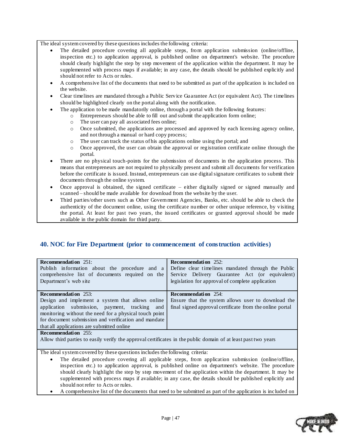The ideal system covered by these questions includes the following criteria:

- The detailed procedure covering all applicable steps, from application submission (online/offline, inspection etc.) to application approval, is published online on department's website. The procedure should clearly highlight the step by step movement of the application within the department. It may be supplemented with process maps if available; in any case, the details should be published explicitly and should not refer to Acts or rules.
- A comprehensive list of the documents that need to be submitted as part of the application is included on the website.
- Clear timelines are mandated through a Public Service Guarantee Act (or equivalent Act). The timelines should be highlighted clearly on the portal along with the notification.
- The application to be made mandatorily online, through a portal with the following features:
	- o Entrepreneurs should be able to fill out and submit the application form online;
		- o The user can pay all associated fees online;
		- o Once submitted, the applications are processed and approved by each licensing agency online, and not through a manual or hard copy process;
		- o The user can track the status of his applications online using the portal; and
		- o Once approved, the user can obtain the approval or registration certificate online through the portal.
- There are no physical touch-points for the submission of documents in the application process. This means that entrepreneurs are not required to physically present and submit all documents for verification before the certificate is issued. Instead, entrepreneurs can use digital signature certificates to submit their documents through the online system.
- Once approval is obtained, the signed certificate either digitally signed or signed manually and scanned – should be made available for download from the website by the user.
- Third parties/other users such as Other Government Agencies, Banks, etc. should be able to check the authenticity of the document online, using the certificate number or other unique reference, by visiting the portal. At least for past two years, the issued certificates or granted approval should be made available in the public domain for third party.

### <span id="page-46-0"></span>**40. NOC for Fire Department (prior to commencement of construction activities)**

| Recommendation $251$ :                                                                                         | <b>Recommendation</b> 252:                               |  |
|----------------------------------------------------------------------------------------------------------------|----------------------------------------------------------|--|
| Publish information about the procedure and a                                                                  | Define clear timelines mandated through the Public       |  |
|                                                                                                                |                                                          |  |
| comprehensive list of documents required on the                                                                | Service Delivery Guarantee Act (or equivalent)           |  |
| Department's web site                                                                                          | legislation for approval of complete application         |  |
|                                                                                                                |                                                          |  |
|                                                                                                                |                                                          |  |
| <b>Recommendation</b> 253:                                                                                     | <b>Recommendation</b> 254:                               |  |
| Design and implement a system that allows online                                                               | Ensure that the system allows user to download the       |  |
| application submission, payment, tracking and                                                                  | final signed approval certificate from the online portal |  |
| monitoring without the need for a physical touch point                                                         |                                                          |  |
| for document submission and verification and mandate                                                           |                                                          |  |
| that all applications are submitted online                                                                     |                                                          |  |
| <b>Recommendation</b> 255:                                                                                     |                                                          |  |
| Allow third parties to easily verify the approval certificates in the public domain of at least past two years |                                                          |  |
|                                                                                                                |                                                          |  |
| The ideal system covered by these questions includes the following criteria:                                   |                                                          |  |
| The detailed procedure covering all applicable steps, from application submission (online/offline,             |                                                          |  |
|                                                                                                                |                                                          |  |

inspection etc.) to application approval, is published online on department's website. The procedure should clearly highlight the step by step movement of the application within the department. It may be

- supplemented with process maps if available; in any case, the details should be published explicitly and should not refer to Acts or rules.
- A comprehensive list of the documents that need to be submitted as part of the application is included on

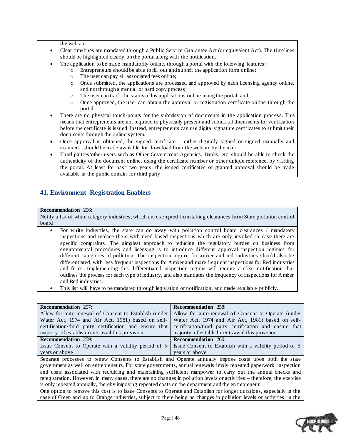the website.

- Clear timelines are mandated through a Public Service Guarantee Act (or equivalent Act). The timelines should be highlighted clearly on the portal along with the notification.
- The application to be made mandatorily online, through a portal with the following features:
	- o Entrepreneurs should be able to fill out and submit the application form online;
		- o The user can pay all associated fees online;
		- o Once submitted, the applications are processed and approved by each licensing agency online, and not through a manual or hard copy process;
		- o The user can track the status of his applications online using the portal; and
		- o Once approved, the user can obtain the approval or registration certificate online through the portal.
- There are no physical touch-points for the submission of documents in the application process. This means that entrepreneurs are not required to physically present and submit all documents for verification before the certificate is issued. Instead, entrepreneurs can use digital signature certificates to submit their documents through the online system.
- Once approval is obtained, the signed certificate either digitally signed or signed manually and scanned – should be made available for download from the website by the user.
- Third parties/other users such as Other Government Agencies, Banks, etc. should be able to check the authenticity of the document online, using the certificate number or other unique reference, by visiting the portal. At least for past two years, the issued certificates or granted approval should be made available in the public domain for third party.

### <span id="page-47-0"></span>**41. Environment Registration Enablers**

#### **Recommendation** 256:

Notify a list of white category industries, which are exempted from taking clearances from State pollution control board

- For white industries, the state can do away with pollution control board clearances / mandatory inspections and replace them with need-based inspections which are only invoked in case there are specific complaints. The simplest approach to reducing the regulatory burden on business from environmental procedures and licensing is to introduce different approval inspection regimes for different categories of pollution. The inspection regime for amber and red industries should also be differentiated, with less frequent inspections for Amber and more frequent inspections for Red industries and firms. Implementing this differentiated inspection regime will require a clear notification that outlines the process for each type of industry, and also mandates the frequency of inspections for Amber and Red industries.
- This list will have to be mandated through legislation or notification, and made available publicly.

| <b>Recommendation</b> 257:                                                                                | <b>Recommendation</b> 258:                              |
|-----------------------------------------------------------------------------------------------------------|---------------------------------------------------------|
| Allow for auto-renewal of Consent to Establish (under Allow for auto-renewal of Consent to Operate (under |                                                         |
| Water Act, 1974 and Air Act, 1981) based on self-                                                         | Water Act, 1974 and Air Act, 1981) based on self-       |
| certification/third party certification and ensure that                                                   | certification/third party certification and ensure that |
| majority of establishments avail this provision                                                           | majority of establishments avail this provision         |
| <b>Recommendation</b> 259:                                                                                | <b>Recommendation</b> 260:                              |
| Issue Consent to Operate with a validity period of 5                                                      | Issue Consent to Establish with a validity period of 5  |
| years or above                                                                                            | vears or above                                          |
| Separate processes to renew Consents to Establish and Operate annually impose costs upon both the state   |                                                         |

government as well on entrepreneurs. For state governments, annual renewals imply repeated paperwork, inspection and costs associated with recruiting and maintaining sufficient manpower to carry out the annual checks and reregistration. However, in many cases, there are no changes in pollution levels or activities – therefore, the exercise is only repeated annually, thereby imposing repeated costs on the department and the en trepreneur.

One option to remove this cost is to issue Consents to Operate and Establish for longer durations, especially in the case of Green and up to Orange industries, subject to there being no changes in pollution levels or activities, in the

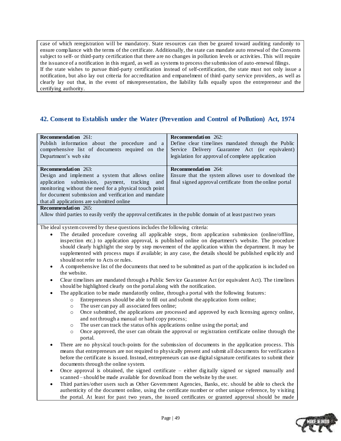case of which reregistration will be mandatory. State resources can then be geared toward auditing randomly to ensure compliance with the terms of the certificate. Additionally, the state can mandate auto renewal of the Consents subject to self- or third-party certification that there are no changes in pollution levels or activities. This will require the issuance of a notification in this regard, as well as systems to process the submission of auto -renewal filings. If the state wishes to pursue third-party certification instead of self-certification, the state must not only issue a notification, but also lay out criteria for accreditation and empanelment of third -party service providers, as well as clearly lay out that, in the event of misrepresentation, the liability falls equally upon the entrepreneur and the certifying authority.

### <span id="page-48-0"></span>**42. Consent to Establish under the Water (Prevention and Control of Pollution) Act, 1974**

| <b>Recommendation</b> 261:                                                                                     | <b>Recommendation</b> 262:                               |
|----------------------------------------------------------------------------------------------------------------|----------------------------------------------------------|
| Publish information about the procedure and a                                                                  | Define clear timelines mandated through the Public       |
| comprehensive list of documents required on the                                                                | Service Delivery Guarantee Act (or equivalent)           |
| Department's web site                                                                                          | legislation for approval of complete application         |
|                                                                                                                |                                                          |
| <b>Recommendation</b> 263:                                                                                     | <b>Recommendation</b> 264:                               |
| Design and implement a system that allows online                                                               | Ensure that the system allows user to download the       |
| application submission, payment, tracking and                                                                  | final signed approval certificate from the online portal |
| monitoring without the need for a physical touch point                                                         |                                                          |
| for document submission and verification and mandate                                                           |                                                          |
| that all applications are submitted online                                                                     |                                                          |
| <b>Recommendation</b> 265:                                                                                     |                                                          |
| Allow third parties to easily verify the approval certificates in the public domain of at least past two years |                                                          |

- The detailed procedure covering all applicable steps, from application submission (online/offline, inspection etc.) to application approval, is published online on department's website. The procedure should clearly highlight the step by step movement of the application within the department. It may be supplemented with process maps if available; in any case, the details should be published explicitly and should not refer to Acts or rules.
- A comprehensive list of the documents that need to be submitted as part of the application is included on the website.
- Clear timelines are mandated through a Public Service Guarantee Act (or equivalent Act). The timelines should be highlighted clearly on the portal along with the notification.
	- The application to be made mandatorily online, through a portal with the following features:
		- o Entrepreneurs should be able to fill out and submit the application form online;
		- o The user can pay all associated fees online;
		- o Once submitted, the applications are processed and approved by each licensing agency online, and not through a manual or hard copy process;
		- o The user can track the status of his applications online using the portal; and
		- o Once approved, the user can obtain the approval or registration certificate online through the portal.
- There are no physical touch-points for the submission of documents in the application process. This means that entrepreneurs are not required to physically present and submit all documents for verificatio n before the certificate is issued. Instead, entrepreneurs can use digital signature certificates to submit their documents through the online system.
- Once approval is obtained, the signed certificate either digitally signed or signed manually and scanned – should be made available for download from the website by the user.
- Third parties/other users such as Other Government Agencies, Banks, etc. should be able to check the authenticity of the document online, using the certificate number or other unique reference, by visiting the portal. At least for past two years, the issued certificates or granted approval should be made

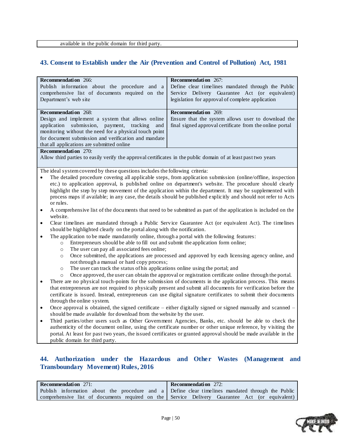### <span id="page-49-0"></span>**43. Consent to Establish under the Air (Prevention and Control of Pollution) Act, 1981**

| Recommendation 266:                                                                                                                                                                                                              | Recommendation 267:                                                                                             |  |
|----------------------------------------------------------------------------------------------------------------------------------------------------------------------------------------------------------------------------------|-----------------------------------------------------------------------------------------------------------------|--|
| Publish information about the procedure and a                                                                                                                                                                                    | Define clear timelines mandated through the Public                                                              |  |
| comprehensive list of documents required on the                                                                                                                                                                                  | Service Delivery Guarantee Act (or equivalent)                                                                  |  |
| Department's web site                                                                                                                                                                                                            | legislation for approval of complete application                                                                |  |
|                                                                                                                                                                                                                                  |                                                                                                                 |  |
| <b>Recommendation</b> 268:                                                                                                                                                                                                       | Recommendation 269:                                                                                             |  |
| Design and implement a system that allows online                                                                                                                                                                                 | Ensure that the system allows user to download the                                                              |  |
| submission, payment, tracking<br>application<br>and                                                                                                                                                                              | final signed approval certificate from the online portal                                                        |  |
| monitoring without the need for a physical touch point                                                                                                                                                                           |                                                                                                                 |  |
| for document submission and verification and mandate                                                                                                                                                                             |                                                                                                                 |  |
| that all applications are submitted online                                                                                                                                                                                       |                                                                                                                 |  |
| <b>Recommendation</b> 270:                                                                                                                                                                                                       |                                                                                                                 |  |
| Allow third parties to easily verify the approval certificates in the public domain of at least past two years                                                                                                                   |                                                                                                                 |  |
|                                                                                                                                                                                                                                  |                                                                                                                 |  |
| The ideal system covered by these questions includes the following criteria:                                                                                                                                                     |                                                                                                                 |  |
|                                                                                                                                                                                                                                  | The detailed procedure covering all applicable steps, from application submission (online/offline, inspection   |  |
|                                                                                                                                                                                                                                  | etc.) to application approval, is published online on department's website. The procedure should clearly        |  |
|                                                                                                                                                                                                                                  | highlight the step by step movement of the application within the department. It may be supplemented with       |  |
|                                                                                                                                                                                                                                  | process maps if available; in any case, the details should be published explicitly and should not refer to Acts |  |
| or rules.                                                                                                                                                                                                                        |                                                                                                                 |  |
| $\bullet$                                                                                                                                                                                                                        | A comprehensive list of the documents that need to be submitted as part of the application is included on the   |  |
| website.                                                                                                                                                                                                                         |                                                                                                                 |  |
| Clear timelines are mandated through a Public Service Guarantee Act (or equivalent Act). The timelines<br>$\bullet$                                                                                                              |                                                                                                                 |  |
| should be highlighted clearly on the portal along with the notification.                                                                                                                                                         |                                                                                                                 |  |
| The application to be made mandatorily online, through a portal with the following features:<br>$\bullet$                                                                                                                        |                                                                                                                 |  |
| Entrepreneurs should be able to fill out and submit the application form online;<br>$\circ$                                                                                                                                      |                                                                                                                 |  |
| The user can pay all associated fees online;<br>$\circ$                                                                                                                                                                          |                                                                                                                 |  |
| Once submitted, the applications are processed and approved by each licensing agency online, and<br>$\circ$                                                                                                                      |                                                                                                                 |  |
| not through a manual or hard copy process;                                                                                                                                                                                       |                                                                                                                 |  |
| The user can track the status of his applications online using the portal; and<br>$\circ$                                                                                                                                        |                                                                                                                 |  |
| Once approved, the user can obtain the approval or registration certificate online through the portal.<br>$\circ$                                                                                                                |                                                                                                                 |  |
| There are no physical touch-points for the submission of documents in the application process. This means<br>$\bullet$                                                                                                           |                                                                                                                 |  |
| that entrepreneurs are not required to physically present and submit all documents for verification before the<br>certificate is issued. Instead, entrepreneurs can use digital signature certificates to submit their documents |                                                                                                                 |  |
| through the online system.                                                                                                                                                                                                       |                                                                                                                 |  |
|                                                                                                                                                                                                                                  |                                                                                                                 |  |
| Once approval is obtained, the signed certificate – either digitally signed or signed manually and scanned –<br>$\bullet$                                                                                                        |                                                                                                                 |  |
| should be made available for download from the website by the user.<br>Third parties/other users such as Other Government Agencies, Banks, etc. should be able to check the                                                      |                                                                                                                 |  |
|                                                                                                                                                                                                                                  |                                                                                                                 |  |

authenticity of the document online, using the certificate number or other unique reference, by visiting the portal. At least for past two years, the issued certificates or granted approval should be made available in the public domain for third party.

### <span id="page-49-1"></span>**44. Authorization under the Hazardous and Other Wastes (Management and Transboundary Movement) Rules, 2016**

| <b>Recommendation</b> 271:                                                                        | <b>Recommendation</b> 272:                                                                     |
|---------------------------------------------------------------------------------------------------|------------------------------------------------------------------------------------------------|
| Publish information about the procedure and a Define clear time lines mandated through the Public |                                                                                                |
|                                                                                                   | comprehensive list of documents required on the Service Delivery Guarantee Act (or equivalent) |

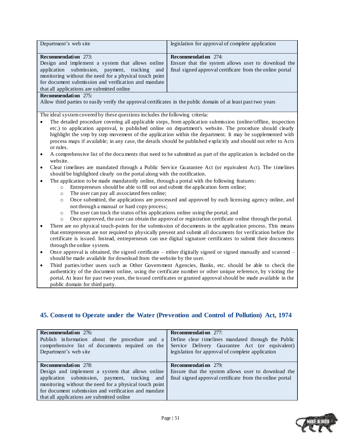| Department's web site                                                                                                      | legislation for approval of complete application                                                                 |  |
|----------------------------------------------------------------------------------------------------------------------------|------------------------------------------------------------------------------------------------------------------|--|
| <b>Recommendation</b> 273:                                                                                                 | <b>Recommendation</b> 274:                                                                                       |  |
| Design and implement a system that allows online                                                                           | Ensure that the system allows user to download the                                                               |  |
| submission, payment, tracking<br>application<br>and                                                                        | final signed approval certificate from the online portal                                                         |  |
| monitoring without the need for a physical touch point                                                                     |                                                                                                                  |  |
| for document submission and verification and mandate                                                                       |                                                                                                                  |  |
| that all applications are submitted online                                                                                 |                                                                                                                  |  |
| <b>Recommendation</b> 275:                                                                                                 |                                                                                                                  |  |
| Allow third parties to easily verify the approval certificates in the public domain of at least past two years             |                                                                                                                  |  |
|                                                                                                                            |                                                                                                                  |  |
| The ideal system covered by these questions includes the following criteria:                                               |                                                                                                                  |  |
|                                                                                                                            | The detailed procedure covering all applicable steps, from application submission (online/offline, inspection    |  |
|                                                                                                                            |                                                                                                                  |  |
|                                                                                                                            | etc.) to application approval, is published online on department's website. The procedure should clearly         |  |
|                                                                                                                            | highlight the step by step movement of the application within the department. It may be supplemented with        |  |
|                                                                                                                            | process maps if available; in any case, the details should be published explicitly and should not refer to Acts  |  |
| or rules.                                                                                                                  |                                                                                                                  |  |
| A comprehensive list of the documents that need to be submitted as part of the application is included on the<br>$\bullet$ |                                                                                                                  |  |
| website.                                                                                                                   |                                                                                                                  |  |
| ٠                                                                                                                          | Clear timelines are mandated through a Public Service Guarantee Act (or equivalent Act). The timelines           |  |
| should be highlighted clearly on the portal along with the notification.                                                   |                                                                                                                  |  |
| The application to be made mandatorily online, through a portal with the following features:                               |                                                                                                                  |  |
| Entrepreneurs should be able to fill out and submit the application form online;<br>$\circ$                                |                                                                                                                  |  |
| The user can pay all associated fees online;<br>$\circ$                                                                    |                                                                                                                  |  |
| Once submitted, the applications are processed and approved by each licensing agency online, and<br>$\circ$                |                                                                                                                  |  |
| not through a manual or hard copy process;                                                                                 |                                                                                                                  |  |
| The user can track the status of his applications online using the portal; and<br>$\circ$                                  |                                                                                                                  |  |
| $\circ$                                                                                                                    | Once approved, the user can obtain the approval or registration certificate online through the portal.           |  |
|                                                                                                                            | There are no physical touch-points for the submission of documents in the application process. This means        |  |
|                                                                                                                            | that entrepreneurs are not required to physically present and submit all documents for verification before the   |  |
|                                                                                                                            | certificate is issued. Instead, entrepreneurs can use digital signature certificates to submit their documents   |  |
|                                                                                                                            |                                                                                                                  |  |
| through the online system.                                                                                                 |                                                                                                                  |  |
| Once approval is obtained, the signed certificate – either digitally signed or signed manually and scanned –<br>$\bullet$  |                                                                                                                  |  |
| should be made available for download from the website by the user.                                                        |                                                                                                                  |  |
| $\bullet$                                                                                                                  | Third parties/other users such as Other Government Agencies, Banks, etc. should be able to check the             |  |
|                                                                                                                            | authenticity of the document online, using the certificate number or other unique reference, by visiting the     |  |
|                                                                                                                            | portal. At least for past two years, the issued certificates or granted approval should be made available in the |  |
| public domain for third party.                                                                                             |                                                                                                                  |  |
|                                                                                                                            |                                                                                                                  |  |
|                                                                                                                            |                                                                                                                  |  |

# <span id="page-50-0"></span>**45. Consent to Operate under the Water (Prevention and Control of Pollution) Act, 1974**

| <b>Recommendation</b> 276:                                                                                                                                                                                                                                                                      | <b>Recommendation</b> 277:                                                                                                                   |
|-------------------------------------------------------------------------------------------------------------------------------------------------------------------------------------------------------------------------------------------------------------------------------------------------|----------------------------------------------------------------------------------------------------------------------------------------------|
| Publish information about the procedure and a                                                                                                                                                                                                                                                   | Define clear timelines mandated through the Public                                                                                           |
| comprehensive list of documents required on the                                                                                                                                                                                                                                                 | Service Delivery Guarantee Act (or equivalent)                                                                                               |
| Department's web site                                                                                                                                                                                                                                                                           | legislation for approval of complete application                                                                                             |
| <b>Recommendation</b> 278:<br>Design and implement a system that allows online<br>application submission, payment, tracking and<br>monitoring without the need for a physical touch point<br>for document submission and verification and mandate<br>that all applications are submitted online | <b>Recommendation</b> 279:<br>Ensure that the system allows user to download the<br>final signed approval certificate from the online portal |

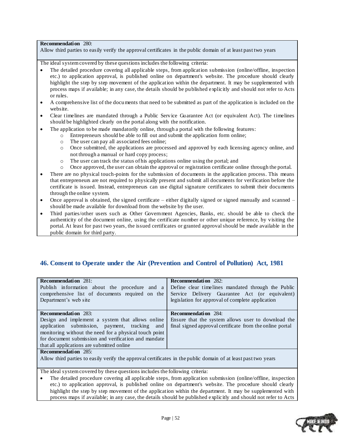#### **Recommendation** 280:

Allow third parties to easily verify the approval certificates in the public domain of at least past two years

The ideal system covered by these questions includes the following criteria:

- The detailed procedure covering all applicable steps, from application submission (online/offline, inspection etc.) to application approval, is published online on department's website. The procedure should clearly highlight the step by step movement of the application within the department. It may be supplemented with process maps if available; in any case, the details should be published explicitly and should not refer to Acts or rules.
- A comprehensive list of the documents that need to be submitted as part of the application is included on the website.
- Clear timelines are mandated through a Public Service Guarantee Act (or equivalent Act). The timelines should be highlighted clearly on the portal along with the notification.
- The application to be made mandatorily online, through a portal with the following features:
	- o Entrepreneurs should be able to fill out and submit the application form online;
		- o The user can pay all associated fees online;
		- o Once submitted, the applications are processed and approved by each licensing agency online, and not through a manual or hard copy process;
		- o The user can track the status of his applications online using the portal; and
		- o Once approved, the user can obtain the approval or registration certificate online through the portal.
- There are no physical touch-points for the submission of documents in the application process. This means that entrepreneurs are not required to physically present and submit all documents for verification before the certificate is issued. Instead, entrepreneurs can use digital signature certificates to submit their documents through the online system.
- Once approval is obtained, the signed certificate either digitally signed or signed manually and scanned should be made available for download from the website by the user.
- Third parties/other users such as Other Government Agencies, Banks, etc. should be able to check the authenticity of the document online, using the certificate number or other unique reference, by visiting the portal. At least for past two years, the issued certificates or granted approval should be made available in the public domain for third party.

### <span id="page-51-0"></span>**46. Consent to Operate under the Air (Prevention and Control of Pollution) Act, 1981**

| <b>Recommendation</b> 281:                                                                                     | <b>Recommendation</b> 282:                               |
|----------------------------------------------------------------------------------------------------------------|----------------------------------------------------------|
| Publish information about the procedure and a                                                                  | Define clear timelines mandated through the Public       |
| comprehensive list of documents required on the                                                                | Service Delivery Guarantee Act (or equivalent)           |
| Department's web site                                                                                          | legislation for approval of complete application         |
|                                                                                                                |                                                          |
| <b>Recommendation</b> 283:                                                                                     | <b>Recommendation</b> 284:                               |
| Design and implement a system that allows online                                                               | Ensure that the system allows user to download the       |
| application submission, payment, tracking and                                                                  | final signed approval certificate from the online portal |
| monitoring without the need for a physical touch point                                                         |                                                          |
| for document submission and verification and mandate                                                           |                                                          |
| that all applications are submitted online                                                                     |                                                          |
| <b>Recommendation</b> 285:                                                                                     |                                                          |
| Allow third parties to easily verify the approval certificates in the public domain of at least past two years |                                                          |
|                                                                                                                |                                                          |

The ideal system covered by these questions includes the following criteria:

 The detailed procedure covering all applicable steps, from application submission (online/offline, inspection etc.) to application approval, is published online on department's website. The procedure should clearly highlight the step by step movement of the application within the department. It may be supplemented with process maps if available; in any case, the details should be published explicitly and should not refer to Acts

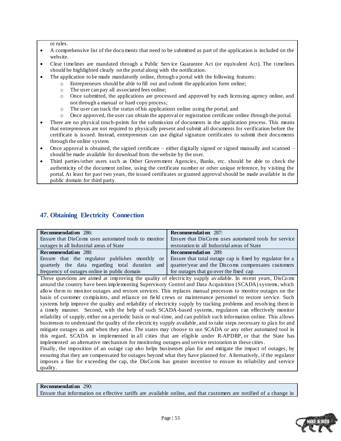or rules.

- A comprehensive list of the documents that need to be submitted as part of the application is included on the website.
- Clear timelines are mandated through a Public Service Guarantee Act (or equivalent Act). The timelines should be highlighted clearly on the portal along with the notification.
- The application to be made mandatorily online, through a portal with the following features:
	- o Entrepreneurs should be able to fill out and submit the application form online;
	- o The user can pay all associated fees online;
	- o Once submitted, the applications are processed and approved by each licensing agency online, and not through a manual or hard copy process;
	- o The user can track the status of his applications online using the portal; and
	- o Once approved, the user can obtain the approval or registration certificate online through the portal.
- There are no physical touch-points for the submission of documents in the application process. This means that entrepreneurs are not required to physically present and submit all documents for verification before the certificate is issued. Instead, entrepreneurs can use digital signature certificates to submit their documents through the online system.
- Once approval is obtained, the signed certificate either digitally signed or signed manually and scanned  $$ should be made available for download from the website by the user.
- Third parties/other users such as Other Government Agencies, Banks, etc. should be able to check the authenticity of the document online, using the certificate number or other unique reference, by visiting the portal. At least for past two years, the issued certificates or granted approval should be made available in the public domain for third party.

### <span id="page-52-0"></span>**47. Obtaining Electricity Connection**

| <b>Recommendation</b> 286:                                                                              | <b>Recommendation</b> 287:                           |
|---------------------------------------------------------------------------------------------------------|------------------------------------------------------|
| Ensure that DisComs uses automated tools to monitor                                                     | Ensure that DisComs uses automated tools for service |
| outages in all Industrial areas of State                                                                | restoration in all Industrial areas of State         |
| <b>Recommendation</b> 288:                                                                              | <b>Recommendation</b> 289:                           |
| Ensure that the regulator publishes monthly or Ensure that total outage cap is fixed by regulator for a |                                                      |
| quarterly the data regarding total duration and quarter/year and the Discoms compensates customers      |                                                      |
| frequency of outages online in public domain                                                            | for outages that go over the fixed cap               |

These questions are aimed at improving the quality of electricity supply av ailable. In recent years, DisComs around the country have been implementing Supervisory Control and Data Acquisition (SCADA) systems, which allow them to monitor outages and restore services. This replaces manual processes to monitor outages on the basis of customer complaints, and reliance on field crews or maintenance personnel to restore service. Such systems help improve the quality and reliability of electricity supply by tracking problems and resolving them in a timely manner. Second, with the help of such SCADA-based systems, regulators can effectively monitor reliability of supply, either on a periodic basis or real-time, and can publish such information online. This allows businesses to understand the quality of the electricity supply available, and to take steps necessary to pla n for and mitigate outages as and when they arise. The states may choose to use SCADA or any other automated tool in this regard. SCADA in implemented in all cities that are eligible under R-APDRP, or that the State has implemented an alternative mechanism for monitoring outages and service restoration in these cities.

Finally, the imposition of an outage cap also helps businesses plan for and mitigate the impact of outages, by ensuring that they are compensated for outages beyond what they have planned for. Alternatively, if the regulator imposes a fine for exceeding the cap, the DisComs has greater incentive to ensure its reliability and service quality.

#### **Recommendation** 290:

Ensure that information on effective tariffs are available online, and that customers are notified of a change in

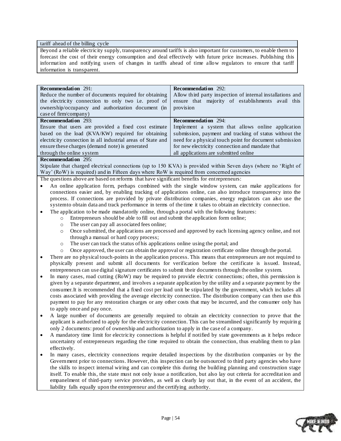#### tariff ahead of the billing cycle

Beyond a reliable electricity supply, transparency around tariffs is also important for customers, to enable them to forecast the cost of their energy consumption and deal effectively with future price increases. Publishing this information and notifying users of changes in tariffs ahead of time allow regulators to ensure that tariff information is transparent.

| <b>Recommendation</b> 291:<br>Reduce the number of documents required for obtaining<br>the electricity connection to only two i.e. proof of<br>ownership/occupancy and authorization document (in<br>case of firm/company) | <b>Recommendation</b> 292:<br>Allow third party inspection of internal installations and<br>ensure that majority of establishments avail this<br>provision |
|----------------------------------------------------------------------------------------------------------------------------------------------------------------------------------------------------------------------------|------------------------------------------------------------------------------------------------------------------------------------------------------------|
| <b>Recommendation</b> 293:                                                                                                                                                                                                 | <b>Recommendation</b> 294:                                                                                                                                 |
| Ensure that users are provided a fixed cost estimate                                                                                                                                                                       | Implement a system that allows online application                                                                                                          |
| based on the load (KVA/KW) required for obtaining                                                                                                                                                                          | submission, payment and tracking of status without the                                                                                                     |
| electricity connection in all industrial areas of State and                                                                                                                                                                | need for a physical touch point for document submission                                                                                                    |
| ensure these charges (demand note) is generated                                                                                                                                                                            | for new electricity connection and mandate that                                                                                                            |
| through the online system                                                                                                                                                                                                  | all applications are submitted online                                                                                                                      |

#### **Recommendation** 295:

Stipulate that charged electrical connections (up to 150 KVA) is provided within Seven days (where no "Right of Way' (RoW) is required) and in Fifteen days where RoW is required from concerned agencies

The questions above are based on reforms that have significant benefits for entrepreneurs:

- An online application form, perhaps combined with the single window system, can make applications for connections easier and, by enabling tracking of applications online, can also introduce transparency into the process. If connections are provided by private distribution companies, energy regulators can also use the system to obtain data and track performance in terms of the time it takes to obtain an electricity connection.
- The application to be made mandatorily online, through a portal with the following features:
	- o Entrepreneurs should be able to fill out and submit the application form online;
		- o The user can pay all associated fees online;
		- o Once submitted, the applications are processed and approved by each licensing agency online, and not through a manual or hard copy process;
		- o The user can track the status of his applications online using the portal; and
		- o Once approved, the user can obtain the approval or registration certificate online through the portal.
- There are no physical touch-points in the application process. This means that entrepreneurs are not required to physically present and submit all documents for verification before the certificate is issued. Instead, entrepreneurs can use digital signature certificates to submit their documents through the online system.
- In many cases, road cutting (RoW) may be required to provide electric connections; often, this permission is given by a separate department, and involves a separate application by the utility and a separate payment by the consumer.It is recommended that a fixed cost per load unit be stipulated by the government, which includes all costs associated with providing the average electricity connection. The distribution company can then use this payment to pay for any restoration charges or any other costs that may be incurred, and the consumer only has to apply once and pay once.
- A large number of documents are generally required to obtain an electricity connection to prove that the applicant is authorized to apply for the electricity connection. This can be streamlined significantly by requirin g only 2 documents: proof of ownership and authorization to apply in the case of a company.
- A mandatory time limit for electricity connections is helpful if notified by state governments as it helps reduce uncertainty of entrepreneurs regarding the time required to obtain the connection, thus enabling them to plan effectively.
- In many cases, electricity connections require detailed inspections by the distribution companies or by the Government prior to connections. However, this inspection can be outsourced to third party agencies who have the skills to inspect internal wiring and can complete this during the building planning and construction stage itself. To enable this, the state must not only issue a notification, but also lay out criteria for accreditat ion and empanelment of third-party service providers, as well as clearly lay out that, in the event of an accident, the liability falls equally upon the entrepreneur and the certifying authority.

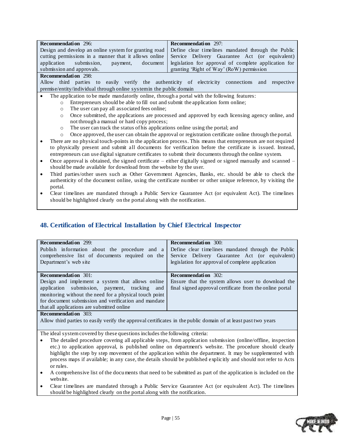| <b>Recommendation</b> 296:                                                                               | <b>Recommendation</b> 297:                                                                           |
|----------------------------------------------------------------------------------------------------------|------------------------------------------------------------------------------------------------------|
| Design and develop an online system for granting road Define clear timelines mandated through the Public |                                                                                                      |
|                                                                                                          | cutting permissions in a manner that it allows online Service Delivery Guarantee Act (or equivalent) |
| application submission, payment,                                                                         | document   legislation for approval of complete application for                                      |
| submission and approvals.                                                                                | granting 'Right of Way' (RoW) permission                                                             |
| $D$ , $\cdots$ , $L$ , $\cdots$ , 000                                                                    |                                                                                                      |

#### **Recommendation** 298:

Allow third parties to easily verify the authenticity of electricity connections and respective premise/entity/individual through online system in the public domain

- The application to be made mandatorily online, through a portal with the following features:
	- o Entrepreneurs should be able to fill out and submit the application form online;
		- o The user can pay all associated fees online;
		- o Once submitted, the applications are processed and approved by each licensing agency online, and not through a manual or hard copy process;
		- o The user can track the status of his applications online using the portal; and
- o Once approved, the user can obtain the approval or registration certificate online through the portal. There are no physical touch-points in the application process. This means that entrepreneurs are not required to physically present and submit all documents for verification before the certificate is issued. Instead, entrepreneurs can use digital signature certificates to submit their documents through the online system.
- Once approval is obtained, the signed certificate either digitally signed or signed manually and scanned should be made available for download from the website by the user.
- Third parties/other users such as Other Government Agencies, Banks, etc. should be able to check the authenticity of the document online, using the certificate number or other unique reference, by visiting the portal.
- Clear timelines are mandated through a Public Service Guarantee Act (or equivalent Act). The timelines should be highlighted clearly on the portal along with the notification.

### <span id="page-54-0"></span>**48. Certification of Electrical Installation by Chief Electrical Inspector**

| <b>Recommendation</b> 299:                             | <b>Recommendation</b> 300:                               |
|--------------------------------------------------------|----------------------------------------------------------|
| Publish information about the procedure and a          | Define clear timelines mandated through the Public       |
| comprehensive list of documents required on the        | Service Delivery Guarantee Act (or equivalent)           |
| Department's web site                                  | legislation for approval of complete application         |
|                                                        |                                                          |
| <b>Recommendation</b> 301:                             | <b>Recommendation</b> 302:                               |
| Design and implement a system that allows online       | Ensure that the system allows user to download the       |
| application submission, payment, tracking and          | final signed approval certificate from the online portal |
| monitoring without the need for a physical touch point |                                                          |
| for document submission and verification and mandate   |                                                          |
| that all applications are submitted online             |                                                          |
| $D$ . <b>1.</b> $A^{\bullet}$ . 000                    |                                                          |

#### **Recommendation** 303:

Allow third parties to easily verify the approval certificates in the public domain of at least past two years

- The detailed procedure covering all applicable steps, from application submission (online/offline, inspection etc.) to application approval, is published online on department's website. The procedure should clearly highlight the step by step movement of the application within the department. It may be supplemented with process maps if available; in any case, the details should be published explicitly and should not refer to Acts or rules.
- A comprehensive list of the documents that need to be submitted as part of the application is included on the website.
- Clear timelines are mandated through a Public Service Guarantee Act (or equivalent Act). The timelines should be highlighted clearly on the portal along with the notification.

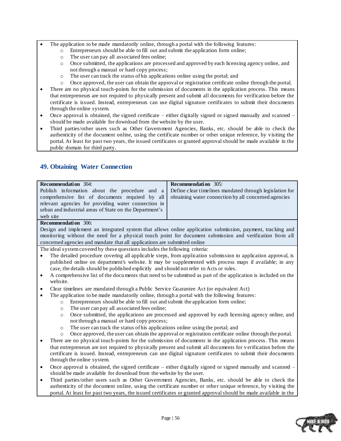- The application to be made mandatorily online, through a portal with the following features:
	- o Entrepreneurs should be able to fill out and submit the application form online;
	- o The user can pay all associated fees online;
	- o Once submitted, the applications are processed and approved by each licensing agency online, and not through a manual or hard copy process;
	- o The user can track the status of his applications online using the portal; and
	- o Once approved, the user can obtain the approval or registration certificate online through the portal.
- There are no physical touch-points for the submission of documents in the application process. This means that entrepreneurs are not required to physically present and submit all documents for verification before the certificate is issued. Instead, entrepreneurs can use digital signature certificates to submit their documents through the online system.
- Once approval is obtained, the signed certificate either digitally signed or signed manually and scanned should be made available for download from the website by the user.
- Third parties/other users such as Other Government Agencies, Banks, etc. should be able to check the authenticity of the document online, using the certificate number or other unique reference, by visiting the portal. At least for past two years, the issued certificates or granted approval should be made available in the public domain for third party.

| <b>Recommendation</b> 304:                                                                             | <b>Recommendation</b> 305: |
|--------------------------------------------------------------------------------------------------------|----------------------------|
| Publish information about the procedure and a Define clear time lines mandated through legislation for |                            |
| comprehensive list of documents required by all obtaining water connection by all concerned agencies   |                            |
| relevant agencies for providing water connection in                                                    |                            |
| urban and industrial areas of State on the Department's                                                |                            |
| web site                                                                                               |                            |
| <b>Recommendation</b> 306:                                                                             |                            |
|                                                                                                        |                            |

### <span id="page-55-0"></span>**49. Obtaining Water Connection**

Design and implement an integrated system that allows online application submission, payment, tracking and monitoring without the need for a physical touch point for document submission and verification from all concerned agencies and mandate that all applications are submitted online

- The detailed procedure covering all applicable steps, from application submission to application approval, is published online on department's website. It may be supplemented with process maps if available; in any case, the details should be published explicitly and should not refer to Acts or rules.
- A comprehensive list of the documents that need to be submitted as part of the application is included on the website.
- Clear timelines are mandated through a Public Service Guarantee Act (or equivalent Act)
- The application to be made mandatorily online, through a portal with the following features:
	- o Entrepreneurs should be able to fill out and submit the application form online;
	- o The user can pay all associated fees online;
	- o Once submitted, the applications are processed and approved by each licensing agency online, and not through a manual or hard copy process;
	- o The user can track the status of his applications online using the portal; and
	- o Once approved, the user can obtain the approval or registration certificate online through the portal.
- There are no physical touch-points for the submission of documents in the application process. This means that entrepreneurs are not required to physically present and submit all documents for v erification before the certificate is issued. Instead, entrepreneurs can use digital signature certificates to submit their documents through the online system.
- Once approval is obtained, the signed certificate either digitally signed or signed manually and scanned should be made available for download from the website by the user.
- Third parties/other users such as Other Government Agencies, Banks, etc. should be able to check the authenticity of the document online, using the certificate number or other unique reference, by visiting the portal. At least for past two years, the issued certificates or granted approval should be made available in the

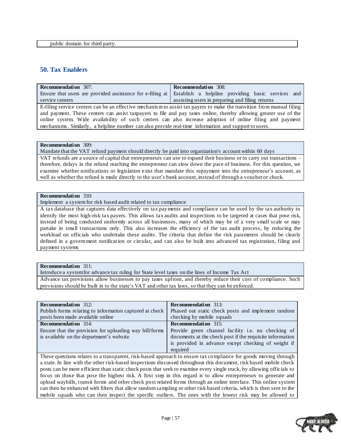### <span id="page-56-0"></span>**50. Tax Enablers**

| <b>Recommendation</b> 307:                                                                                            | <b>Recommendation</b> 308:                                                                                  |  |
|-----------------------------------------------------------------------------------------------------------------------|-------------------------------------------------------------------------------------------------------------|--|
|                                                                                                                       | Ensure that users are provided assistance for e-filing at Establish a helpline providing basic services and |  |
| service centers                                                                                                       | assisting users in preparing and filing returns                                                             |  |
| E-filing service centers can be an effective mechanism to assist tax payers to make the transition from manual filing |                                                                                                             |  |
| and payment. These centers can assist taxpayers to file and pay taxes online, thereby allowing greater use of the     |                                                                                                             |  |
| online system. Wide availability of such centers can also increase adoption of online filing and payment              |                                                                                                             |  |
| mechanisms. Similarly, a helpline number can also provide real-time information and support to users.                 |                                                                                                             |  |
|                                                                                                                       |                                                                                                             |  |

#### **Recommendation** 309:

Mandate that the VAT refund payment should directly be paid into organization's account within 60 days

VAT refunds are a source of capital that entrepreneurs can use to expand their business or to carry out transactions – therefore, delays in the refund reaching the entrepreneur can slow down the pace of business. For this question, we examine whether notifications or legislation exist that mandate this repayment into the entrepreneur's account, as well as whether the refund is made directly to the user"s bank account, instead of through a voucher or check.

#### **Recommendation** 310:

Implement a system for risk based audit related to tax compliance

A tax database that captures data effectively on tax payments and compliance can be used by the tax authority to identify the most high-risk tax payers. This allows tax audits and inspections to be targeted at cases that pose risk, instead of being conducted uniformly across all businesses, many of which may be of a very small scale or may partake in small transactions only. This also increases the efficiency of the tax audit process, by reducing the workload on officials who undertake these audits. The criteria that define the risk parameters should be clearly defined in a government notification or circular, and can also be built into advanced tax registration, filing and payment systems

#### **Recommendation** 311:

Introduce a system for advance tax ruling for State level taxes on the lines of Income Tax Act

Advance tax provisions allow businesses to pay taxes upfront, and thereby reduce their cost of compliance. Such provisions should be built in to the state"s VAT and other tax laws, so that they can be enforced.

| <b>Recommendation</b> 312:                              | <b>Recommendation</b> 313:                                |
|---------------------------------------------------------|-----------------------------------------------------------|
| Publish forms relating to information captured at check | Phased out static check posts and implement random        |
| posts been made available online                        | checking by mobile squads                                 |
| <b>Recommendation</b> 314:                              | <b>Recommendation</b> 315:                                |
| Ensure that the provision for uploading way bill/forms  | Provide green channel facility <i>i.e.</i> no checking of |
| is available on the department's website                | documents at the check post if the requisite information  |
|                                                         | is provided in advance except checking of weight if       |
|                                                         | required                                                  |

These questions relates to a transparent, risk-based approach to ensure tax compliance for goods moving through a state. In line with the other risk-based inspections discussed throughout this document, risk based mobile check posts can be more efficient than static check posts that seek to examine every single truck, by allowing officials to focus on those that pose the highest risk. A first step in this regard is to allow entrepreneurs to generate and upload waybills, transit forms and other check post related forms through an online interface. This online system can then be enhanced with filters that allow random sampling or other risk based criteria, which is then sent to the mobile squads who can then inspect the specific outliers. The ones with the lowest risk may be allowed to

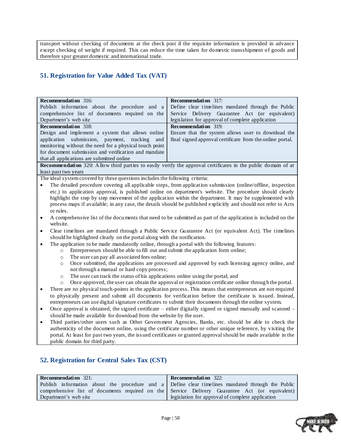transport without checking of documents at the check post if the requisite information is provided in advance except checking of weight if required. This can reduce the time taken for domestic transshipment of goods and therefore spur greater domestic and international trade.

# <span id="page-57-0"></span>**51. Registration for Value Added Tax (VAT)**

| <b>Recommendation</b> 316:                                                                                                 | Recommendation 317:                                                                                              |  |
|----------------------------------------------------------------------------------------------------------------------------|------------------------------------------------------------------------------------------------------------------|--|
| Publish information about the procedure and a                                                                              | Define clear timelines mandated through the Public                                                               |  |
| comprehensive list of documents required on the                                                                            | Service Delivery Guarantee Act (or equivalent)                                                                   |  |
| Department's web site                                                                                                      | legislation for approval of complete application                                                                 |  |
| <b>Recommendation</b> 318:                                                                                                 | <b>Recommendation</b> 319:                                                                                       |  |
| Design and implement a system that allows online                                                                           | Ensure that the system allows user to download the                                                               |  |
| application submission, payment, tracking<br>and                                                                           | final signed approval certificate from the online portal.                                                        |  |
| monitoring without the need for a physical touch point                                                                     |                                                                                                                  |  |
| for document submission and verification and mandate                                                                       |                                                                                                                  |  |
| that all applications are submitted online                                                                                 |                                                                                                                  |  |
|                                                                                                                            | Recommendation 320: Allow third parties to easily verify the approval certificates in the public domain of at    |  |
| least past two years                                                                                                       |                                                                                                                  |  |
| The ideal system covered by these questions includes the following criteria:                                               |                                                                                                                  |  |
| $\bullet$                                                                                                                  | The detailed procedure covering all applicable steps, from application submission (online/offline, inspection    |  |
|                                                                                                                            | etc.) to application approval, is published online on department's website. The procedure should clearly         |  |
|                                                                                                                            | highlight the step by step movement of the application within the department. It may be supplemented with        |  |
| process maps if available; in any case, the details should be published explicitly and should not refer to Acts            |                                                                                                                  |  |
| or rules.                                                                                                                  |                                                                                                                  |  |
| A comprehensive list of the documents that need to be submitted as part of the application is included on the<br>$\bullet$ |                                                                                                                  |  |
| website.                                                                                                                   |                                                                                                                  |  |
| Clear timelines are mandated through a Public Service Guarantee Act (or equivalent Act). The timelines<br>$\bullet$        |                                                                                                                  |  |
| should be highlighted clearly on the portal along with the notification.                                                   |                                                                                                                  |  |
| The application to be made mandatorily online, through a portal with the following features:<br>٠                          |                                                                                                                  |  |
| Entrepreneurs should be able to fill out and submit the application form online;<br>$\circ$                                |                                                                                                                  |  |
| The user can pay all associated fees online;<br>$\circ$                                                                    |                                                                                                                  |  |
| Once submitted, the applications are processed and approved by each licensing agency online, and<br>$\circ$                |                                                                                                                  |  |
| not through a manual or hard copy process;                                                                                 |                                                                                                                  |  |
| The user can track the status of his applications online using the portal; and<br>$\circ$                                  |                                                                                                                  |  |
| Once approved, the user can obtain the approval or registration certificate online through the portal.<br>$\circ$          |                                                                                                                  |  |
| There are no physical touch-points in the application process. This means that entrepreneurs are not required<br>$\bullet$ |                                                                                                                  |  |
| to physically present and submit all documents for verification before the certificate is issued. Instead,                 |                                                                                                                  |  |
| entrepreneurs can use digital signature certificates to submit their documents through the online system.                  |                                                                                                                  |  |
| $\bullet$                                                                                                                  | Once approval is obtained, the signed certificate – either digitally signed or signed manually and scanned –     |  |
| should be made available for download from the website by the user.                                                        |                                                                                                                  |  |
| $\bullet$                                                                                                                  | Third parties/other users such as Other Government Agencies, Banks, etc. should be able to check the             |  |
| authenticity of the document online, using the certificate number or other unique reference, by visiting the               |                                                                                                                  |  |
|                                                                                                                            | portal. At least for past two years, the issued certificates or granted approval should be made available in the |  |

public domain for third party.

### <span id="page-57-1"></span>**52. Registration for Central Sales Tax (CST)**

| <b>Recommendation</b> 321:                                                                       | <b>Recommendation</b> 322:                                                                     |
|--------------------------------------------------------------------------------------------------|------------------------------------------------------------------------------------------------|
| Publish information about the procedure and a Define clear timelines mandated through the Public |                                                                                                |
|                                                                                                  | comprehensive list of documents required on the Service Delivery Guarantee Act (or equivalent) |
| Department's web site                                                                            | legislation for approval of complete application                                               |

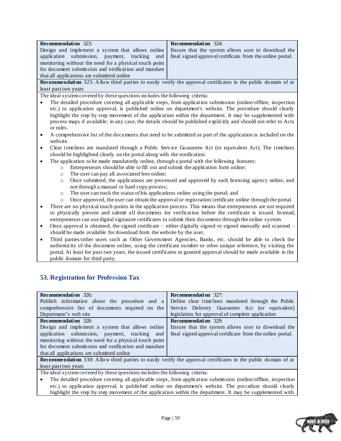| <b>Recommendation</b> 323:                                                                              | <b>Recommendation</b> 324:                                                                            |
|---------------------------------------------------------------------------------------------------------|-------------------------------------------------------------------------------------------------------|
|                                                                                                         | Design and implement a system that allows online   Ensure that the system allows user to download the |
| application submission, payment, tracking and final signed approval certificate from the online portal. |                                                                                                       |
| monitoring without the need for a physical touch point                                                  |                                                                                                       |
| for document submission and verification and mandate                                                    |                                                                                                       |
| that all applications are submitted online                                                              |                                                                                                       |

**Recommendation** 325: Allow third parties to easily verify the approval certificates in the public domain of at least past two years

The ideal system covered by these questions includes the following criteria:

- The detailed procedure covering all applicable steps, from application submission (online/offline, inspection etc.) to application approval, is published online on department's website. The procedure should clearly highlight the step by step movement of the application within the department. It may be supplemented with process maps if available; in any case, the details should be published explicitly and should not refer to Acts or rules.
- A comprehensive list of the documents that need to be submitted as part of the application is included on the website.
- Clear timelines are mandated through a Public Service Guarantee Act (or equivalent Act). The timelines should be highlighted clearly on the portal along with the notification.
- The application to be made mandatorily online, through a portal with the following features:
	- o Entrepreneurs should be able to fill out and submit the application form online;
	- o The user can pay all associated fees online;
	- o Once submitted, the applications are processed and approved by each licensing agency online, and not through a manual or hard copy process;
	- o The user can track the status of his applications online using the portal; and
	- o Once approved, the user can obtain the approval or registration certificate online through the portal.
- There are no physical touch-points in the application process. This means that entrepreneurs are not required to physically present and submit all documents for verification before the certificate is issued. In stead, entrepreneurs can use digital signature certificates to submit their documents through the online system.
- Once approval is obtained, the signed certificate either digitally signed or signed manually and scanned should be made available for download from the website by the user.
- Third parties/other users such as Other Government Agencies, Banks, etc. should be able to check the authenticity of the document online, using the certificate number or other unique reference, by visiting the portal. At least for past two years, the issued certificates or granted approval should be made available in the public domain for third party.

### <span id="page-58-0"></span>**53. Registration for Profession Tax**

| <b>Recommendation</b> 326:                                                                                           | <b>Recommendation</b> 327:                                                                             |
|----------------------------------------------------------------------------------------------------------------------|--------------------------------------------------------------------------------------------------------|
| Publish information about the procedure and a                                                                        | Define clear timelines mandated through the Public                                                     |
| comprehensive list of documents required on the                                                                      | Service Delivery Guarantee Act (or equivalent)                                                         |
| Department's web site                                                                                                | legislation for approval of complete application                                                       |
| <b>Recommendation</b> 328:                                                                                           | <b>Recommendation</b> 329:                                                                             |
| Design and implement a system that allows online                                                                     | Ensure that the system allows user to download the                                                     |
| application submission, payment, tracking<br>and                                                                     | final signed approval certificate from the online portal.                                              |
| monitoring without the need for a physical touch point                                                               |                                                                                                        |
| for document submission and verification and mandate                                                                 |                                                                                                        |
| that all applications are submitted online                                                                           |                                                                                                        |
| <b>Recommendation</b> 330: Allow third parties to easily verify the approval certificates in the public domain of at |                                                                                                        |
| least past two years                                                                                                 |                                                                                                        |
| The ideal system covered by these questions includes the following criteria:                                         |                                                                                                        |
| The detailed procedure covering all applicable steps, from application submission (online/offline, inspection        |                                                                                                        |
|                                                                                                                      | etc) to application approval is published online on department's website. The procedure should clearly |

etc.) to application approval, is published online on department's website. The pro cedure should clearly highlight the step by step movement of the application within the department. It may be supplemented with

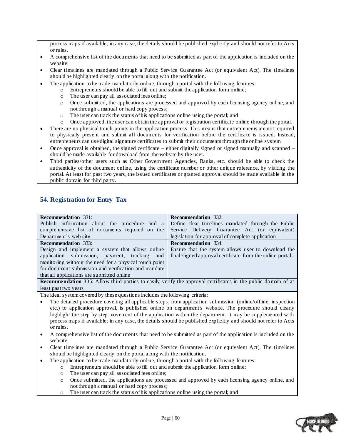process maps if available; in any case, the details should be published explicitly and should not refer to Acts or rules.

- A comprehensive list of the documents that need to be submitted as part of the application is included on the website.
- Clear timelines are mandated through a Public Service Guarantee Act (or equivalent Act). The timelines should be highlighted clearly on the portal along with the notification.
- The application to be made mandatorily online, through a portal with the following features:
	- o Entrepreneurs should be able to fill out and submit the application form online;
		- o The user can pay all associated fees online;
	- o Once submitted, the applications are processed and approved by each licensing agency online, and not through a manual or hard copy process;
	- o The user can track the status of his applications online using the portal; and
	- o Once approved, the user can obtain the approval or registration certificate online through the portal.
- There are no physical touch-points in the application process. This means that entrepreneurs are not required to physically present and submit all documents for verification before the certifica te is issued. Instead, entrepreneurs can use digital signature certificates to submit their documents through the online system.
- Once approval is obtained, the signed certificate either digitally signed or signed manually and scanned should be made available for download from the website by the user.
- Third parties/other users such as Other Government Agencies, Banks, etc. should be able to check the authenticity of the document online, using the certificate number or other unique reference, by visiting the portal. At least for past two years, the issued certificates or granted approval should be made available in the public domain for third party.

### <span id="page-59-0"></span>**54. Registration for Entry Tax**

least past two years

| <b>Recommendation</b> 331:                             | <b>Recommendation</b> 332:                                                                                           |
|--------------------------------------------------------|----------------------------------------------------------------------------------------------------------------------|
| Publish information about the procedure and a          | Define clear timelines mandated through the Public                                                                   |
| comprehensive list of documents required on the        | Service Delivery Guarantee Act (or equivalent)                                                                       |
| Department's web site                                  | legislation for approval of complete application                                                                     |
| <b>Recommendation</b> 333:                             | <b>Recommendation</b> 334:                                                                                           |
| Design and implement a system that allows online       | Ensure that the system allows user to download the                                                                   |
| application submission, payment, tracking and          | final signed approval certificate from the online portal.                                                            |
| monitoring without the need for a physical touch point |                                                                                                                      |
| for document submission and verification and mandate   |                                                                                                                      |
| that all applications are submitted online             |                                                                                                                      |
|                                                        | <b>Recommendation</b> 335: Allow third parties to easily verify the approval certificates in the public domain of at |

- The detailed procedure covering all applicable steps, from application submission (online/offline, inspection etc.) to application approval, is published online on department's website. The procedure should clearly highlight the step by step movement of the application within the department. It may be supplemented with process maps if available; in any case, the details should be published explicitly and should not refer to Acts or rules.
- A comprehensive list of the documents that need to be submitted as part of the application is included on the website.
- Clear timelines are mandated through a Public Service Guarantee Act (or equivalent Act). The timelines should be highlighted clearly on the portal along with the notification.
- The application to be made mandatorily online, through a portal with the following features:
	- o Entrepreneurs should be able to fill out and submit the application form online;
	- o The user can pay all associated fees online;
	- o Once submitted, the applications are processed and approved by each licensing agency online, and not through a manual or hard copy process;
	- o The user can track the status of his applications online using the portal; and

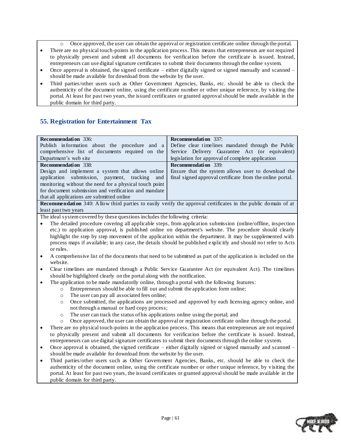- o Once approved, the user can obtain the approval or registration certificate online through the portal.
- There are no physical touch-points in the application process. This means that entrepreneurs are not required to physically present and submit all documents for verification before the certificate is issued. Instead, entrepreneurs can use digital signature certificates to submit their documents through the online system.
- Once approval is obtained, the signed certificate either digitally signed or signed manually and scanned should be made available for download from the website by the user.
- Third parties/other users such as Other Government Agencies, Banks, etc. should be able to check the authenticity of the document online, using the certificate number or other unique refere nce, by visiting the portal. At least for past two years, the issued certificates or granted approval should be made available in the public domain for third party.

### <span id="page-60-0"></span>**55. Registration for Entertainment Tax**

| Recommendation 336:                                                                                                                                                                             | <b>Recommendation</b> 337:                                                                                           |  |
|-------------------------------------------------------------------------------------------------------------------------------------------------------------------------------------------------|----------------------------------------------------------------------------------------------------------------------|--|
| Publish information about the procedure and a                                                                                                                                                   | Define clear timelines mandated through the Public                                                                   |  |
| comprehensive list of documents required on the                                                                                                                                                 | Service Delivery Guarantee Act (or equivalent)                                                                       |  |
| Department's web site                                                                                                                                                                           | legislation for approval of complete application                                                                     |  |
| Recommendation 338:                                                                                                                                                                             | Recommendation 339:                                                                                                  |  |
| Design and implement a system that allows online                                                                                                                                                | Ensure that the system allows user to download the                                                                   |  |
| submission, payment, tracking<br>application<br>and                                                                                                                                             | final signed approval certificate from the online portal.                                                            |  |
| monitoring without the need for a physical touch point                                                                                                                                          |                                                                                                                      |  |
| for document submission and verification and mandate                                                                                                                                            |                                                                                                                      |  |
| that all applications are submitted online                                                                                                                                                      |                                                                                                                      |  |
|                                                                                                                                                                                                 | <b>Recommendation</b> 340: Allow third parties to easily verify the approval certificates in the public domain of at |  |
| least past two years                                                                                                                                                                            |                                                                                                                      |  |
| The ideal system covered by these questions includes the following criteria:                                                                                                                    |                                                                                                                      |  |
|                                                                                                                                                                                                 | The detailed procedure covering all applicable steps, from application submission (online/offline, inspection        |  |
|                                                                                                                                                                                                 | etc.) to application approval, is published online on department's website. The procedure should clearly             |  |
|                                                                                                                                                                                                 | highlight the step by step movement of the application within the department. It may be supplemented with            |  |
|                                                                                                                                                                                                 | process maps if available; in any case, the details should be published explicitly and should not refer to Acts      |  |
| or rules.                                                                                                                                                                                       |                                                                                                                      |  |
| A comprehensive list of the documents that need to be submitted as part of the application is included on the<br>$\bullet$                                                                      |                                                                                                                      |  |
| website.                                                                                                                                                                                        |                                                                                                                      |  |
| Clear timelines are mandated through a Public Service Guarantee Act (or equivalent Act). The timelines<br>$\bullet$<br>should be highlighted clearly on the portal along with the notification. |                                                                                                                      |  |
| The application to be made mandatorily online, through a portal with the following features:<br>$\bullet$                                                                                       |                                                                                                                      |  |
| Entrepreneurs should be able to fill out and submit the application form online;<br>$\circ$                                                                                                     |                                                                                                                      |  |
| The user can pay all associated fees online;<br>$\circ$                                                                                                                                         |                                                                                                                      |  |
| Once submitted, the applications are processed and approved by each licensing agency online, and<br>$\circ$                                                                                     |                                                                                                                      |  |
| not through a manual or hard copy process;                                                                                                                                                      |                                                                                                                      |  |
| The user can track the status of his applications online using the portal; and<br>$\circ$                                                                                                       |                                                                                                                      |  |
| Once approved, the user can obtain the approval or registration certificate online through the portal.<br>$\circ$                                                                               |                                                                                                                      |  |
| There are no physical touch-points in the application process. This means that entrepreneurs are not required<br>$\bullet$                                                                      |                                                                                                                      |  |
|                                                                                                                                                                                                 | to physically present and submit all documents for verification before the certificate is issued. Instead,           |  |
| entrepreneurs can use digital signature certificates to submit their documents through the online system.                                                                                       |                                                                                                                      |  |
| ٠                                                                                                                                                                                               | Once approval is obtained, the signed certificate – either digitally signed or signed manually and scanned –         |  |
| should be made available for download from the website by the user.                                                                                                                             |                                                                                                                      |  |
|                                                                                                                                                                                                 |                                                                                                                      |  |

 Third parties/other users such as Other Government Agencies, Banks, etc. should be able to check the authenticity of the document online, using the certificate number or other unique reference, by visiting the portal. At least for past two years, the issued certificates or granted approval should be made available in the public domain for third party.

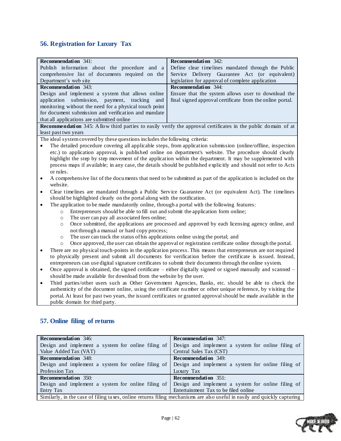# <span id="page-61-0"></span>**56. Registration for Luxury Tax**

| <b>Recommendation</b> 341:                                                                                                 | Recommendation $342$ :                                                                                               |  |
|----------------------------------------------------------------------------------------------------------------------------|----------------------------------------------------------------------------------------------------------------------|--|
| Publish information about the procedure and a                                                                              | Define clear timelines mandated through the Public                                                                   |  |
| comprehensive list of documents required on the                                                                            | Service Delivery Guarantee Act (or equivalent)                                                                       |  |
| Department's web site                                                                                                      | legislation for approval of complete application                                                                     |  |
| <b>Recommendation</b> 343:                                                                                                 | Recommendation 344:                                                                                                  |  |
| Design and implement a system that allows online                                                                           | Ensure that the system allows user to download the                                                                   |  |
| application<br>submission, payment, tracking<br>and                                                                        | final signed approval certificate from the online portal.                                                            |  |
| monitoring without the need for a physical touch point                                                                     |                                                                                                                      |  |
| for document submission and verification and mandate                                                                       |                                                                                                                      |  |
| that all applications are submitted online                                                                                 |                                                                                                                      |  |
|                                                                                                                            | <b>Recommendation</b> 345: Allow third parties to easily verify the approval certificates in the public domain of at |  |
| least past two years                                                                                                       |                                                                                                                      |  |
| The ideal system covered by these questions includes the following criteria:                                               |                                                                                                                      |  |
|                                                                                                                            | The detailed procedure covering all applicable steps, from application submission (online/offline, inspection        |  |
|                                                                                                                            | etc.) to application approval, is published online on department's website. The procedure should clearly             |  |
|                                                                                                                            | highlight the step by step movement of the application within the department. It may be supplemented with            |  |
|                                                                                                                            | process maps if available; in any case, the details should be published explicitly and should not refer to Acts      |  |
| or rules.                                                                                                                  |                                                                                                                      |  |
| $\bullet$                                                                                                                  | A comprehensive list of the documents that need to be submitted as part of the application is included on the        |  |
| website.                                                                                                                   |                                                                                                                      |  |
| $\bullet$                                                                                                                  | Clear timelines are mandated through a Public Service Guarantee Act (or equivalent Act). The timelines               |  |
| should be highlighted clearly on the portal along with the notification.                                                   |                                                                                                                      |  |
| The application to be made mandatorily online, through a portal with the following features:<br>$\bullet$                  |                                                                                                                      |  |
| Entrepreneurs should be able to fill out and submit the application form online;<br>$\circ$                                |                                                                                                                      |  |
| The user can pay all associated fees online;<br>$\circ$                                                                    |                                                                                                                      |  |
| $\circ$                                                                                                                    | Once submitted, the applications are processed and approved by each licensing agency online, and                     |  |
| not through a manual or hard copy process;                                                                                 |                                                                                                                      |  |
| The user can track the status of his applications online using the portal; and<br>$\circ$                                  |                                                                                                                      |  |
| Once approved, the user can obtain the approval or registration certificate online through the portal.<br>$\circ$          |                                                                                                                      |  |
| There are no physical touch-points in the application process. This means that entrepreneurs are not required<br>$\bullet$ |                                                                                                                      |  |
| to physically present and submit all documents for verification before the certificate is issued. Instead,                 |                                                                                                                      |  |
| entrepreneurs can use digital signature certificates to submit their documents through the online system.                  |                                                                                                                      |  |
| Once approval is obtained, the signed certificate – either digitally signed or signed manually and scanned –<br>$\bullet$  |                                                                                                                      |  |
| should be made available for download from the website by the user.                                                        |                                                                                                                      |  |
| $\bullet$                                                                                                                  | Third parties/other users such as Other Government Agencies, Banks, etc. should be able to check the                 |  |
|                                                                                                                            | authenticity of the document online, using the certificate number or other unique reference, by visiting the         |  |
|                                                                                                                            | portal. At least for past two years, the issued certificates or granted approval should be made available in the     |  |
| public domain for third party.                                                                                             |                                                                                                                      |  |
|                                                                                                                            |                                                                                                                      |  |
|                                                                                                                            |                                                                                                                      |  |

# <span id="page-61-1"></span>**57. Online filing of returns**

| <b>Recommendation</b> 346:                                                                                               | <b>Recommendation</b> 347:                         |
|--------------------------------------------------------------------------------------------------------------------------|----------------------------------------------------|
| Design and implement a system for online filing of                                                                       | Design and implement a system for online filing of |
| Value Added Tax (VAT)                                                                                                    | Central Sales Tax (CST)                            |
| <b>Recommendation</b> 348:                                                                                               | <b>Recommendation</b> 349:                         |
| Design and implement a system for online filing of                                                                       | Design and implement a system for online filing of |
| Profession Tax                                                                                                           | Luxury Tax                                         |
| <b>Recommendation</b> 350:                                                                                               | <b>Recommendation</b> 351:                         |
| Design and implement a system for online filing of Design and implement a system for online filing of                    |                                                    |
| Entry Tax                                                                                                                | Entertainment Tax to be filed online               |
| Similarly, in the case of filing taxes, online returns filing mechanisms are also useful in easily and quickly capturing |                                                    |

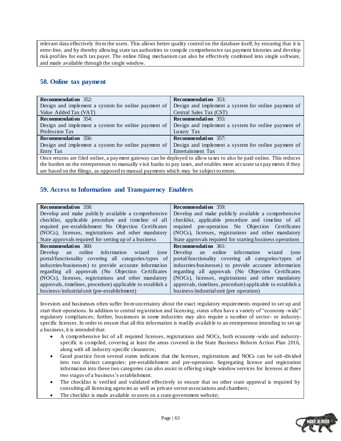relevant data effectively from the users. This allows better quality control on the database itself, by ensuring that it is error-free, and by thereby allowing state tax authorities to compile comprehensive tax payment histories and develop risk profiles for each tax payer. The online filing mechanism can also be effectively combined into single software, and made available through the single window.

### <span id="page-62-0"></span>**58. Online tax payment**

| <b>Recommendation</b> 352:                                                                                           | <b>Recommendation</b> 353:                          |
|----------------------------------------------------------------------------------------------------------------------|-----------------------------------------------------|
| Design and implement a system for online payment of                                                                  | Design and implement a system for online payment of |
| Value Added Tax (VAT)                                                                                                | Central Sales Tax (CST)                             |
| <b>Recommendation</b> 354:                                                                                           | <b>Recommendation</b> 355:                          |
| Design and implement a system for online payment of                                                                  | Design and implement a system for online payment of |
| Profession Tax                                                                                                       | Luxury Tax                                          |
| <b>Recommendation</b> 356:                                                                                           | <b>Recommendation</b> 357:                          |
| Design and implement a system for online payment of                                                                  | Design and implement a system for online payment of |
| Entry Tax                                                                                                            | Entertainment Tax                                   |
| Once returns are filed online, a payment gateway can be deployed to allow taxes to also be paid online. This reduces |                                                     |

the burden on the entrepreneurs to manually visit banks to pay taxes, and enables more accurate tax payments if they are based on the filings, as opposed to manual payments which may be subject to errors.

### <span id="page-62-1"></span>**59. Access to Information and Transparency Enablers**

| <b>Recommendation</b> 358:                                 | <b>Recommendation</b> 359:                                 |
|------------------------------------------------------------|------------------------------------------------------------|
| Develop and make publicly available a comprehensive        | Develop and make publicly available a comprehensive        |
| checklist, applicable procedure and timeline of all        | checklist, applicable procedure and timeline of all        |
| required pre-establishment No Objection Certificates       | required pre-operation No Objection Certificates           |
| (NOCs), licenses, registrations and other mandatory        | (NOCs), licenses, registrations and other mandatory        |
| State approvals required for setting up of a business      | State approvals required for starting business operations  |
| <b>Recommendation</b> 360:                                 | <b>Recommendation</b> 361:                                 |
| Develop an online information wizard<br>(one               | Develop an online information wizard<br>(one               |
| portal/functionality covering all categories/types of      | portal/functionality covering all categories/types of      |
| industries/businesses) to provide accurate information     | industries/businesses) to provide accurate information     |
| regarding all approvals (No Objection Certificates         | regarding all approvals (No Objection Certificates         |
| (NOCs), licenses, registrations and other mandatory        | (NOCs), licenses, registrations and other mandatory        |
| approvals, timelines, procedure) applicable to establish a | approvals, timelines, procedure) applicable to establish a |
| business/industrial unit (pre-establishment)               | business/industrial unit (pre operation)                   |

Investors and businesses often suffer from uncertainty about the exact regulatory requirements required to set up and start their operations. In addition to central registration and licensing, states often have a variety of "economy -wide" regulatory compliances; further, businesses in some industries may also require a number of sector- or industryspecific licenses. In order to ensure that all this information is readily available to an entrepreneur intending to set up a business, it is intended that:

- A comprehensive list of all required licenses, registrations and NOCs, both economy -wide and industryspecific is compiled, covering at least the areas covered in the State Business Reform Action Plan 2016, along with all industry-specific clearances;
- Good practice from several states indicates that the licenses, registrations and NOCs can be sub -divided into two distinct categories: pre-establishment and pre-operation. Segregating license and registration information into these two categories can also assist in offering single window services for licenses at these two stages of a business's establishment.
- The checklist is verified and validated effectively to ensure that no other state approval is required by consulting all licensing agencies as well as private sector associations and chambers;
- The checklist is made available to users on a state government website;

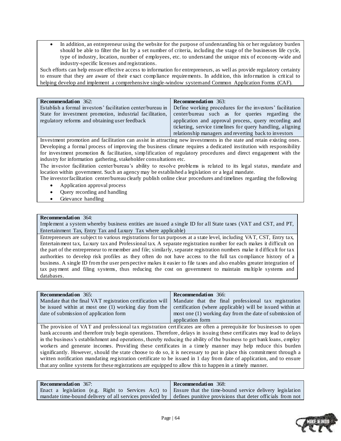In addition, an entrepreneur using the website for the purpose of understanding his or her regulatory burden should be able to filter the list by a set number of criteria, including the stage of the businesses life cycle, type of industry, location, number of employees, etc. to understand the unique mix of economy -wide and industry-specific licenses and registrations.

Such efforts can help ensure effective access to information for entrepreneurs, as well as provide regulatory certainty to ensure that they are aware of their exact compliance requirements. In addition, this information is critical to helping develop and implement a comprehensive single-window system and Common Application Forms (CAF).

| <b>Recommendation</b> 362:                                  | <b>Recommendation</b> 363:                                |
|-------------------------------------------------------------|-----------------------------------------------------------|
| Establish a formal investors' facilitation center/bureau in | Define working procedures for the investors' facilitation |
| State for investment promotion, industrial facilitation,    | center/bureau such as for queries regarding the           |
| regulatory reforms and obtaining user feedback              | application and approval process, query recording and     |
|                                                             | ticketing, service timelines for query handling, aligning |
|                                                             | relationship managers and reverting back to investors     |

Investment promotion and facilitation can assist in attracting new investments in the state and retain existing ones. Developing a formal process of improving the business climate requires a dedicated institution with responsibility for investment promotion & facilitation, simplification of regulatory procedures and direct engagement with the industry for information gathering, stakeholder consultations etc.

The investor facilitation center/bureau's ability to resolve problems is related to its legal status, mandate and location within government. Such an agency may be established a legislation or a legal mandate.

The investor facilitation center/bureau clearly publish online clear procedures and timelines regarding the following

- Application approval process
- Query recording and handling
- Grievance handling

#### **Recommendation** 364:

Implement a system whereby business entities are issued a single ID for all State taxes (VAT and CST, and PT, Entertainment Tax, Entry Tax and Luxury Tax where applicable)

Entrepreneurs are subject to various registrations for tax purposes at a state level, including VAT, CST, Entry tax, Entertainment tax, Luxury tax and Professional tax. A separate registration number for each makes it difficult on the part of the entrepreneur to remember and file; similarly, separate registration numbers make it difficult for tax authorities to develop risk profiles as they often do not have access to the full tax compliance history of a business. A single ID from the user perspective makes it easier to file taxes and also enables greater integration of tax payment and filing systems, thus reducing the cost on government to maintain multiple systems and databases.

| <b>Recommendation</b> 365:             | <b>Recommendation</b> 366:                                                                                        |
|----------------------------------------|-------------------------------------------------------------------------------------------------------------------|
|                                        | Mandate that the final VAT registration certification will   Mandate that the final professional tax registration |
|                                        | be issued within at most one (1) working day from the certification (where applicable) will be issued within at   |
| date of submission of application form | most one (1) working day from the date of submission of                                                           |
|                                        | application form                                                                                                  |

The provision of VAT and professional tax registration certificates are often a prerequisite for businesses to open bank accounts and therefore truly begin operations. Therefore, delays in issuing these certificates may lead to delays in the business's establishment and operations, thereby reducing the ability of the business to get bank loans, employ workers and generate incomes. Providing these certificates in a timely manner may help reduce this burden significantly. However, should the state choose to do so, it is necessary to put in place this commitment through a written notification mandating registration certificate to be issued in 1 day from date of application, and to ensure that any online systems for these registrations are equipped to allow this to happen in a timely manner.

| <b>Recommendation</b> 367: | <b>Recommendation</b> 368:                                                                                        |
|----------------------------|-------------------------------------------------------------------------------------------------------------------|
|                            | Enact a legislation (e.g. Right to Services Act) to Ensure that the time-bound service delivery legislation       |
|                            | mandate time-bound delivery of all services provided by defines punitive provisions that deter officials from not |

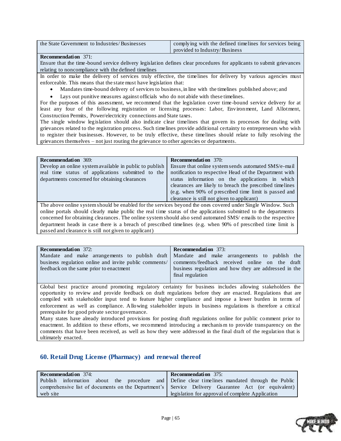| the State Government to Industries/Businesses | complying with the defined timelines for services being |
|-----------------------------------------------|---------------------------------------------------------|
|                                               | provided to Industry/Business                           |

#### **Recommendation** 371:

Ensure that the time -bound service delivery legislation defines clear procedures for applicants to submit grievances relating to noncompliance with the defined timelines

In order to make the delivery of services truly effective, the timelines for delivery by various agencies must enforceable. This means that the state must have legislation that:

- Mandates time-bound delivery of services to business, in line with the timelines published above; and
- Lays out punitive measures against officials who do not abide with these timelines.

For the purposes of this assessment, we recommend that the legislation cover time-bound service delivery for at least any four of the following registration or licensing processes: Labor, Environment, Land Allotment, Construction Permits, Power/electricity connections and State taxes.

The single window legislation should also indicate clear timelines that govern its processes for dealing with grievances related to the registration process. Such timelines provide additional certainty to entrepreneurs who wish to register their businesses. However, to be truly effective, these timelines should relate to fully resolving the grievances themselves – not just routing the grievance to other agencies or departments.

| <b>Recommendation</b> 369:                                                                                   | <b>Recommendation</b> 370:                               |
|--------------------------------------------------------------------------------------------------------------|----------------------------------------------------------|
| Develop an online system available in public to publish                                                      | Ensure that online system sends automated SMS/e-mail     |
| real time status of applications submitted to the                                                            | notification to respective Head of the Department with   |
| departments concerned for obtaining clearances                                                               | status information on the applications in which          |
|                                                                                                              | clearances are likely to breach the prescribed timelines |
|                                                                                                              | (e.g. when 90% of prescribed time limit is passed and    |
|                                                                                                              | clearance is still not given to applicant)               |
| The above online system should be enabled for the services beyond the ones covered under Single Window. Such |                                                          |

online portals should clearly make public the real time status of the applications submitted to the departments concerned for obtaining clearances. The online system should also send automated SMS/ emails to the respective department heads in case there is a breach of prescribed timelines (e.g. when 90% of prescribed time limit is passed and clearance is still not given to applicant)

| <b>Recommendation</b> 372:                             | <b>Recommendation</b> 373:                                                                  |
|--------------------------------------------------------|---------------------------------------------------------------------------------------------|
|                                                        | Mandate and make arrangements to publish draft Mandate and make arrangements to publish the |
| business regulation online and invite public comments/ | comments/feedback received online on the draft                                              |
| feedback on the same prior to enactment                | business regulation and how they are addressed in the                                       |
|                                                        | final regulation                                                                            |
|                                                        |                                                                                             |

Global best practice around promoting regulatory certainty for business includes allowing stakeholders the opportunity to review and provide feedback on draft regulations before they are enacted. Regulations that are compiled with stakeholder input tend to feature higher compliance and impose a lower burden in terms of enforcement as well as compliance. Allowing stakeholder inputs in business regulations is therefore a critical prerequisite for good private sector governance.

Many states have already introduced provisions for posting draft regulations online for public comment prior to enactment. In addition to these efforts, we recommend introducing a mechanis m to provide transparency on the comments that have been received, as well as how they were addressed in the final draft of the regulation that is ultimately enacted.

### <span id="page-64-0"></span>**60. Retail Drug License (Pharmacy) and renewal thereof**

| <b>Recommendation</b> 374:                                                                         | <b>Recommendation</b> 375:                       |
|----------------------------------------------------------------------------------------------------|--------------------------------------------------|
| Publish information about the procedure and Define clear timelines mandated through the Public     |                                                  |
| comprehensive list of documents on the Department's Service Delivery Guarantee Act (or equivalent) |                                                  |
| web site                                                                                           | legislation for approval of complete Application |

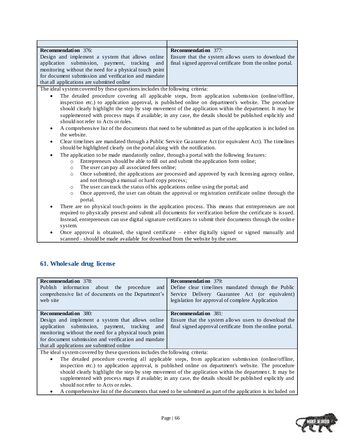| <b>Recommendation</b> 376:                                                                              | <b>Recommendation</b> 377:                                                                             |
|---------------------------------------------------------------------------------------------------------|--------------------------------------------------------------------------------------------------------|
|                                                                                                         | Design and implement a system that allows online   Ensure that the system allows users to download the |
| application submission, payment, tracking and final signed approval certificate from the online portal. |                                                                                                        |
| monitoring without the need for a physical touch point                                                  |                                                                                                        |
| for document submission and verification and mandate                                                    |                                                                                                        |
| that all applications are submitted online                                                              |                                                                                                        |

The ideal system covered by these questions includes the following criteria:

- The detailed procedure covering all applicable steps, from application submission (online/offline, inspection etc.) to application approval, is published online on department's website. The procedure should clearly highlight the step by step movement of the application within the department. It may be supplemented with process maps if available; in any case, the details should be published explicitly and should not refer to Acts or rules.
- A comprehensive list of the documents that need to be submitted as part of the application is included on the website.
- Clear timelines are mandated through a Public Service Guarantee Act (or equivalent Act). The timelines should be highlighted clearly on the portal along with the notification.
	- The application to be made mandatorily online, through a portal with the following fea tures:
		- o Entrepreneurs should be able to fill out and submit the application form online;
			- o The user can pay all associated fees online;
			- o Once submitted, the applications are processed and approved by each licensing agency online, and not through a manual or hard copy process;
			- o The user can track the status of his applications online using the portal; and
			- o Once approved, the user can obtain the approval or registration certificate online through the portal.
- There are no physical touch-points in the application process. This means that entrepreneurs are not required to physically present and submit all documents for verification before the certificate is issued. Instead, entrepreneurs can use digital signature certificates to submit their documents through the onlin e system.
- Once approval is obtained, the signed certificate either digitally signed or signed manually and scanned – should be made available for download from the website by the user.

### <span id="page-65-0"></span>**61. Wholesale drug license**

| <b>Recommendation</b> 378:<br>about the procedure<br>Publish information<br>and<br>comprehensive list of documents on the Department's<br>web site | <b>Recommendation</b> 379:<br>Define clear timelines mandated through the Public<br>Service Delivery Guarantee Act (or equivalent)<br>legislation for approval of complete Application |
|----------------------------------------------------------------------------------------------------------------------------------------------------|----------------------------------------------------------------------------------------------------------------------------------------------------------------------------------------|
| <b>Recommendation</b> 380:                                                                                                                         | <b>Recommendation</b> 381:                                                                                                                                                             |
|                                                                                                                                                    |                                                                                                                                                                                        |
| Design and implement a system that allows online                                                                                                   | Ensure that the system allows users to download the                                                                                                                                    |
|                                                                                                                                                    |                                                                                                                                                                                        |
| application submission, payment, tracking and                                                                                                      | final signed approval certificate from the online portal.                                                                                                                              |
| monitoring without the need for a physical touch point                                                                                             |                                                                                                                                                                                        |
| for document submission and verification and mandate                                                                                               |                                                                                                                                                                                        |
| that all applications are submitted online                                                                                                         |                                                                                                                                                                                        |
|                                                                                                                                                    |                                                                                                                                                                                        |

- The detailed procedure covering all applicable steps, from application submission (online/offline, inspection etc.) to application approval, is published online on department's website. The procedure should clearly highlight the step by step movement of the application within the departmen t. It may be supplemented with process maps if available; in any case, the details should be published explicitly and should not refer to Acts or rules.
- A comprehensive list of the documents that need to be submitted as part of the application is included on

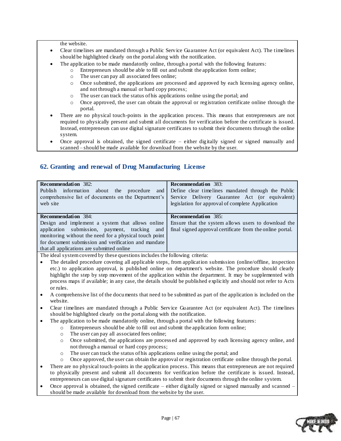the website.

- Clear timelines are mandated through a Public Service Guarantee Act (or equivalent Act). The timelines should be highlighted clearly on the portal along with the notification.
- The application to be made mandatorily online, through a portal with the following features:
	- o Entrepreneurs should be able to fill out and submit the application form online;
		- o The user can pay all associated fees online;
		- o Once submitted, the applications are processed and approved by each licensing agency online, and not through a manual or hard copy process;
		- o The user can track the status of his applications online using the portal; and
		- o Once approved, the user can obtain the approval or registration certificate online through the portal.
- There are no physical touch-points in the application process. This means that entrepreneurs are not required to physically present and submit all documents for verification before the certificate is issued. Instead, entrepreneurs can use digital signature certificates to submit their documents through the online system.
- Once approval is obtained, the signed certificate  $-$  either digitally signed or signed manually and scanned – should be made available for download from the website by the user.

### <span id="page-66-0"></span>**62. Granting and renewal of Drug Manufacturing License**

| <b>Recommendation</b> 382:                             | <b>Recommendation</b> 383:                                |
|--------------------------------------------------------|-----------------------------------------------------------|
| about the procedure<br>Publish information<br>and      | Define clear timelines mandated through the Public        |
| comprehensive list of documents on the Department's    | Service Delivery Guarantee Act (or equivalent)            |
| web site                                               | legislation for approval of complete Application          |
|                                                        |                                                           |
| <b>Recommendation</b> 384:                             | <b>Recommendation</b> 385:                                |
| Design and implement a system that allows online       | Ensure that the system allows users to download the       |
| application submission, payment, tracking and          | final signed approval certificate from the online portal. |
| monitoring without the need for a physical touch point |                                                           |
| for document submission and verification and mandate   |                                                           |
| that all applications are submitted online             |                                                           |
|                                                        |                                                           |

- The detailed procedure covering all applicable steps, from application submission (online/offline, inspection etc.) to application approval, is published online on department's website. The procedure should clearly highlight the step by step movement of the application within the department. It may be supplemented with process maps if available; in any case, the details should be published explicitly and should not refer to Acts or rules.
- A comprehensive list of the documents that need to be submitted as part of the application is included on the website.
- Clear timelines are mandated through a Public Service Guarantee Act (or equivalent Act). The timelines should be highlighted clearly on the portal along with the notification.
- The application to be made mandatorily online, through a portal with the following features:
	- o Entrepreneurs should be able to fill out and submit the application form online;
		- o The user can pay all associated fees online;
		- o Once submitted, the applications are process ed and approved by each licensing agency online, and not through a manual or hard copy process;
		- o The user can track the status of his applications online using the portal; and
		- o Once approved, the user can obtain the approval or registration certificate online through the portal.
- There are no physical touch-points in the application process. This means that entrepreneurs are not required to physically present and submit all documents for verification before the certificate is issued. Instead, entrepreneurs can use digital signature certificates to submit their documents through the online system.
- Once approval is obtained, the signed certificate either digitally signed or signed manually and scanned should be made available for download from the website by the user.

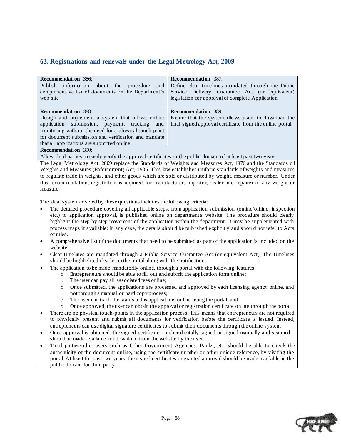### <span id="page-67-0"></span>**63. Registrations and renewals under the Legal Metrology Act, 2009**

| <b>Recommendation</b> 386:                                                                                           | <b>Recommendation</b> 387:                                                                                                                               |
|----------------------------------------------------------------------------------------------------------------------|----------------------------------------------------------------------------------------------------------------------------------------------------------|
| about the procedure<br>Publish information<br>and<br>comprehensive list of documents on the Department's<br>web site | Define clear timelines mandated through the Public<br>Service Delivery Guarantee Act (or equivalent)<br>legislation for approval of complete Application |
| <b>Recommendation</b> 388:                                                                                           | <b>Recommendation</b> 389:                                                                                                                               |
| Design and implement a system that allows online                                                                     | Ensure that the system allows users to download the                                                                                                      |
| application submission, payment, tracking and                                                                        | final signed approval certificate from the online portal.                                                                                                |
| monitoring without the need for a physical touch point                                                               |                                                                                                                                                          |
| for document submission and verification and mandate                                                                 |                                                                                                                                                          |
| that all applications are submitted online                                                                           |                                                                                                                                                          |
| <b>Recommendation</b> 390:                                                                                           |                                                                                                                                                          |

Allow third parties to easily verify the approval certificates in the public domain of at least past two years

The Legal Metrology Act, 2009 replace the Standards of Weights and Measures Act, 1976 and the Standards of Weights and Measures (Enforcement) Act, 1985. This law establishes uniform standards of weights and measures to regulate trade in weights, and other goods which are sold or distributed by weight, measure or number. Under this recommendation, registration is required for manufacturer, importer, dealer and repairer of any weight or measure.

- The detailed procedure covering all applicable steps, from application submission (online/offline, inspection etc.) to application approval, is published online on department's website. The procedure should clearly highlight the step by step movement of the application within the department. It may be supplemented with process maps if available; in any case, the details should be published explicitly and should not refer to Acts or rules.
- A comprehensive list of the documents that need to be submitted as part of the application is included on the website.
- Clear timelines are mandated through a Public Service Guarantee Act (or equivalent Act). The timelines should be highlighted clearly on the portal along with the notification.
- The application to be made mandatorily online, through a portal with the following features:
	- o Entrepreneurs should be able to fill out and submit the application form online;
	- o The user can pay all associated fees online;
	- o Once submitted, the applications are processed and approved by each licensing agency online, and not through a manual or hard copy process;
	- o The user can track the status of his applications online using the portal; and
	- o Once approved, the user can obtain the approval or registration certificate online through the portal.
- There are no physical touch-points in the application process. This means that entrepreneurs are not required to physically present and submit all documents for verification before the certificate is issued. Instead, entrepreneurs can use digital signature certificates to submit their documents through the online system.
- Once approval is obtained, the signed certificate either digitally signed or signed manually and scanned should be made available for download from the website by the user.
- Third parties/other users such as Other Government Agencies, Banks, etc. should be able to check the authenticity of the document online, using the certificate number or other unique reference, by visiting the portal. At least for past two years, the issued certificates or granted approval should be made available in the public domain for third party.

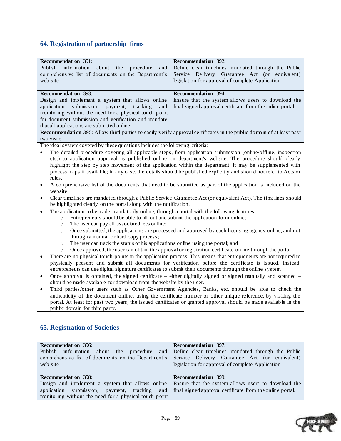# <span id="page-68-0"></span>**64. Registration of partnership firms**

| <b>Recommendation</b> 391:                                                                                                                                                                          | <b>Recommendation</b> 392:                                                                                                  |  |
|-----------------------------------------------------------------------------------------------------------------------------------------------------------------------------------------------------|-----------------------------------------------------------------------------------------------------------------------------|--|
| Publish<br>in formation<br>about<br>procedure<br>the<br>and                                                                                                                                         | Define clear timelines mandated through the Public                                                                          |  |
| comprehensive list of documents on the Department's                                                                                                                                                 | Service Delivery Guarantee Act (or equivalent)                                                                              |  |
| web site                                                                                                                                                                                            | legislation for approval of complete Application                                                                            |  |
|                                                                                                                                                                                                     |                                                                                                                             |  |
| <b>Recommendation</b> 393:                                                                                                                                                                          | Recommendation 394:                                                                                                         |  |
| Design and implement a system that allows online                                                                                                                                                    | Ensure that the system allows users to download the                                                                         |  |
| submission,<br>application<br>payment,<br>tracking<br>and                                                                                                                                           | final signed approval certificate from the online portal.                                                                   |  |
| monitoring without the need for a physical touch point                                                                                                                                              |                                                                                                                             |  |
| for document submission and verification and mandate                                                                                                                                                |                                                                                                                             |  |
| that all applications are submitted online                                                                                                                                                          |                                                                                                                             |  |
|                                                                                                                                                                                                     | <b>Recommendation</b> 395: Allow third parties to easily verify approval certificates in the public domain of at least past |  |
| two years                                                                                                                                                                                           |                                                                                                                             |  |
| The ideal system covered by these questions includes the following criteria:                                                                                                                        |                                                                                                                             |  |
| $\bullet$                                                                                                                                                                                           | The detailed procedure covering all applicable steps, from application submission (online/offline, inspection               |  |
|                                                                                                                                                                                                     | etc.) to application approval, is published online on department's website. The procedure should clearly                    |  |
|                                                                                                                                                                                                     | highlight the step by step movement of the application within the department. It may be supplemented with                   |  |
|                                                                                                                                                                                                     | process maps if available; in any case, the details should be published explicitly and should not refer to Acts or          |  |
| rules.                                                                                                                                                                                              |                                                                                                                             |  |
| A comprehensive list of the documents that need to be submitted as part of the application is included on the<br>$\bullet$                                                                          |                                                                                                                             |  |
| website.                                                                                                                                                                                            |                                                                                                                             |  |
| Clear time lines are mandated through a Public Service Guarantee Act (or equivalent Act). The time lines should                                                                                     |                                                                                                                             |  |
| $\bullet$<br>be highlighted clearly on the portal along with the notification.                                                                                                                      |                                                                                                                             |  |
|                                                                                                                                                                                                     |                                                                                                                             |  |
| The application to be made mandatorily online, through a portal with the following features:<br>$\bullet$                                                                                           |                                                                                                                             |  |
| Entrepreneurs should be able to fill out and submit the application form online;<br>$\circ$                                                                                                         |                                                                                                                             |  |
| The user can pay all associated fees online;<br>$\circ$                                                                                                                                             |                                                                                                                             |  |
| Once submitted, the applications are processed and approved by each licensing agency online, and not<br>$\circ$                                                                                     |                                                                                                                             |  |
| through a manual or hard copy process;                                                                                                                                                              |                                                                                                                             |  |
| The user can track the status of his applications online using the portal; and<br>$\circ$<br>Once approved, the user can obtain the approval or registration certificate online through the portal. |                                                                                                                             |  |
| $\circ$                                                                                                                                                                                             |                                                                                                                             |  |
| There are no physical touch-points in the application process. This means that entrepreneurs are not required to<br>$\bullet$                                                                       |                                                                                                                             |  |
| physically present and submit all documents for verification before the certificate is issued. Instead,                                                                                             |                                                                                                                             |  |
| entrepreneurs can use digital signature certificates to submit their documents through the online system.                                                                                           |                                                                                                                             |  |
| Once approval is obtained, the signed certificate $-$ either digitally signed or signed manually and scanned $-$<br>$\bullet$                                                                       |                                                                                                                             |  |
| should be made available for download from the website by the user.                                                                                                                                 |                                                                                                                             |  |
| Third parties/other users such as Other Government Agencies, Banks, etc. should be able to check the<br>$\bullet$                                                                                   |                                                                                                                             |  |
| authenticity of the document online using the certificate number or other unique reference by visiting the                                                                                          |                                                                                                                             |  |

authenticity of the document online, using the certificate number or other unique reference, by visiting the portal. At least for past two years, the issued certificates or granted approval should be made available in the public domain for third party.

# <span id="page-68-1"></span>**65. Registration of Societies**

| <b>Recommendation</b> 396:<br>about the<br>Publish information<br>comprehensive list of documents on the Department's Service Delivery Guarantee Act (or equivalent)<br>web site | <b>Recommendation</b> 397:<br>procedure and Define clear timelines mandated through the Public<br>legislation for approval of complete Application |
|----------------------------------------------------------------------------------------------------------------------------------------------------------------------------------|----------------------------------------------------------------------------------------------------------------------------------------------------|
| <b>Recommendation</b> 398:                                                                                                                                                       | <b>Recommendation</b> 399:                                                                                                                         |
| Design and implement a system that allows online                                                                                                                                 | Ensure that the system allows users to download the                                                                                                |
| application submission, payment, tracking and final signed approval certificate from the online portal.                                                                          |                                                                                                                                                    |
| monitoring without the need for a physical touch point                                                                                                                           |                                                                                                                                                    |

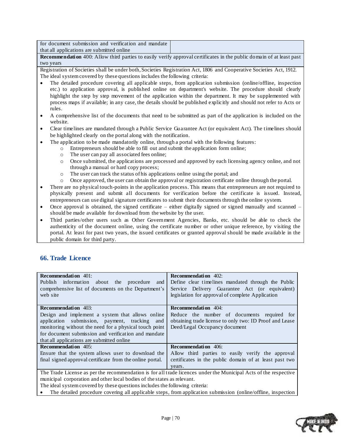| for document submission and verification and mandate |  |
|------------------------------------------------------|--|
| that all applications are submitted online           |  |

**Recommendation** 400: Allow third parties to easily verify approval certificates in the public domain of at least past two years

Registration of Societies shall be under both, Societies Registration Act, 1806 and Cooperative Societies Act, 1912. The ideal system covered by these questions includes the following criteria:

- The detailed procedure covering all applicable steps, from application submission (online/offline, inspection etc.) to application approval, is published online on department's website. The procedure should clearly highlight the step by step movement of the application within the department. It may be supplemented with process maps if available; in any case, the details should be published explicitly and should not refer to Acts or rules.
- A comprehensive list of the documents that need to be submitted as part of the application is included on the website.
- Clear timelines are mandated through a Public Service Guarantee Act (or equivalent Act). The timelines should be highlighted clearly on the portal along with the notification.
- The application to be made mandatorily online, through a portal with the following features:
	- o Entrepreneurs should be able to fill out and submit the application form online;
	- o The user can pay all associated fees online;
	- o Once submitted, the applications are processed and approved by each licensing agency online, and not through a manual or hard copy process;
	- o The user can track the status of his applications online using the portal; and
	- o Once approved, the user can obtain the approval or registration certificate online through the portal.
- There are no physical touch-points in the application process. This means that entrepreneurs are not required to physically present and submit all documents for verification before the certificate is issued. Instead, entrepreneurs can use digital signature certificates to submit their documents through the online system.
- Once approval is obtained, the signed certificate either digitally signed or signed manually and scanned should be made available for download from the website by the user.
- Third parties/other users such as Other Government Agencies, Banks, etc. should be able to check the authenticity of the document online, using the certificate number or other unique reference, by visiting the portal. At least for past two years, the issued certificates or granted approval should be made available in the public domain for third party.

### <span id="page-69-0"></span>**66. Trade Licence**

| <b>Recommendation</b> 401:                                                                                       | <b>Recommendation</b> 402:                              |  |
|------------------------------------------------------------------------------------------------------------------|---------------------------------------------------------|--|
| Publish information about the procedure<br>and                                                                   | Define clear timelines mandated through the Public      |  |
| comprehensive list of documents on the Department's                                                              | Service Delivery Guarantee Act (or equivalent)          |  |
| web site                                                                                                         | legislation for approval of complete Application        |  |
|                                                                                                                  |                                                         |  |
| <b>Recommendation</b> 403:                                                                                       | <b>Recommendation</b> 404:                              |  |
|                                                                                                                  |                                                         |  |
| Design and implement a system that allows online                                                                 | Reduce the number of documents required for             |  |
| application submission, payment, tracking<br>and                                                                 | obtaining trade license to only two: ID Proof and Lease |  |
| monitoring without the need for a physical touch point                                                           | Deed/Legal Occupancy document                           |  |
| for document submission and verification and mandate                                                             |                                                         |  |
| that all applications are submitted online                                                                       |                                                         |  |
| <b>Recommendation</b> 405:                                                                                       | <b>Recommendation</b> 406:                              |  |
| Ensure that the system allows user to download the                                                               | Allow third parties to easily verify the approval       |  |
| final signed approval certificate from the online portal.                                                        | certificates in the public domain of at least past two  |  |
|                                                                                                                  | vears.                                                  |  |
| The Trade License as per the recommendation is for all trade licences under the Municipal Acts of the respective |                                                         |  |
| municipal corporation and other local bodies of the states as relevant.                                          |                                                         |  |

The ideal system covered by these questions includes the following criteria:

The detailed procedure covering all applicable steps, from application submission (online/offline, inspection